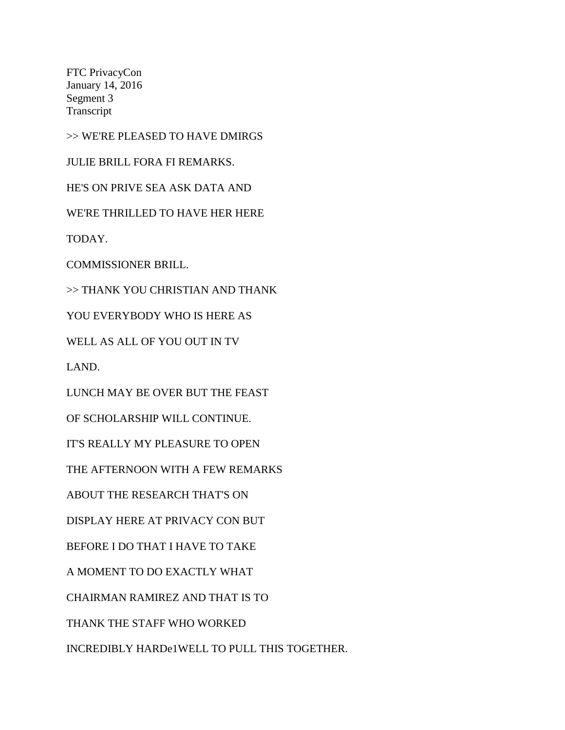FTC PrivacyCon January 14, 2016 Segment 3 Transcript

>> WE'RE PLEASED TO HAVE DMIRGS

JULIE BRILL FORA FI REMARKS.

HE'S ON PRIVE SEA ASK DATA AND

WE'RE THRILLED TO HAVE HER HERE

TODAY.

COMMISSIONER BRILL.

>> THANK YOU CHRISTIAN AND THANK

YOU EVERYBODY WHO IS HERE AS

WELL AS ALL OF YOU OUT IN TV

LAND.

LUNCH MAY BE OVER BUT THE FEAST

OF SCHOLARSHIP WILL CONTINUE.

IT'S REALLY MY PLEASURE TO OPEN

THE AFTERNOON WITH A FEW REMARKS

ABOUT THE RESEARCH THAT'S ON

DISPLAY HERE AT PRIVACY CON BUT

BEFORE I DO THAT I HAVE TO TAKE

A MOMENT TO DO EXACTLY WHAT

CHAIRMAN RAMIREZ AND THAT IS TO

THANK THE STAFF WHO WORKED

INCREDIBLY HARDe1WELL TO PULL THIS TOGETHER.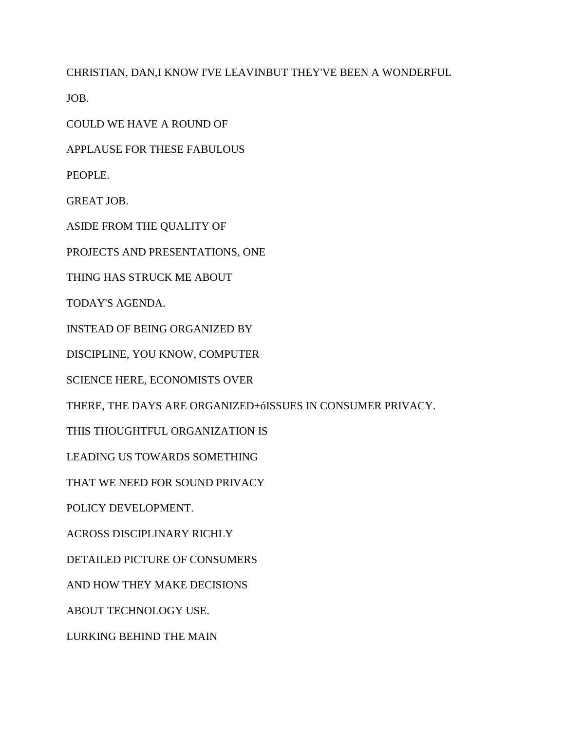CHRISTIAN, DAN,I KNOW I'VE LEAVINBUT THEY'VE BEEN A WONDERFUL

JOB.

COULD WE HAVE A ROUND OF

APPLAUSE FOR THESE FABULOUS

PEOPLE.

GREAT JOB.

ASIDE FROM THE QUALITY OF

PROJECTS AND PRESENTATIONS, ONE

THING HAS STRUCK ME ABOUT

TODAY'S AGENDA.

INSTEAD OF BEING ORGANIZED BY

DISCIPLINE, YOU KNOW, COMPUTER

SCIENCE HERE, ECONOMISTS OVER

THERE, THE DAYS ARE ORGANIZED+óISSUES IN CONSUMER PRIVACY.

THIS THOUGHTFUL ORGANIZATION IS

LEADING US TOWARDS SOMETHING

THAT WE NEED FOR SOUND PRIVACY

POLICY DEVELOPMENT.

ACROSS DISCIPLINARY RICHLY

DETAILED PICTURE OF CONSUMERS

AND HOW THEY MAKE DECISIONS

ABOUT TECHNOLOGY USE.

LURKING BEHIND THE MAIN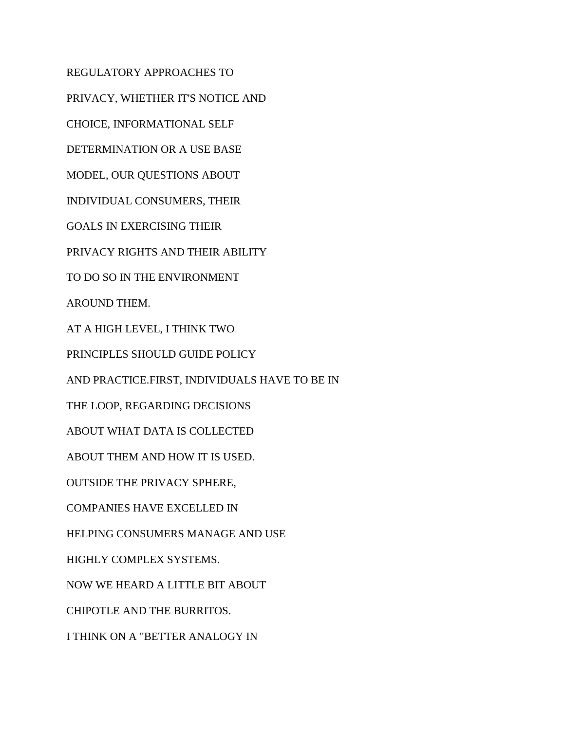REGULATORY APPROACHES TO PRIVACY, WHETHER IT'S NOTICE AND CHOICE, INFORMATIONAL SELF DETERMINATION OR A USE BASE MODEL, OUR QUESTIONS ABOUT INDIVIDUAL CONSUMERS, THEIR GOALS IN EXERCISING THEIR PRIVACY RIGHTS AND THEIR ABILITY TO DO SO IN THE ENVIRONMENT AROUND THEM. AT A HIGH LEVEL, I THINK TWO PRINCIPLES SHOULD GUIDE POLICY AND PRACTICE.FIRST, INDIVIDUALS HAVE TO BE IN THE LOOP, REGARDING DECISIONS ABOUT WHAT DATA IS COLLECTED ABOUT THEM AND HOW IT IS USED. OUTSIDE THE PRIVACY SPHERE, COMPANIES HAVE EXCELLED IN HELPING CONSUMERS MANAGE AND USE HIGHLY COMPLEX SYSTEMS. NOW WE HEARD A LITTLE BIT ABOUT CHIPOTLE AND THE BURRITOS. I THINK ON A "BETTER ANALOGY IN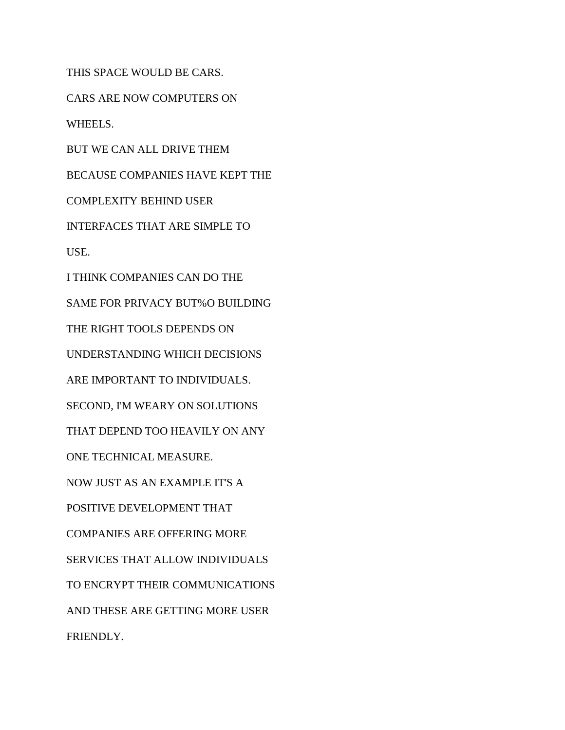THIS SPACE WOULD BE CARS. CARS ARE NOW COMPUTERS ON WHEELS. BUT WE CAN ALL DRIVE THEM BECAUSE COMPANIES HAVE KEPT THE COMPLEXITY BEHIND USER INTERFACES THAT ARE SIMPLE TO USE. I THINK COMPANIES CAN DO THE SAME FOR PRIVACY BUT%O BUILDING THE RIGHT TOOLS DEPENDS ON UNDERSTANDING WHICH DECISIONS ARE IMPORTANT TO INDIVIDUALS. SECOND, I'M WEARY ON SOLUTIONS THAT DEPEND TOO HEAVILY ON ANY ONE TECHNICAL MEASURE. NOW JUST AS AN EXAMPLE IT'S A POSITIVE DEVELOPMENT THAT COMPANIES ARE OFFERING MORE SERVICES THAT ALLOW INDIVIDUALS TO ENCRYPT THEIR COMMUNICATIONS AND THESE ARE GETTING MORE USER FRIENDLY.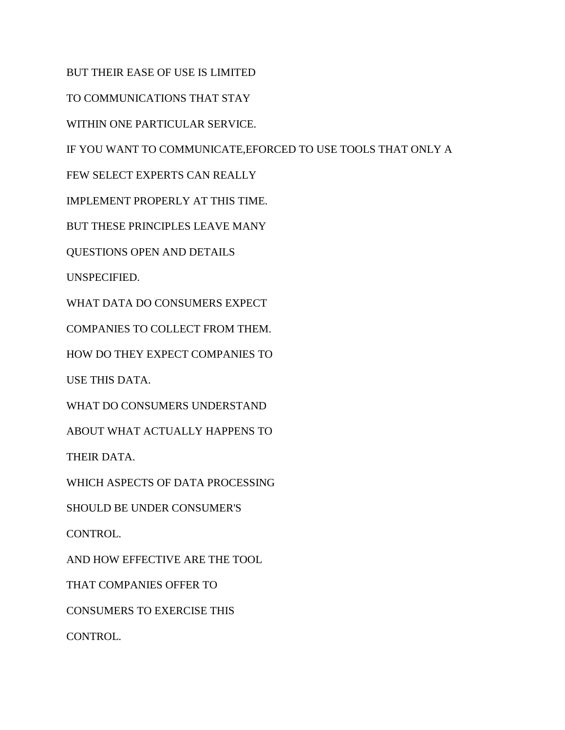BUT THEIR EASE OF USE IS LIMITED

TO COMMUNICATIONS THAT STAY

WITHIN ONE PARTICULAR SERVICE.

IF YOU WANT TO COMMUNICATE,EFORCED TO USE TOOLS THAT ONLY A

FEW SELECT EXPERTS CAN REALLY

IMPLEMENT PROPERLY AT THIS TIME.

BUT THESE PRINCIPLES LEAVE MANY

QUESTIONS OPEN AND DETAILS

UNSPECIFIED.

WHAT DATA DO CONSUMERS EXPECT

COMPANIES TO COLLECT FROM THEM.

HOW DO THEY EXPECT COMPANIES TO

USE THIS DATA.

WHAT DO CONSUMERS UNDERSTAND

ABOUT WHAT ACTUALLY HAPPENS TO

THEIR DATA.

WHICH ASPECTS OF DATA PROCESSING

SHOULD BE UNDER CONSUMER'S

CONTROL.

AND HOW EFFECTIVE ARE THE TOOL

THAT COMPANIES OFFER TO

CONSUMERS TO EXERCISE THIS

CONTROL.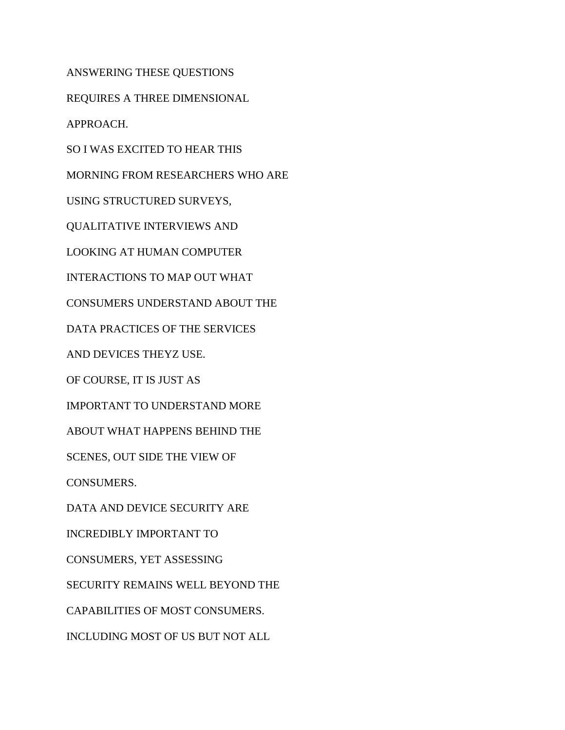ANSWERING THESE QUESTIONS

REQUIRES A THREE DIMENSIONAL

APPROACH.

SO I WAS EXCITED TO HEAR THIS

MORNING FROM RESEARCHERS WHO ARE

USING STRUCTURED SURVEYS,

QUALITATIVE INTERVIEWS AND

LOOKING AT HUMAN COMPUTER

INTERACTIONS TO MAP OUT WHAT

CONSUMERS UNDERSTAND ABOUT THE

DATA PRACTICES OF THE SERVICES

AND DEVICES THEYZ USE.

OF COURSE, IT IS JUST AS

IMPORTANT TO UNDERSTAND MORE

ABOUT WHAT HAPPENS BEHIND THE

SCENES, OUT SIDE THE VIEW OF

CONSUMERS.

DATA AND DEVICE SECURITY ARE

INCREDIBLY IMPORTANT TO

CONSUMERS, YET ASSESSING

SECURITY REMAINS WELL BEYOND THE

CAPABILITIES OF MOST CONSUMERS.

INCLUDING MOST OF US BUT NOT ALL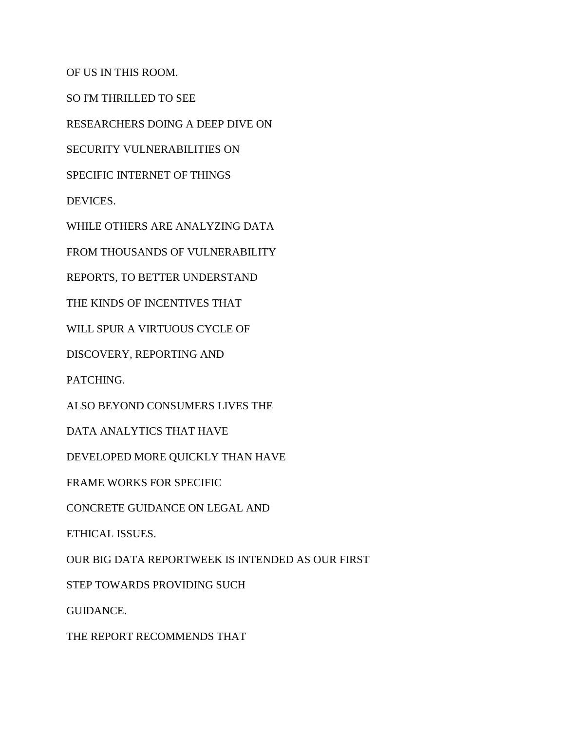OF US IN THIS ROOM.

SO I'M THRILLED TO SEE

RESEARCHERS DOING A DEEP DIVE ON

SECURITY VULNERABILITIES ON

SPECIFIC INTERNET OF THINGS

DEVICES.

WHILE OTHERS ARE ANALYZING DATA

FROM THOUSANDS OF VULNERABILITY

REPORTS, TO BETTER UNDERSTAND

THE KINDS OF INCENTIVES THAT

WILL SPUR A VIRTUOUS CYCLE OF

DISCOVERY, REPORTING AND

PATCHING.

ALSO BEYOND CONSUMERS LIVES THE

DATA ANALYTICS THAT HAVE

DEVELOPED MORE QUICKLY THAN HAVE

FRAME WORKS FOR SPECIFIC

CONCRETE GUIDANCE ON LEGAL AND

ETHICAL ISSUES.

OUR BIG DATA REPORTWEEK IS INTENDED AS OUR FIRST

STEP TOWARDS PROVIDING SUCH

GUIDANCE.

THE REPORT RECOMMENDS THAT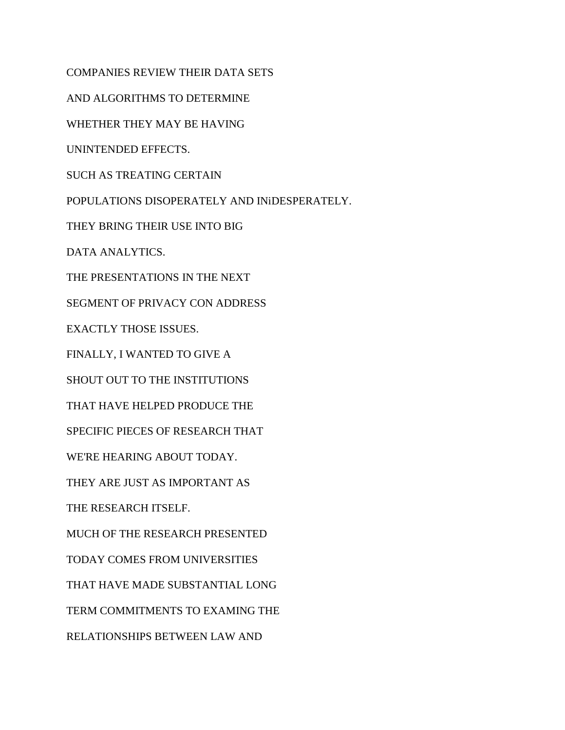COMPANIES REVIEW THEIR DATA SETS AND ALGORITHMS TO DETERMINE WHETHER THEY MAY BE HAVING UNINTENDED EFFECTS. SUCH AS TREATING CERTAIN POPULATIONS DISOPERATELY AND INiDESPERATELY. THEY BRING THEIR USE INTO BIG DATA ANALYTICS. THE PRESENTATIONS IN THE NEXT SEGMENT OF PRIVACY CON ADDRESS EXACTLY THOSE ISSUES. FINALLY, I WANTED TO GIVE A SHOUT OUT TO THE INSTITUTIONS THAT HAVE HELPED PRODUCE THE SPECIFIC PIECES OF RESEARCH THAT WE'RE HEARING ABOUT TODAY. THEY ARE JUST AS IMPORTANT AS THE RESEARCH ITSELF. MUCH OF THE RESEARCH PRESENTED TODAY COMES FROM UNIVERSITIES THAT HAVE MADE SUBSTANTIAL LONG TERM COMMITMENTS TO EXAMING THE RELATIONSHIPS BETWEEN LAW AND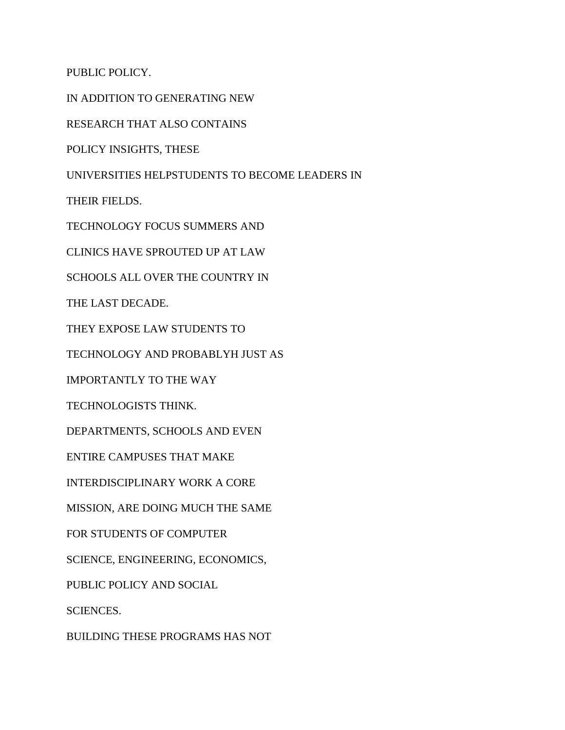PUBLIC POLICY.

IN ADDITION TO GENERATING NEW

RESEARCH THAT ALSO CONTAINS

POLICY INSIGHTS, THESE

UNIVERSITIES HELPSTUDENTS TO BECOME LEADERS IN

THEIR FIELDS.

TECHNOLOGY FOCUS SUMMERS AND

CLINICS HAVE SPROUTED UP AT LAW

SCHOOLS ALL OVER THE COUNTRY IN

THE LAST DECADE.

THEY EXPOSE LAW STUDENTS TO

TECHNOLOGY AND PROBABLYH JUST AS

IMPORTANTLY TO THE WAY

TECHNOLOGISTS THINK.

DEPARTMENTS, SCHOOLS AND EVEN

ENTIRE CAMPUSES THAT MAKE

INTERDISCIPLINARY WORK A CORE

MISSION, ARE DOING MUCH THE SAME

FOR STUDENTS OF COMPUTER

SCIENCE, ENGINEERING, ECONOMICS,

PUBLIC POLICY AND SOCIAL

SCIENCES.

BUILDING THESE PROGRAMS HAS NOT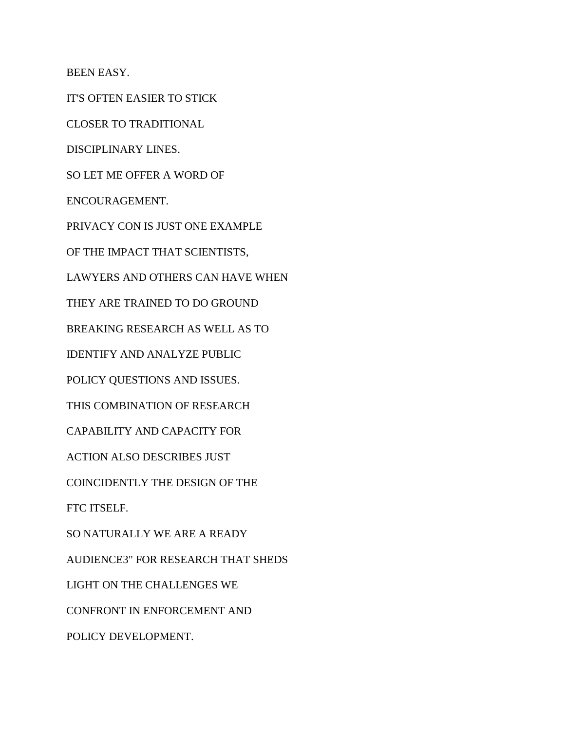BEEN EASY.

IT'S OFTEN EASIER TO STICK

CLOSER TO TRADITIONAL

DISCIPLINARY LINES.

SO LET ME OFFER A WORD OF

ENCOURAGEMENT.

PRIVACY CON IS JUST ONE EXAMPLE

OF THE IMPACT THAT SCIENTISTS,

LAWYERS AND OTHERS CAN HAVE WHEN

THEY ARE TRAINED TO DO GROUND

BREAKING RESEARCH AS WELL AS TO

IDENTIFY AND ANALYZE PUBLIC

POLICY QUESTIONS AND ISSUES.

THIS COMBINATION OF RESEARCH

CAPABILITY AND CAPACITY FOR

ACTION ALSO DESCRIBES JUST

COINCIDENTLY THE DESIGN OF THE

FTC ITSELF.

SO NATURALLY WE ARE A READY

AUDIENCE3" FOR RESEARCH THAT SHEDS

LIGHT ON THE CHALLENGES WE

CONFRONT IN ENFORCEMENT AND

POLICY DEVELOPMENT.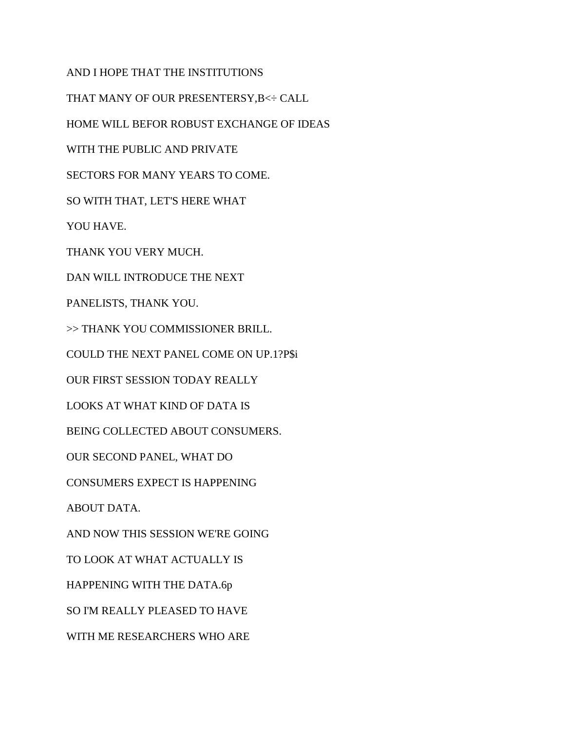AND I HOPE THAT THE INSTITUTIONS THAT MANY OF OUR PRESENTERSY,B<÷ CALL HOME WILL BEFOR ROBUST EXCHANGE OF IDEAS WITH THE PUBLIC AND PRIVATE SECTORS FOR MANY YEARS TO COME. SO WITH THAT, LET'S HERE WHAT YOU HAVE. THANK YOU VERY MUCH. DAN WILL INTRODUCE THE NEXT PANELISTS, THANK YOU. >> THANK YOU COMMISSIONER BRILL. COULD THE NEXT PANEL COME ON UP.1?P\$i OUR FIRST SESSION TODAY REALLY LOOKS AT WHAT KIND OF DATA IS BEING COLLECTED ABOUT CONSUMERS. OUR SECOND PANEL, WHAT DO CONSUMERS EXPECT IS HAPPENING ABOUT DATA. AND NOW THIS SESSION WE'RE GOING TO LOOK AT WHAT ACTUALLY IS HAPPENING WITH THE DATA.6p SO I'M REALLY PLEASED TO HAVE WITH ME RESEARCHERS WHO ARE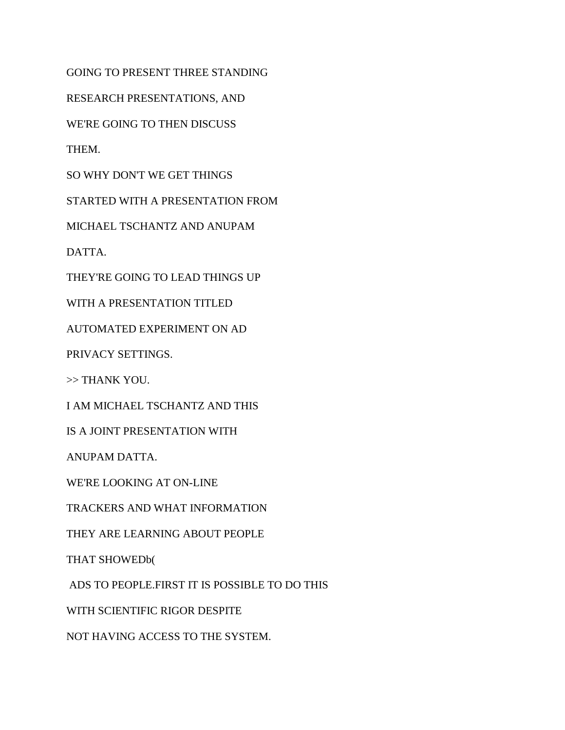GOING TO PRESENT THREE STANDING

RESEARCH PRESENTATIONS, AND

WE'RE GOING TO THEN DISCUSS

THEM.

SO WHY DON'T WE GET THINGS

STARTED WITH A PRESENTATION FROM

MICHAEL TSCHANTZ AND ANUPAM

DATTA.

THEY'RE GOING TO LEAD THINGS UP

WITH A PRESENTATION TITLED

AUTOMATED EXPERIMENT ON AD

PRIVACY SETTINGS.

>> THANK YOU.

I AM MICHAEL TSCHANTZ AND THIS

IS A JOINT PRESENTATION WITH

ANUPAM DATTA.

WE'RE LOOKING AT ON-LINE

TRACKERS AND WHAT INFORMATION

THEY ARE LEARNING ABOUT PEOPLE

THAT SHOWEDb(

ADS TO PEOPLE.FIRST IT IS POSSIBLE TO DO THIS

WITH SCIENTIFIC RIGOR DESPITE

NOT HAVING ACCESS TO THE SYSTEM.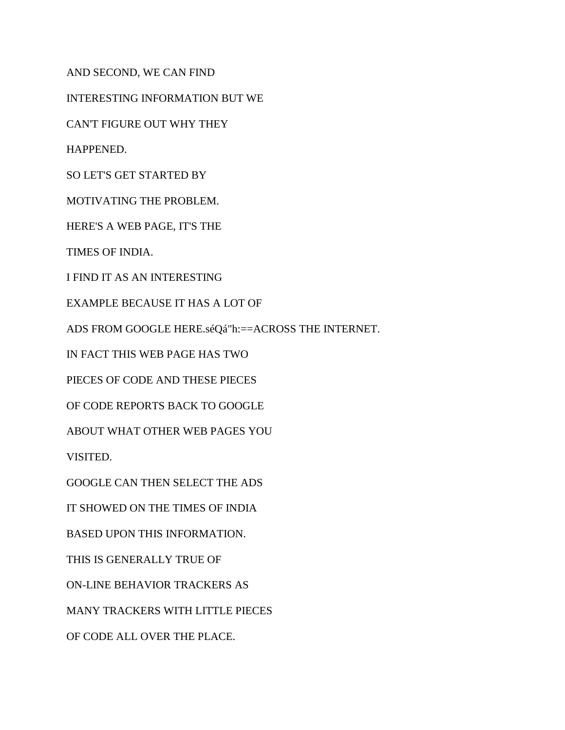AND SECOND, WE CAN FIND

INTERESTING INFORMATION BUT WE

CAN'T FIGURE OUT WHY THEY

HAPPENED.

SO LET'S GET STARTED BY

MOTIVATING THE PROBLEM.

HERE'S A WEB PAGE, IT'S THE

TIMES OF INDIA.

I FIND IT AS AN INTERESTING

EXAMPLE BECAUSE IT HAS A LOT OF

ADS FROM GOOGLE HERE.séQá"h:==ACROSS THE INTERNET.

IN FACT THIS WEB PAGE HAS TWO

PIECES OF CODE AND THESE PIECES

OF CODE REPORTS BACK TO GOOGLE

ABOUT WHAT OTHER WEB PAGES YOU

VISITED.

GOOGLE CAN THEN SELECT THE ADS

IT SHOWED ON THE TIMES OF INDIA

BASED UPON THIS INFORMATION.

THIS IS GENERALLY TRUE OF

ON-LINE BEHAVIOR TRACKERS AS

MANY TRACKERS WITH LITTLE PIECES

OF CODE ALL OVER THE PLACE.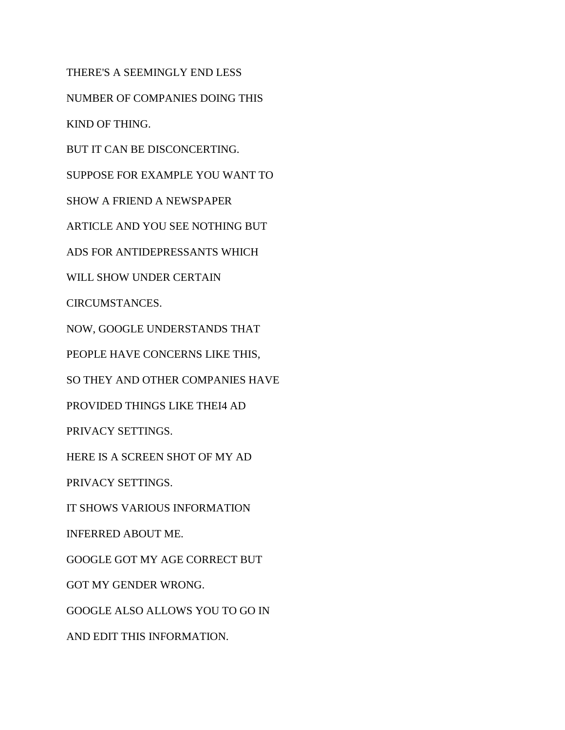THERE'S A SEEMINGLY END LESS

NUMBER OF COMPANIES DOING THIS

KIND OF THING.

BUT IT CAN BE DISCONCERTING.

SUPPOSE FOR EXAMPLE YOU WANT TO

SHOW A FRIEND A NEWSPAPER

ARTICLE AND YOU SEE NOTHING BUT

ADS FOR ANTIDEPRESSANTS WHICH

WILL SHOW UNDER CERTAIN

CIRCUMSTANCES.

NOW, GOOGLE UNDERSTANDS THAT

PEOPLE HAVE CONCERNS LIKE THIS,

SO THEY AND OTHER COMPANIES HAVE

PROVIDED THINGS LIKE THEI4 AD

PRIVACY SETTINGS.

HERE IS A SCREEN SHOT OF MY AD

PRIVACY SETTINGS.

IT SHOWS VARIOUS INFORMATION

INFERRED ABOUT ME.

GOOGLE GOT MY AGE CORRECT BUT

GOT MY GENDER WRONG.

GOOGLE ALSO ALLOWS YOU TO GO IN

AND EDIT THIS INFORMATION.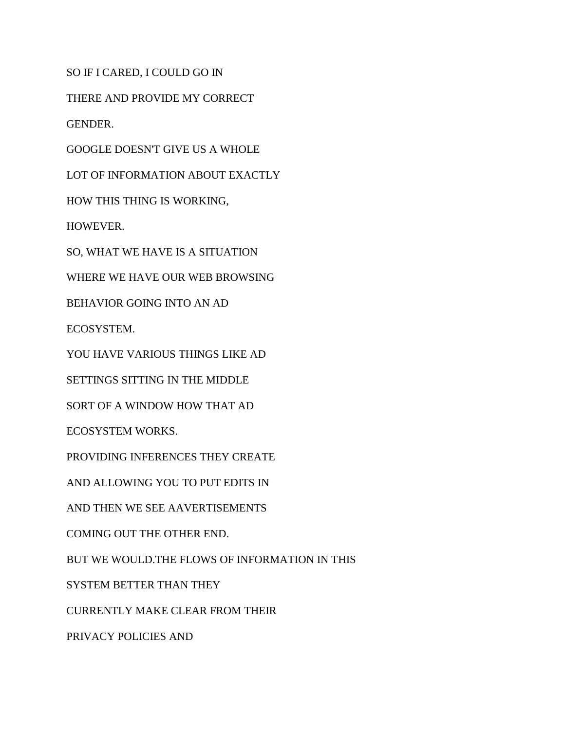SO IF I CARED, I COULD GO IN

THERE AND PROVIDE MY CORRECT

GENDER.

GOOGLE DOESN'T GIVE US A WHOLE

LOT OF INFORMATION ABOUT EXACTLY

HOW THIS THING IS WORKING,

HOWEVER.

SO, WHAT WE HAVE IS A SITUATION

WHERE WE HAVE OUR WEB BROWSING

BEHAVIOR GOING INTO AN AD

ECOSYSTEM.

YOU HAVE VARIOUS THINGS LIKE AD

SETTINGS SITTING IN THE MIDDLE

SORT OF A WINDOW HOW THAT AD

ECOSYSTEM WORKS.

PROVIDING INFERENCES THEY CREATE

AND ALLOWING YOU TO PUT EDITS IN

AND THEN WE SEE AAVERTISEMENTS

COMING OUT THE OTHER END.

BUT WE WOULD.THE FLOWS OF INFORMATION IN THIS

SYSTEM BETTER THAN THEY

CURRENTLY MAKE CLEAR FROM THEIR

PRIVACY POLICIES AND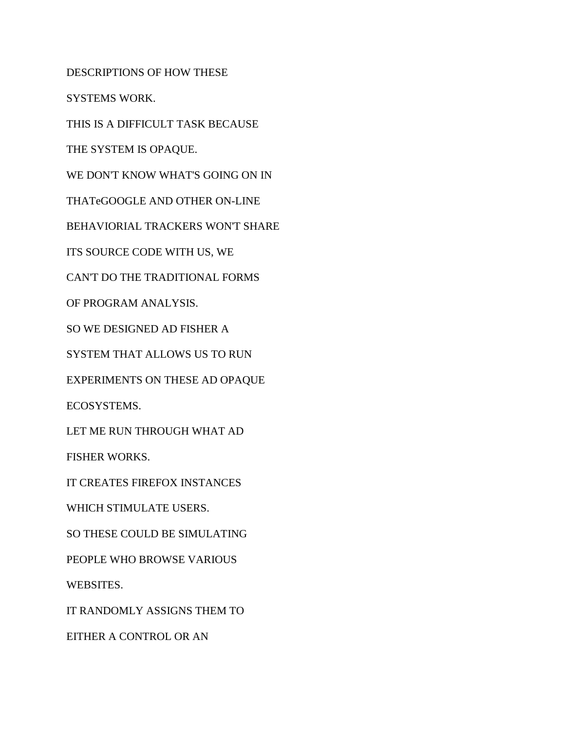DESCRIPTIONS OF HOW THESE

SYSTEMS WORK.

THIS IS A DIFFICULT TASK BECAUSE

THE SYSTEM IS OPAQUE.

WE DON'T KNOW WHAT'S GOING ON IN

THATeGOOGLE AND OTHER ON-LINE

BEHAVIORIAL TRACKERS WON'T SHARE

ITS SOURCE CODE WITH US, WE

CAN'T DO THE TRADITIONAL FORMS

OF PROGRAM ANALYSIS.

SO WE DESIGNED AD FISHER A

SYSTEM THAT ALLOWS US TO RUN

EXPERIMENTS ON THESE AD OPAQUE

ECOSYSTEMS.

LET ME RUN THROUGH WHAT AD

FISHER WORKS.

IT CREATES FIREFOX INSTANCES

WHICH STIMULATE USERS.

SO THESE COULD BE SIMULATING

PEOPLE WHO BROWSE VARIOUS

WEBSITES.

IT RANDOMLY ASSIGNS THEM TO

EITHER A CONTROL OR AN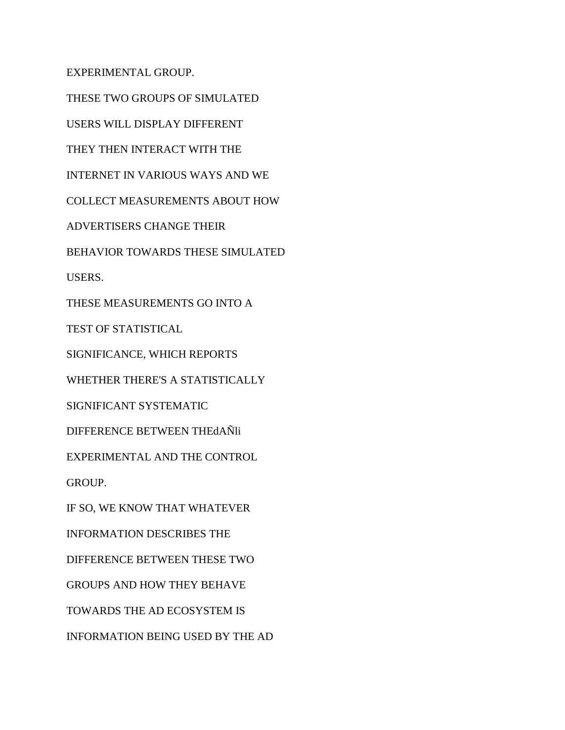EXPERIMENTAL GROUP.

THESE TWO GROUPS OF SIMULATED USERS WILL DISPLAY DIFFERENT THEY THEN INTERACT WITH THE INTERNET IN VARIOUS WAYS AND WE COLLECT MEASUREMENTS ABOUT HOW ADVERTISERS CHANGE THEIR BEHAVIOR TOWARDS THESE SIMULATED USERS. THESE MEASUREMENTS GO INTO A TEST OF STATISTICAL SIGNIFICANCE, WHICH REPORTS WHETHER THERE'S A STATISTICALLY SIGNIFICANT SYSTEMATIC DIFFERENCE BETWEEN THEdAÑli EXPERIMENTAL AND THE CONTROL GROUP. IF SO, WE KNOW THAT WHATEVER INFORMATION DESCRIBES THE DIFFERENCE BETWEEN THESE TWO GROUPS AND HOW THEY BEHAVE TOWARDS THE AD ECOSYSTEM IS INFORMATION BEING USED BY THE AD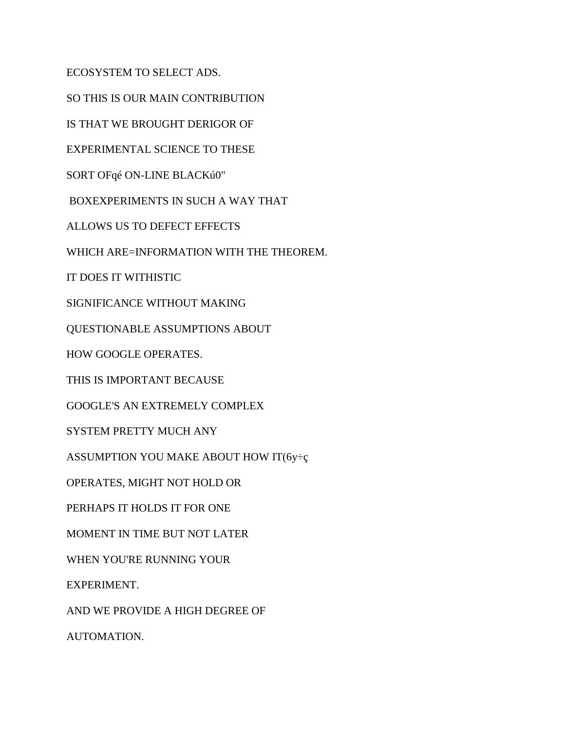ECOSYSTEM TO SELECT ADS.

SO THIS IS OUR MAIN CONTRIBUTION

IS THAT WE BROUGHT DERIGOR OF

EXPERIMENTAL SCIENCE TO THESE

SORT OFqé ON-LINE BLACKú0"

BOXEXPERIMENTS IN SUCH A WAY THAT

ALLOWS US TO DEFECT EFFECTS

WHICH ARE=INFORMATION WITH THE THEOREM.

IT DOES IT WITHISTIC

SIGNIFICANCE WITHOUT MAKING

QUESTIONABLE ASSUMPTIONS ABOUT

HOW GOOGLE OPERATES.

THIS IS IMPORTANT BECAUSE

GOOGLE'S AN EXTREMELY COMPLEX

SYSTEM PRETTY MUCH ANY

ASSUMPTION YOU MAKE ABOUT HOW IT( $6y \div c$ 

OPERATES, MIGHT NOT HOLD OR

PERHAPS IT HOLDS IT FOR ONE

MOMENT IN TIME BUT NOT LATER

WHEN YOU'RE RUNNING YOUR

EXPERIMENT.

AND WE PROVIDE A HIGH DEGREE OF

AUTOMATION.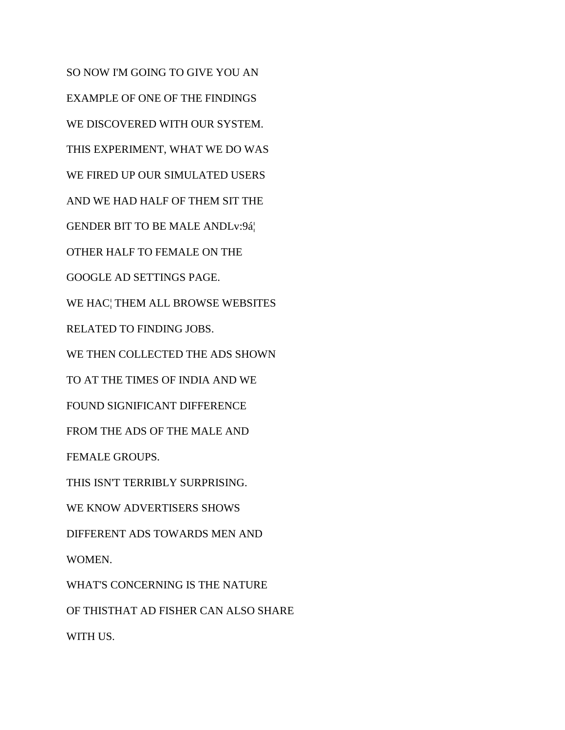SO NOW I'M GOING TO GIVE YOU AN EXAMPLE OF ONE OF THE FINDINGS WE DISCOVERED WITH OUR SYSTEM. THIS EXPERIMENT, WHAT WE DO WAS WE FIRED UP OUR SIMULATED USERS AND WE HAD HALF OF THEM SIT THE GENDER BIT TO BE MALE ANDLv:9á¦ OTHER HALF TO FEMALE ON THE GOOGLE AD SETTINGS PAGE. WE HAC¦ THEM ALL BROWSE WEBSITES RELATED TO FINDING JOBS. WE THEN COLLECTED THE ADS SHOWN TO AT THE TIMES OF INDIA AND WE FOUND SIGNIFICANT DIFFERENCE FROM THE ADS OF THE MALE AND FEMALE GROUPS. THIS ISN'T TERRIBLY SURPRISING. WE KNOW ADVERTISERS SHOWS DIFFERENT ADS TOWARDS MEN AND WOMEN. WHAT'S CONCERNING IS THE NATURE OF THISTHAT AD FISHER CAN ALSO SHARE

WITH US.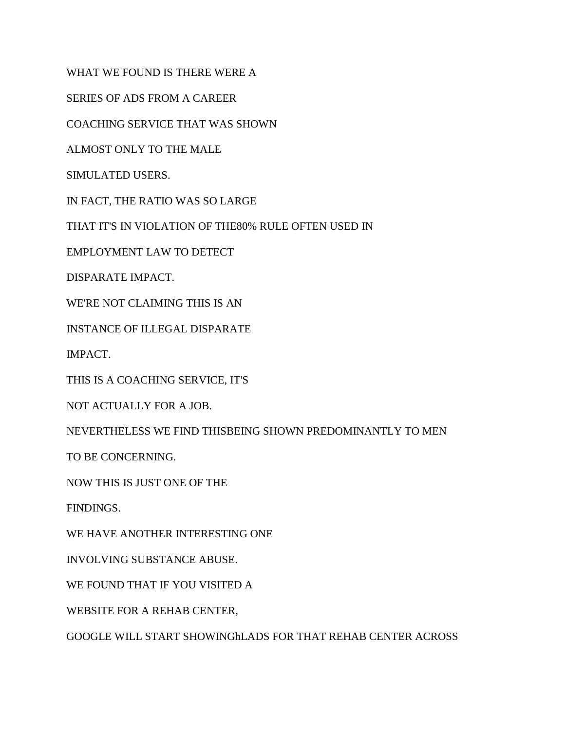WHAT WE FOUND IS THERE WERE A

SERIES OF ADS FROM A CAREER

COACHING SERVICE THAT WAS SHOWN

ALMOST ONLY TO THE MALE

SIMULATED USERS.

IN FACT, THE RATIO WAS SO LARGE

THAT IT'S IN VIOLATION OF THE80% RULE OFTEN USED IN

EMPLOYMENT LAW TO DETECT

DISPARATE IMPACT.

WE'RE NOT CLAIMING THIS IS AN

INSTANCE OF ILLEGAL DISPARATE

IMPACT.

THIS IS A COACHING SERVICE, IT'S

NOT ACTUALLY FOR A JOB.

NEVERTHELESS WE FIND THISBEING SHOWN PREDOMINANTLY TO MEN

TO BE CONCERNING.

NOW THIS IS JUST ONE OF THE

FINDINGS.

WE HAVE ANOTHER INTERESTING ONE

INVOLVING SUBSTANCE ABUSE.

WE FOUND THAT IF YOU VISITED A

WEBSITE FOR A REHAB CENTER,

GOOGLE WILL START SHOWINGhLADS FOR THAT REHAB CENTER ACROSS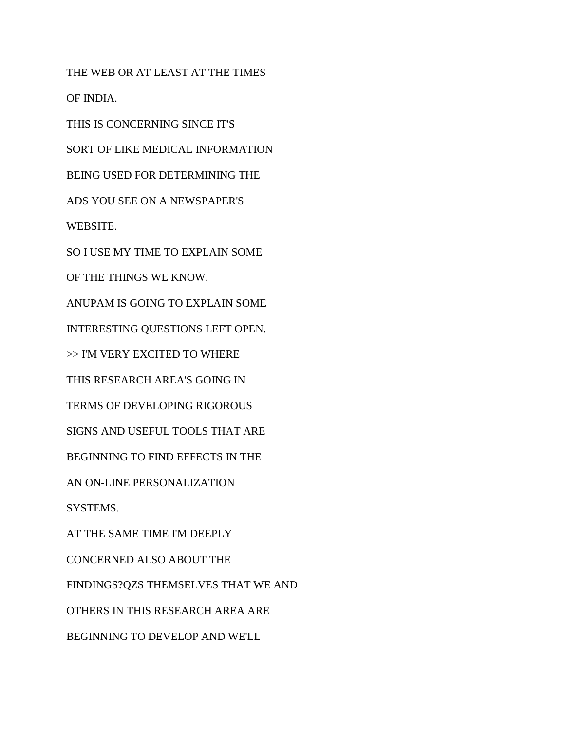THE WEB OR AT LEAST AT THE TIMES OF INDIA. THIS IS CONCERNING SINCE IT'S SORT OF LIKE MEDICAL INFORMATION BEING USED FOR DETERMINING THE ADS YOU SEE ON A NEWSPAPER'S WEBSITE. SO I USE MY TIME TO EXPLAIN SOME OF THE THINGS WE KNOW. ANUPAM IS GOING TO EXPLAIN SOME INTERESTING QUESTIONS LEFT OPEN. >> I'M VERY EXCITED TO WHERE THIS RESEARCH AREA'S GOING IN TERMS OF DEVELOPING RIGOROUS SIGNS AND USEFUL TOOLS THAT ARE BEGINNING TO FIND EFFECTS IN THE AN ON-LINE PERSONALIZATION SYSTEMS. AT THE SAME TIME I'M DEEPLY CONCERNED ALSO ABOUT THE FINDINGS?QZS THEMSELVES THAT WE AND OTHERS IN THIS RESEARCH AREA ARE BEGINNING TO DEVELOP AND WE'LL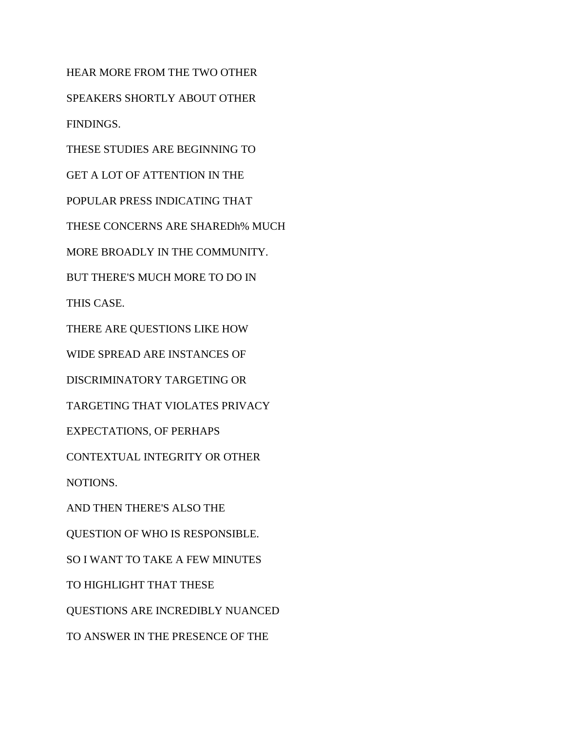HEAR MORE FROM THE TWO OTHER SPEAKERS SHORTLY ABOUT OTHER FINDINGS. THESE STUDIES ARE BEGINNING TO GET A LOT OF ATTENTION IN THE POPULAR PRESS INDICATING THAT THESE CONCERNS ARE SHAREDh% MUCH MORE BROADLY IN THE COMMUNITY. BUT THERE'S MUCH MORE TO DO IN THIS CASE. THERE ARE QUESTIONS LIKE HOW WIDE SPREAD ARE INSTANCES OF DISCRIMINATORY TARGETING OR TARGETING THAT VIOLATES PRIVACY EXPECTATIONS, OF PERHAPS CONTEXTUAL INTEGRITY OR OTHER NOTIONS. AND THEN THERE'S ALSO THE QUESTION OF WHO IS RESPONSIBLE. SO I WANT TO TAKE A FEW MINUTES

TO HIGHLIGHT THAT THESE

QUESTIONS ARE INCREDIBLY NUANCED

TO ANSWER IN THE PRESENCE OF THE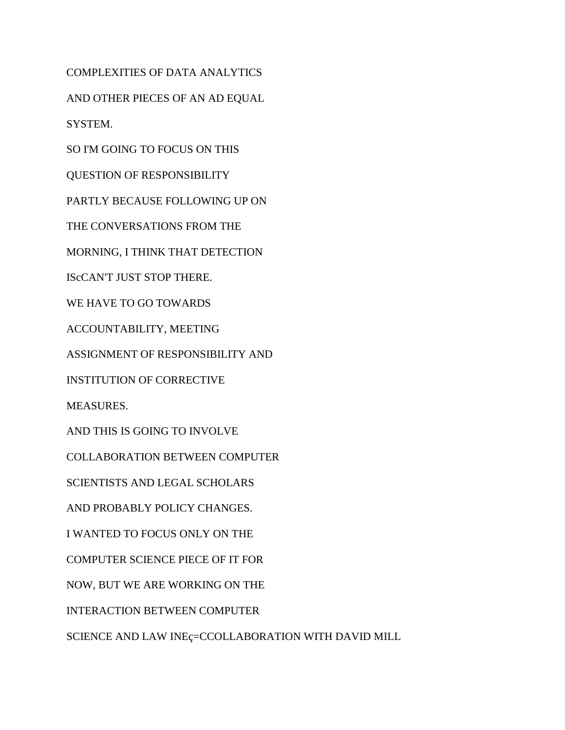AND OTHER PIECES OF AN AD EQUAL SYSTEM. SO I'M GOING TO FOCUS ON THIS QUESTION OF RESPONSIBILITY PARTLY BECAUSE FOLLOWING UP ON THE CONVERSATIONS FROM THE MORNING, I THINK THAT DETECTION IScCAN'T JUST STOP THERE. WE HAVE TO GO TOWARDS ACCOUNTABILITY, MEETING ASSIGNMENT OF RESPONSIBILITY AND INSTITUTION OF CORRECTIVE MEASURES. AND THIS IS GOING TO INVOLVE COLLABORATION BETWEEN COMPUTER SCIENTISTS AND LEGAL SCHOLARS AND PROBABLY POLICY CHANGES. I WANTED TO FOCUS ONLY ON THE COMPUTER SCIENCE PIECE OF IT FOR NOW, BUT WE ARE WORKING ON THE INTERACTION BETWEEN COMPUTER SCIENCE AND LAW INEç=CCOLLABORATION WITH DAVID MILL

COMPLEXITIES OF DATA ANALYTICS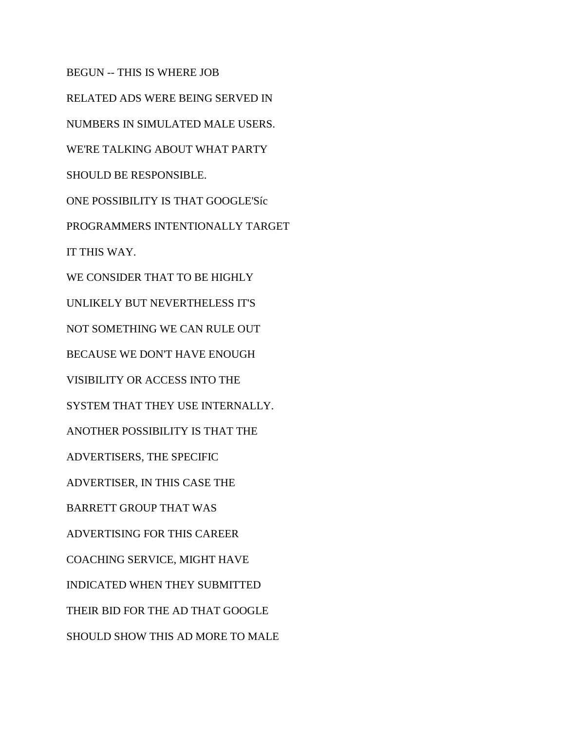BEGUN -- THIS IS WHERE JOB RELATED ADS WERE BEING SERVED IN NUMBERS IN SIMULATED MALE USERS. WE'RE TALKING ABOUT WHAT PARTY SHOULD BE RESPONSIBLE. ONE POSSIBILITY IS THAT GOOGLE'Síc PROGRAMMERS INTENTIONALLY TARGET IT THIS WAY. WE CONSIDER THAT TO BE HIGHLY UNLIKELY BUT NEVERTHELESS IT'S NOT SOMETHING WE CAN RULE OUT BECAUSE WE DON'T HAVE ENOUGH VISIBILITY OR ACCESS INTO THE SYSTEM THAT THEY USE INTERNALLY. ANOTHER POSSIBILITY IS THAT THE ADVERTISERS, THE SPECIFIC ADVERTISER, IN THIS CASE THE BARRETT GROUP THAT WAS ADVERTISING FOR THIS CAREER COACHING SERVICE, MIGHT HAVE INDICATED WHEN THEY SUBMITTED THEIR BID FOR THE AD THAT GOOGLE SHOULD SHOW THIS AD MORE TO MALE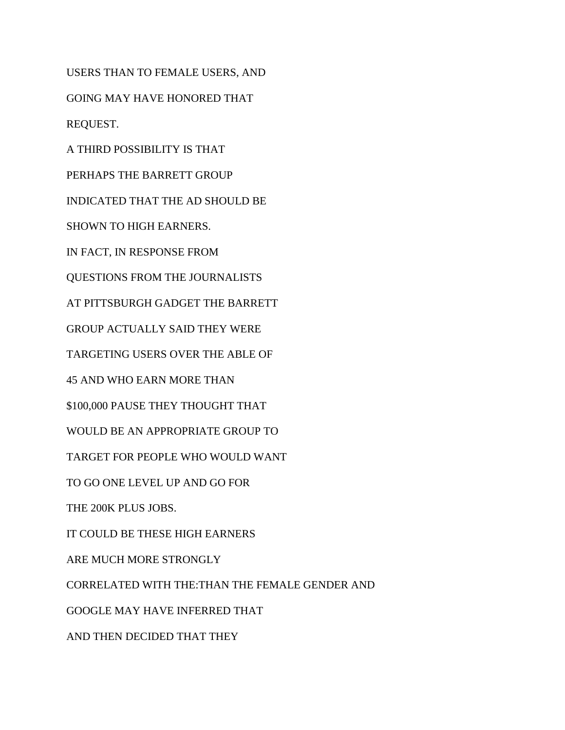USERS THAN TO FEMALE USERS, AND GOING MAY HAVE HONORED THAT REQUEST. A THIRD POSSIBILITY IS THAT PERHAPS THE BARRETT GROUP INDICATED THAT THE AD SHOULD BE SHOWN TO HIGH EARNERS. IN FACT, IN RESPONSE FROM QUESTIONS FROM THE JOURNALISTS AT PITTSBURGH GADGET THE BARRETT GROUP ACTUALLY SAID THEY WERE TARGETING USERS OVER THE ABLE OF 45 AND WHO EARN MORE THAN \$100,000 PAUSE THEY THOUGHT THAT WOULD BE AN APPROPRIATE GROUP TO TARGET FOR PEOPLE WHO WOULD WANT TO GO ONE LEVEL UP AND GO FOR THE 200K PLUS JOBS. IT COULD BE THESE HIGH EARNERS ARE MUCH MORE STRONGLY CORRELATED WITH THE:THAN THE FEMALE GENDER AND GOOGLE MAY HAVE INFERRED THAT AND THEN DECIDED THAT THEY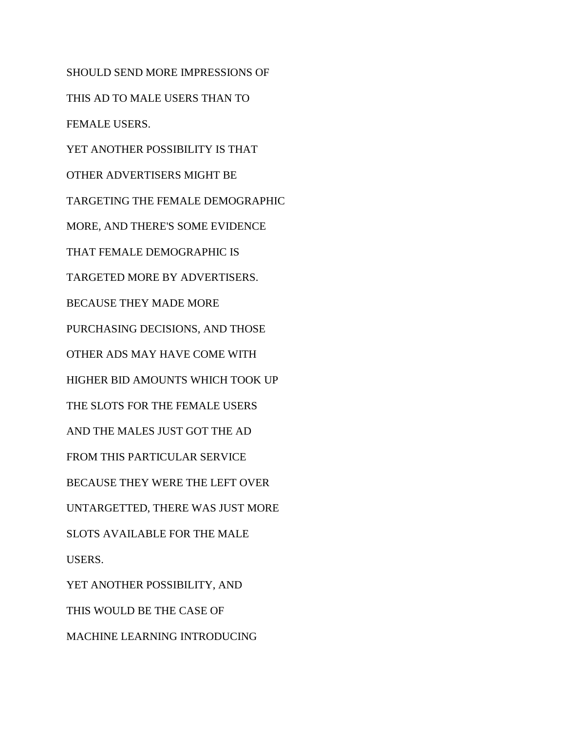SHOULD SEND MORE IMPRESSIONS OF THIS AD TO MALE USERS THAN TO FEMALE USERS. YET ANOTHER POSSIBILITY IS THAT OTHER ADVERTISERS MIGHT BE TARGETING THE FEMALE DEMOGRAPHIC MORE, AND THERE'S SOME EVIDENCE THAT FEMALE DEMOGRAPHIC IS TARGETED MORE BY ADVERTISERS. BECAUSE THEY MADE MORE PURCHASING DECISIONS, AND THOSE OTHER ADS MAY HAVE COME WITH HIGHER BID AMOUNTS WHICH TOOK UP THE SLOTS FOR THE FEMALE USERS AND THE MALES JUST GOT THE AD FROM THIS PARTICULAR SERVICE BECAUSE THEY WERE THE LEFT OVER UNTARGETTED, THERE WAS JUST MORE SLOTS AVAILABLE FOR THE MALE USERS. YET ANOTHER POSSIBILITY, AND THIS WOULD BE THE CASE OF MACHINE LEARNING INTRODUCING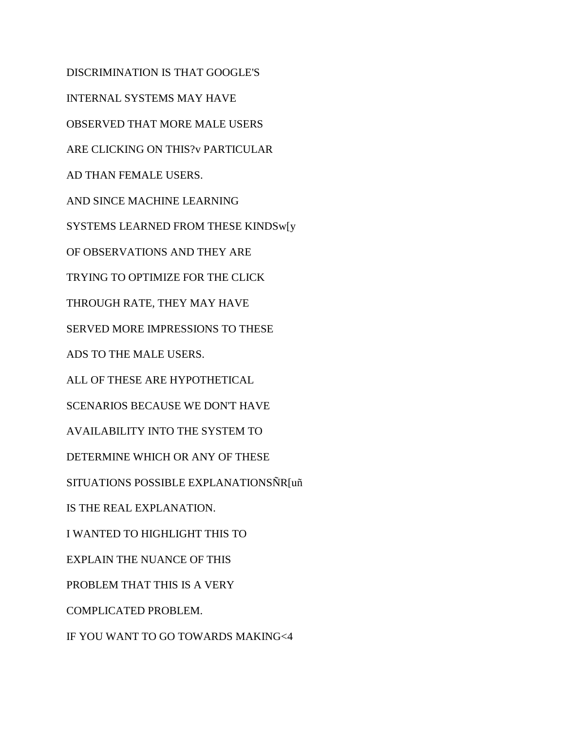DISCRIMINATION IS THAT GOOGLE'S INTERNAL SYSTEMS MAY HAVE OBSERVED THAT MORE MALE USERS ARE CLICKING ON THIS?v PARTICULAR AD THAN FEMALE USERS. AND SINCE MACHINE LEARNING SYSTEMS LEARNED FROM THESE KINDSw[y OF OBSERVATIONS AND THEY ARE TRYING TO OPTIMIZE FOR THE CLICK THROUGH RATE, THEY MAY HAVE SERVED MORE IMPRESSIONS TO THESE ADS TO THE MALE USERS. ALL OF THESE ARE HYPOTHETICAL SCENARIOS BECAUSE WE DON'T HAVE AVAILABILITY INTO THE SYSTEM TO DETERMINE WHICH OR ANY OF THESE SITUATIONS POSSIBLE EXPLANATIONSÑR[uñ IS THE REAL EXPLANATION. I WANTED TO HIGHLIGHT THIS TO EXPLAIN THE NUANCE OF THIS PROBLEM THAT THIS IS A VERY COMPLICATED PROBLEM. IF YOU WANT TO GO TOWARDS MAKING<4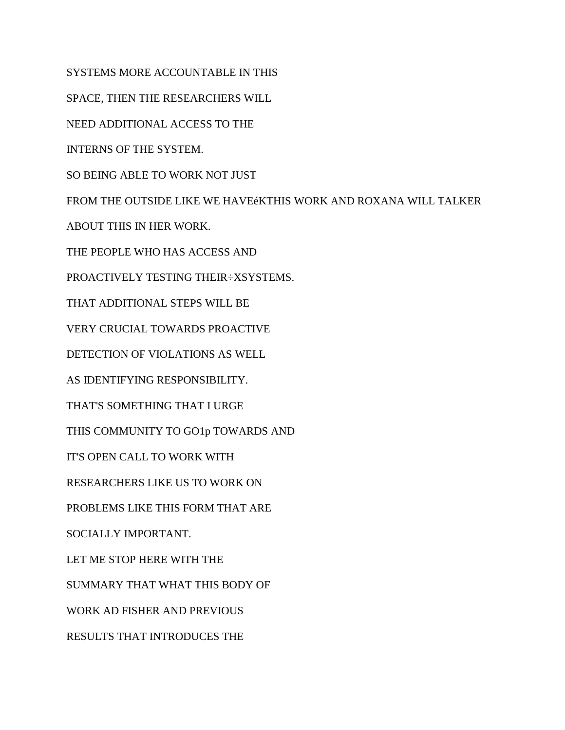SYSTEMS MORE ACCOUNTABLE IN THIS

SPACE, THEN THE RESEARCHERS WILL

NEED ADDITIONAL ACCESS TO THE

INTERNS OF THE SYSTEM.

SO BEING ABLE TO WORK NOT JUST

FROM THE OUTSIDE LIKE WE HAVEéKTHIS WORK AND ROXANA WILL TALKER

ABOUT THIS IN HER WORK.

THE PEOPLE WHO HAS ACCESS AND

PROACTIVELY TESTING THEIR÷XSYSTEMS.

THAT ADDITIONAL STEPS WILL BE

VERY CRUCIAL TOWARDS PROACTIVE

DETECTION OF VIOLATIONS AS WELL

AS IDENTIFYING RESPONSIBILITY.

THAT'S SOMETHING THAT I URGE

THIS COMMUNITY TO GO1p TOWARDS AND

IT'S OPEN CALL TO WORK WITH

RESEARCHERS LIKE US TO WORK ON

PROBLEMS LIKE THIS FORM THAT ARE

SOCIALLY IMPORTANT.

LET ME STOP HERE WITH THE

SUMMARY THAT WHAT THIS BODY OF

WORK AD FISHER AND PREVIOUS

RESULTS THAT INTRODUCES THE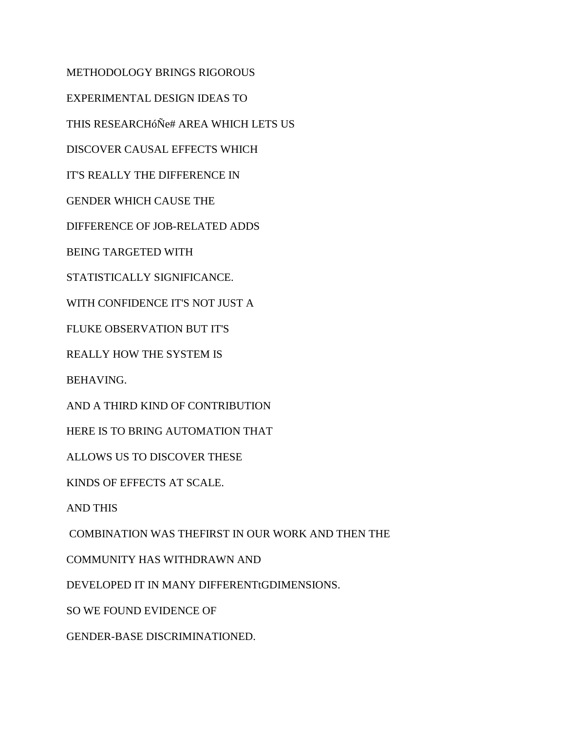METHODOLOGY BRINGS RIGOROUS

EXPERIMENTAL DESIGN IDEAS TO

THIS RESEARCHóÑe# AREA WHICH LETS US

DISCOVER CAUSAL EFFECTS WHICH

IT'S REALLY THE DIFFERENCE IN

GENDER WHICH CAUSE THE

DIFFERENCE OF JOB-RELATED ADDS

BEING TARGETED WITH

STATISTICALLY SIGNIFICANCE.

WITH CONFIDENCE IT'S NOT JUST A

FLUKE OBSERVATION BUT IT'S

REALLY HOW THE SYSTEM IS

BEHAVING.

AND A THIRD KIND OF CONTRIBUTION

HERE IS TO BRING AUTOMATION THAT

ALLOWS US TO DISCOVER THESE

KINDS OF EFFECTS AT SCALE.

AND THIS

COMBINATION WAS THEFIRST IN OUR WORK AND THEN THE

COMMUNITY HAS WITHDRAWN AND

DEVELOPED IT IN MANY DIFFERENTtGDIMENSIONS.

SO WE FOUND EVIDENCE OF

GENDER-BASE DISCRIMINATIONED.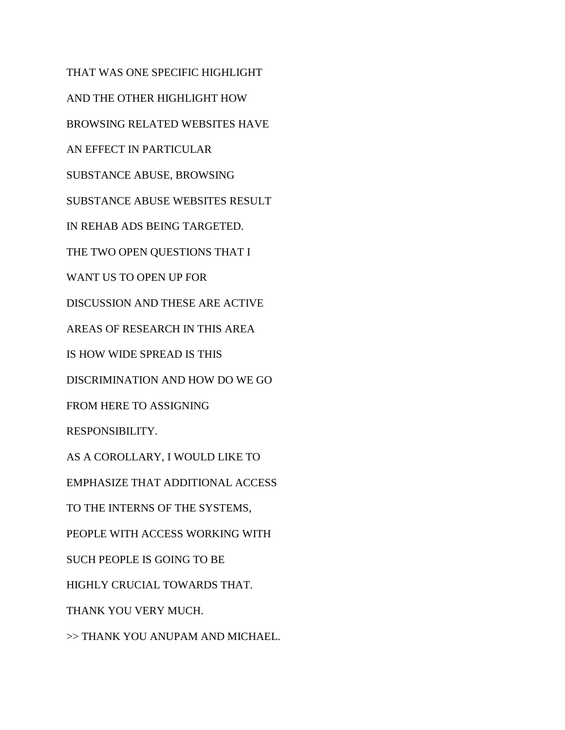THAT WAS ONE SPECIFIC HIGHLIGHT AND THE OTHER HIGHLIGHT HOW BROWSING RELATED WEBSITES HAVE AN EFFECT IN PARTICULAR SUBSTANCE ABUSE, BROWSING SUBSTANCE ABUSE WEBSITES RESULT IN REHAB ADS BEING TARGETED. THE TWO OPEN QUESTIONS THAT I WANT US TO OPEN UP FOR DISCUSSION AND THESE ARE ACTIVE AREAS OF RESEARCH IN THIS AREA IS HOW WIDE SPREAD IS THIS DISCRIMINATION AND HOW DO WE GO FROM HERE TO ASSIGNING RESPONSIBILITY. AS A COROLLARY, I WOULD LIKE TO EMPHASIZE THAT ADDITIONAL ACCESS TO THE INTERNS OF THE SYSTEMS, PEOPLE WITH ACCESS WORKING WITH SUCH PEOPLE IS GOING TO BE HIGHLY CRUCIAL TOWARDS THAT. THANK YOU VERY MUCH. >> THANK YOU ANUPAM AND MICHAEL.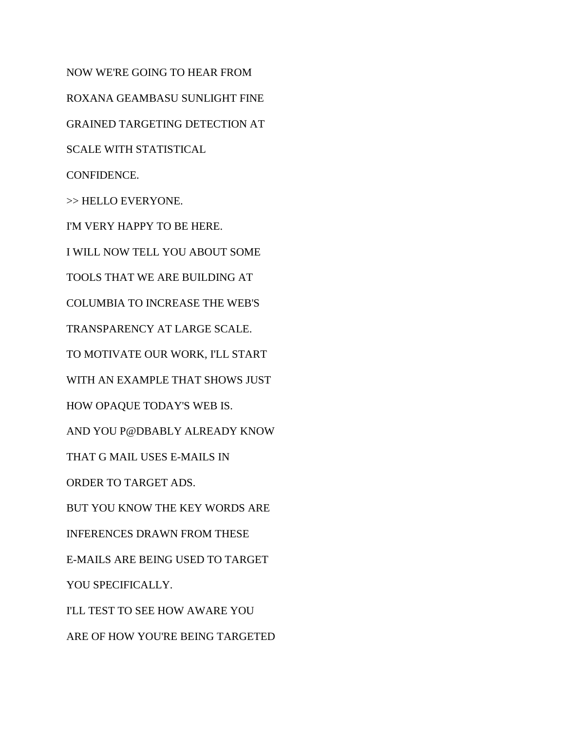NOW WE'RE GOING TO HEAR FROM ROXANA GEAMBASU SUNLIGHT FINE GRAINED TARGETING DETECTION AT SCALE WITH STATISTICAL CONFIDENCE. >> HELLO EVERYONE. I'M VERY HAPPY TO BE HERE. I WILL NOW TELL YOU ABOUT SOME TOOLS THAT WE ARE BUILDING AT COLUMBIA TO INCREASE THE WEB'S TRANSPARENCY AT LARGE SCALE. TO MOTIVATE OUR WORK, I'LL START WITH AN EXAMPLE THAT SHOWS JUST HOW OPAQUE TODAY'S WEB IS. AND YOU P@DBABLY ALREADY KNOW THAT G MAIL USES E-MAILS IN ORDER TO TARGET ADS. BUT YOU KNOW THE KEY WORDS ARE INFERENCES DRAWN FROM THESE E-MAILS ARE BEING USED TO TARGET YOU SPECIFICALLY. I'LL TEST TO SEE HOW AWARE YOU ARE OF HOW YOU'RE BEING TARGETED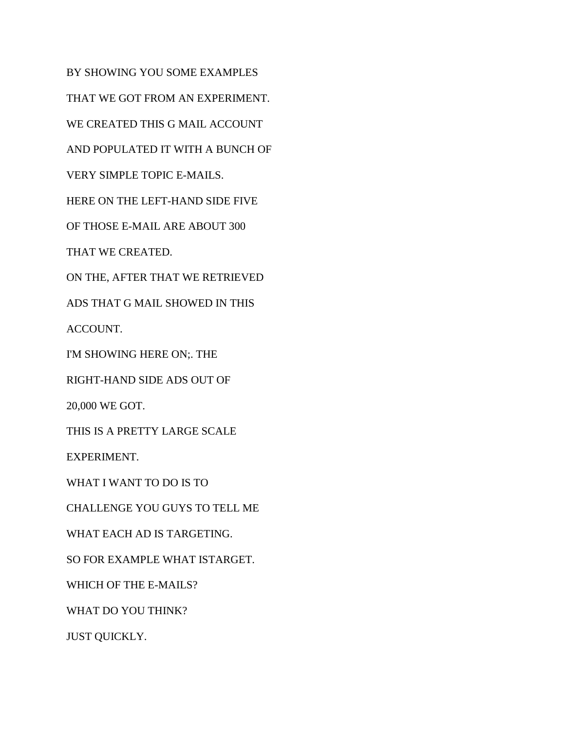BY SHOWING YOU SOME EXAMPLES THAT WE GOT FROM AN EXPERIMENT. WE CREATED THIS G MAIL ACCOUNT AND POPULATED IT WITH A BUNCH OF VERY SIMPLE TOPIC E-MAILS. HERE ON THE LEFT-HAND SIDE FIVE OF THOSE E-MAIL ARE ABOUT 300 THAT WE CREATED. ON THE, AFTER THAT WE RETRIEVED ADS THAT G MAIL SHOWED IN THIS ACCOUNT. I'M SHOWING HERE ON;. THE RIGHT-HAND SIDE ADS OUT OF 20,000 WE GOT. THIS IS A PRETTY LARGE SCALE EXPERIMENT. WHAT I WANT TO DO IS TO CHALLENGE YOU GUYS TO TELL ME WHAT EACH AD IS TARGETING. SO FOR EXAMPLE WHAT ISTARGET. WHICH OF THE E-MAILS? WHAT DO YOU THINK? JUST QUICKLY.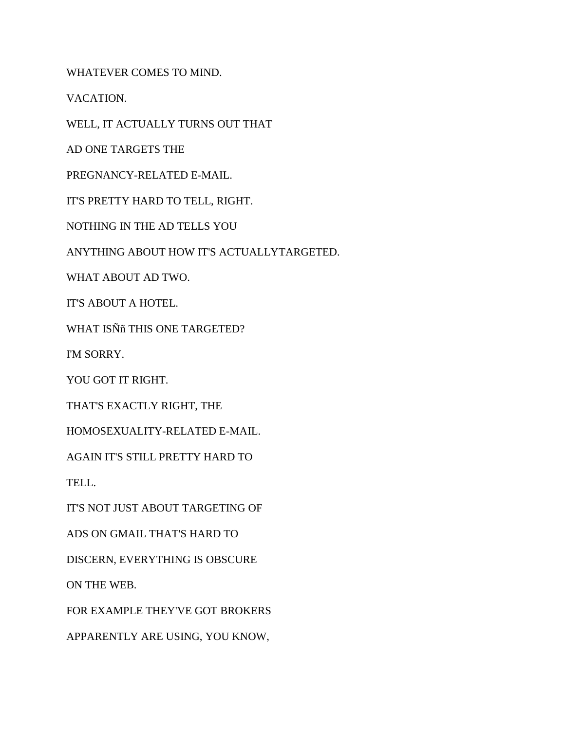WHATEVER COMES TO MIND.

VACATION.

WELL, IT ACTUALLY TURNS OUT THAT

AD ONE TARGETS THE

PREGNANCY-RELATED E-MAIL.

IT'S PRETTY HARD TO TELL, RIGHT.

NOTHING IN THE AD TELLS YOU

ANYTHING ABOUT HOW IT'S ACTUALLYTARGETED.

WHAT ABOUT AD TWO.

IT'S ABOUT A HOTEL.

WHAT ISÑñ THIS ONE TARGETED?

I'M SORRY.

YOU GOT IT RIGHT.

THAT'S EXACTLY RIGHT, THE

HOMOSEXUALITY-RELATED E-MAIL.

AGAIN IT'S STILL PRETTY HARD TO

TELL.

IT'S NOT JUST ABOUT TARGETING OF

ADS ON GMAIL THAT'S HARD TO

DISCERN, EVERYTHING IS OBSCURE

ON THE WEB.

FOR EXAMPLE THEY'VE GOT BROKERS

APPARENTLY ARE USING, YOU KNOW,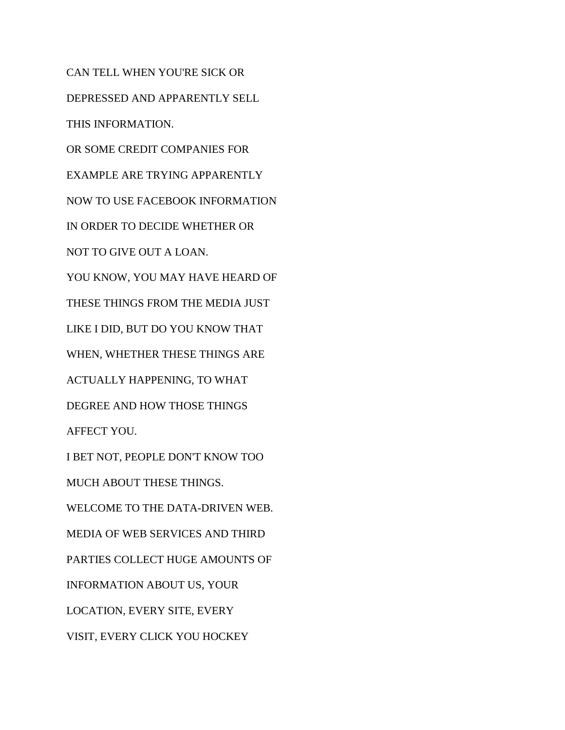CAN TELL WHEN YOU'RE SICK OR DEPRESSED AND APPARENTLY SELL THIS INFORMATION. OR SOME CREDIT COMPANIES FOR EXAMPLE ARE TRYING APPARENTLY NOW TO USE FACEBOOK INFORMATION IN ORDER TO DECIDE WHETHER OR NOT TO GIVE OUT A LOAN. YOU KNOW, YOU MAY HAVE HEARD OF THESE THINGS FROM THE MEDIA JUST LIKE I DID, BUT DO YOU KNOW THAT WHEN, WHETHER THESE THINGS ARE ACTUALLY HAPPENING, TO WHAT DEGREE AND HOW THOSE THINGS AFFECT YOU. I BET NOT, PEOPLE DON'T KNOW TOO MUCH ABOUT THESE THINGS. WELCOME TO THE DATA-DRIVEN WEB. MEDIA OF WEB SERVICES AND THIRD PARTIES COLLECT HUGE AMOUNTS OF INFORMATION ABOUT US, YOUR LOCATION, EVERY SITE, EVERY VISIT, EVERY CLICK YOU HOCKEY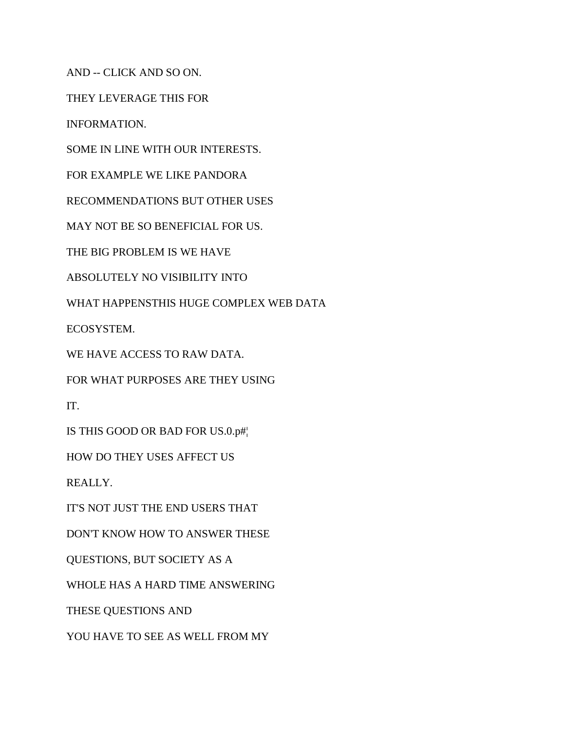AND -- CLICK AND SO ON.

THEY LEVERAGE THIS FOR

INFORMATION.

SOME IN LINE WITH OUR INTERESTS.

FOR EXAMPLE WE LIKE PANDORA

RECOMMENDATIONS BUT OTHER USES

MAY NOT BE SO BENEFICIAL FOR US.

THE BIG PROBLEM IS WE HAVE

ABSOLUTELY NO VISIBILITY INTO

WHAT HAPPENSTHIS HUGE COMPLEX WEB DATA

ECOSYSTEM.

WE HAVE ACCESS TO RAW DATA.

FOR WHAT PURPOSES ARE THEY USING

IT.

IS THIS GOOD OR BAD FOR US.0.p#¦

HOW DO THEY USES AFFECT US

REALLY.

IT'S NOT JUST THE END USERS THAT

DON'T KNOW HOW TO ANSWER THESE

QUESTIONS, BUT SOCIETY AS A

WHOLE HAS A HARD TIME ANSWERING

THESE QUESTIONS AND

YOU HAVE TO SEE AS WELL FROM MY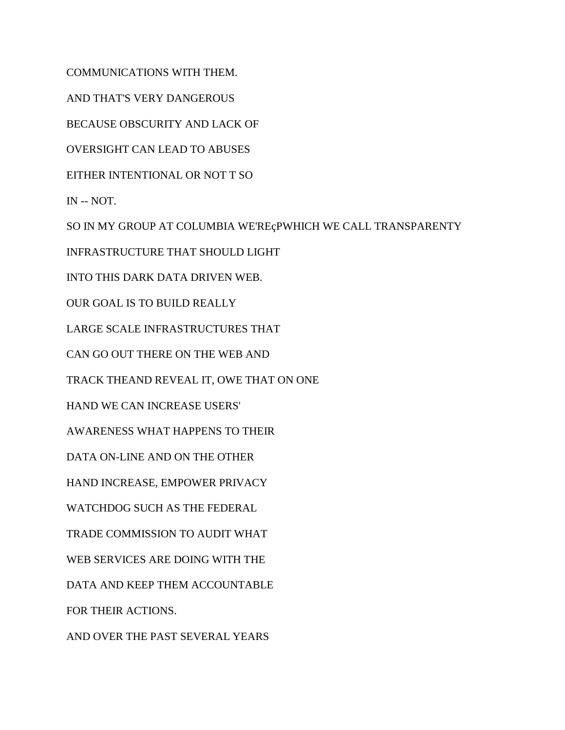COMMUNICATIONS WITH THEM.

AND THAT'S VERY DANGEROUS

BECAUSE OBSCURITY AND LACK OF

OVERSIGHT CAN LEAD TO ABUSES

EITHER INTENTIONAL OR NOT T SO

IN -- NOT.

SO IN MY GROUP AT COLUMBIA WE'REçPWHICH WE CALL TRANSPARENTY

INFRASTRUCTURE THAT SHOULD LIGHT

INTO THIS DARK DATA DRIVEN WEB.

OUR GOAL IS TO BUILD REALLY

LARGE SCALE INFRASTRUCTURES THAT

CAN GO OUT THERE ON THE WEB AND

TRACK THEAND REVEAL IT, OWE THAT ON ONE

HAND WE CAN INCREASE USERS'

AWARENESS WHAT HAPPENS TO THEIR

DATA ON-LINE AND ON THE OTHER

HAND INCREASE, EMPOWER PRIVACY

WATCHDOG SUCH AS THE FEDERAL

TRADE COMMISSION TO AUDIT WHAT

WEB SERVICES ARE DOING WITH THE

DATA AND KEEP THEM ACCOUNTABLE

FOR THEIR ACTIONS.

AND OVER THE PAST SEVERAL YEARS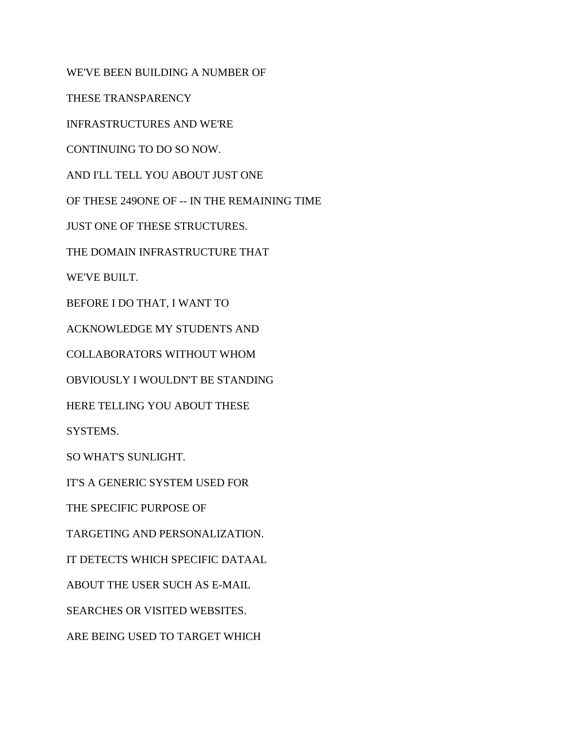WE'VE BEEN BUILDING A NUMBER OF

THESE TRANSPARENCY

INFRASTRUCTURES AND WE'RE

CONTINUING TO DO SO NOW.

AND I'LL TELL YOU ABOUT JUST ONE

OF THESE 249ONE OF -- IN THE REMAINING TIME

JUST ONE OF THESE STRUCTURES.

THE DOMAIN INFRASTRUCTURE THAT

WE'VE BUILT.

BEFORE I DO THAT, I WANT TO

ACKNOWLEDGE MY STUDENTS AND

COLLABORATORS WITHOUT WHOM

OBVIOUSLY I WOULDN'T BE STANDING

HERE TELLING YOU ABOUT THESE

SYSTEMS.

SO WHAT'S SUNLIGHT.

IT'S A GENERIC SYSTEM USED FOR

THE SPECIFIC PURPOSE OF

TARGETING AND PERSONALIZATION.

IT DETECTS WHICH SPECIFIC DATAAL

ABOUT THE USER SUCH AS E-MAIL

SEARCHES OR VISITED WEBSITES.

ARE BEING USED TO TARGET WHICH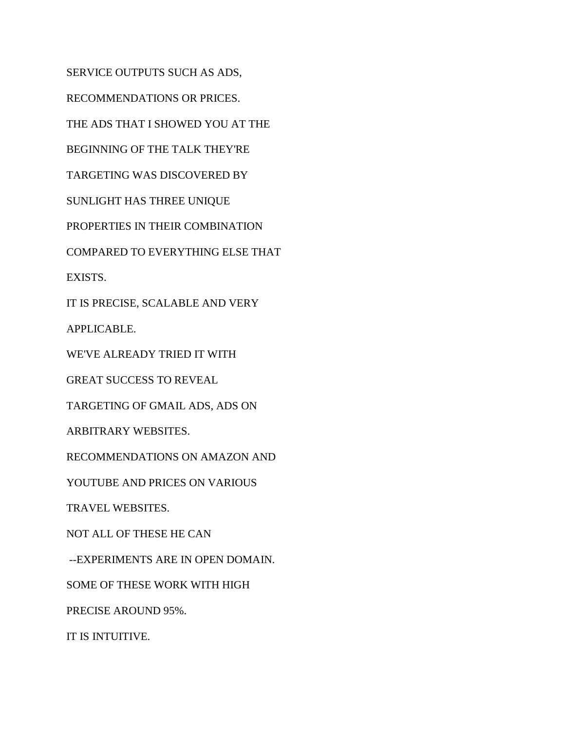SERVICE OUTPUTS SUCH AS ADS, RECOMMENDATIONS OR PRICES. THE ADS THAT I SHOWED YOU AT THE BEGINNING OF THE TALK THEY'RE TARGETING WAS DISCOVERED BY SUNLIGHT HAS THREE UNIQUE PROPERTIES IN THEIR COMBINATION COMPARED TO EVERYTHING ELSE THAT EXISTS. IT IS PRECISE, SCALABLE AND VERY APPLICABLE. WE'VE ALREADY TRIED IT WITH GREAT SUCCESS TO REVEAL TARGETING OF GMAIL ADS, ADS ON ARBITRARY WEBSITES. RECOMMENDATIONS ON AMAZON AND YOUTUBE AND PRICES ON VARIOUS TRAVEL WEBSITES. NOT ALL OF THESE HE CAN --EXPERIMENTS ARE IN OPEN DOMAIN. SOME OF THESE WORK WITH HIGH PRECISE AROUND 95%. IT IS INTUITIVE.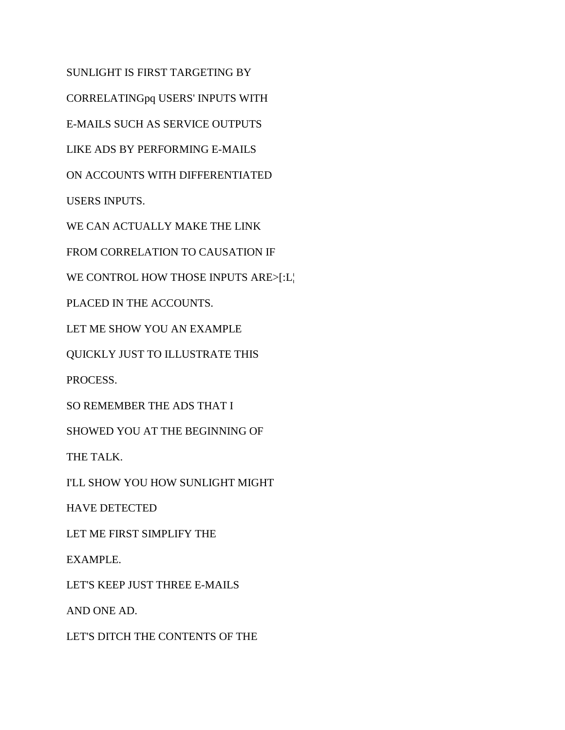SUNLIGHT IS FIRST TARGETING BY CORRELATINGpq USERS' INPUTS WITH E-MAILS SUCH AS SERVICE OUTPUTS LIKE ADS BY PERFORMING E-MAILS ON ACCOUNTS WITH DIFFERENTIATED USERS INPUTS. WE CAN ACTUALLY MAKE THE LINK FROM CORRELATION TO CAUSATION IF WE CONTROL HOW THOSE INPUTS ARE>[:L¦ PLACED IN THE ACCOUNTS. LET ME SHOW YOU AN EXAMPLE QUICKLY JUST TO ILLUSTRATE THIS

PROCESS.

SO REMEMBER THE ADS THAT I

SHOWED YOU AT THE BEGINNING OF

THE TALK.

I'LL SHOW YOU HOW SUNLIGHT MIGHT

HAVE DETECTED

LET ME FIRST SIMPLIFY THE

EXAMPLE.

LET'S KEEP JUST THREE E-MAILS

AND ONE AD.

LET'S DITCH THE CONTENTS OF THE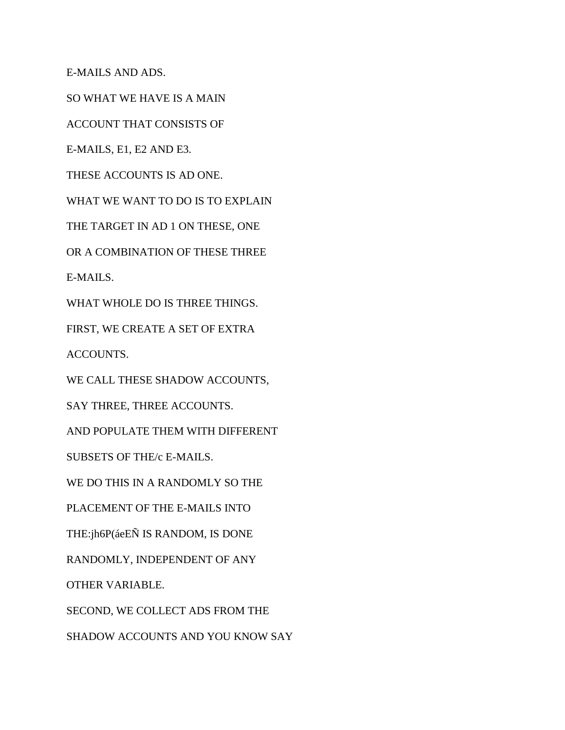E-MAILS AND ADS.

SO WHAT WE HAVE IS A MAIN

ACCOUNT THAT CONSISTS OF

E-MAILS, E1, E2 AND E3.

THESE ACCOUNTS IS AD ONE.

WHAT WE WANT TO DO IS TO EXPLAIN

THE TARGET IN AD 1 ON THESE, ONE

OR A COMBINATION OF THESE THREE

E-MAILS.

WHAT WHOLE DO IS THREE THINGS.

FIRST, WE CREATE A SET OF EXTRA

ACCOUNTS.

WE CALL THESE SHADOW ACCOUNTS,

SAY THREE, THREE ACCOUNTS.

AND POPULATE THEM WITH DIFFERENT

SUBSETS OF THE/c E-MAILS.

WE DO THIS IN A RANDOMLY SO THE

PLACEMENT OF THE E-MAILS INTO

THE:jh6P(áeEÑ IS RANDOM, IS DONE

RANDOMLY, INDEPENDENT OF ANY

OTHER VARIABLE.

SECOND, WE COLLECT ADS FROM THE

SHADOW ACCOUNTS AND YOU KNOW SAY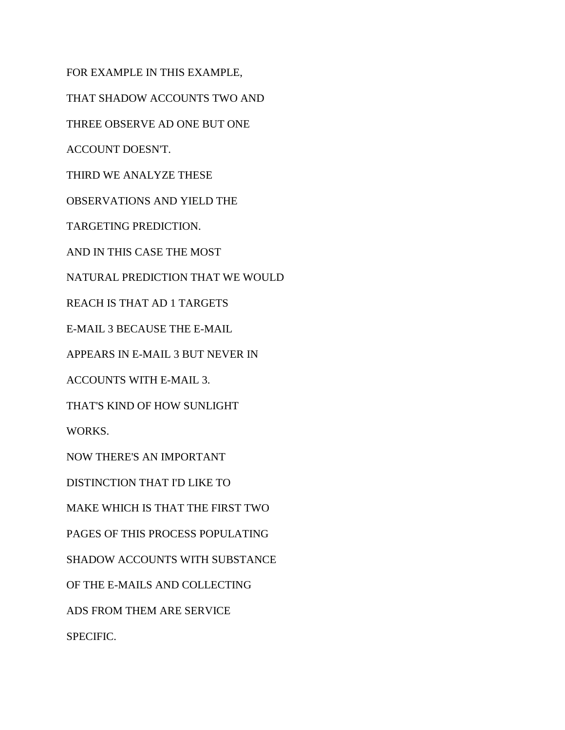FOR EXAMPLE IN THIS EXAMPLE, THAT SHADOW ACCOUNTS TWO AND THREE OBSERVE AD ONE BUT ONE ACCOUNT DOESN'T. THIRD WE ANALYZE THESE OBSERVATIONS AND YIELD THE TARGETING PREDICTION. AND IN THIS CASE THE MOST NATURAL PREDICTION THAT WE WOULD REACH IS THAT AD 1 TARGETS E-MAIL 3 BECAUSE THE E-MAIL APPEARS IN E-MAIL 3 BUT NEVER IN ACCOUNTS WITH E-MAIL 3. THAT'S KIND OF HOW SUNLIGHT WORKS. NOW THERE'S AN IMPORTANT DISTINCTION THAT I'D LIKE TO MAKE WHICH IS THAT THE FIRST TWO PAGES OF THIS PROCESS POPULATING SHADOW ACCOUNTS WITH SUBSTANCE OF THE E-MAILS AND COLLECTING ADS FROM THEM ARE SERVICE SPECIFIC.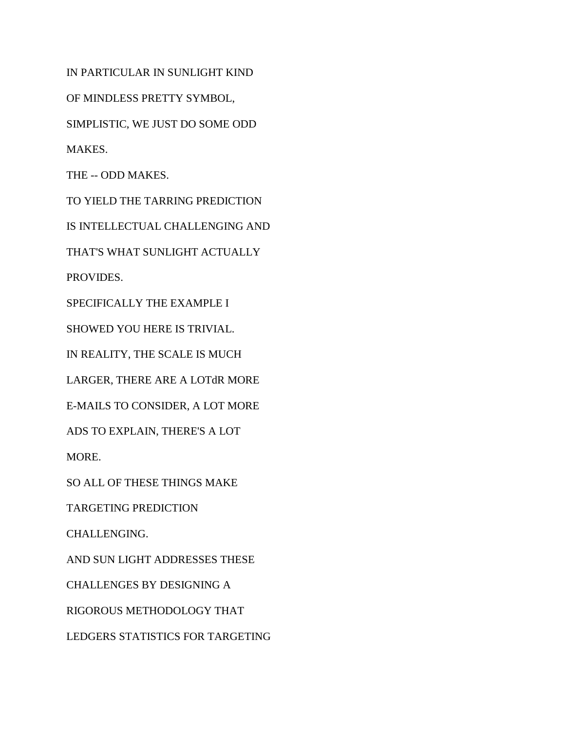IN PARTICULAR IN SUNLIGHT KIND

OF MINDLESS PRETTY SYMBOL,

SIMPLISTIC, WE JUST DO SOME ODD

MAKES.

THE -- ODD MAKES.

TO YIELD THE TARRING PREDICTION

IS INTELLECTUAL CHALLENGING AND

THAT'S WHAT SUNLIGHT ACTUALLY

PROVIDES.

SPECIFICALLY THE EXAMPLE I

SHOWED YOU HERE IS TRIVIAL.

IN REALITY, THE SCALE IS MUCH

LARGER, THERE ARE A LOTdR MORE

E-MAILS TO CONSIDER, A LOT MORE

ADS TO EXPLAIN, THERE'S A LOT

MORE.

SO ALL OF THESE THINGS MAKE

TARGETING PREDICTION

CHALLENGING.

AND SUN LIGHT ADDRESSES THESE

CHALLENGES BY DESIGNING A

RIGOROUS METHODOLOGY THAT

LEDGERS STATISTICS FOR TARGETING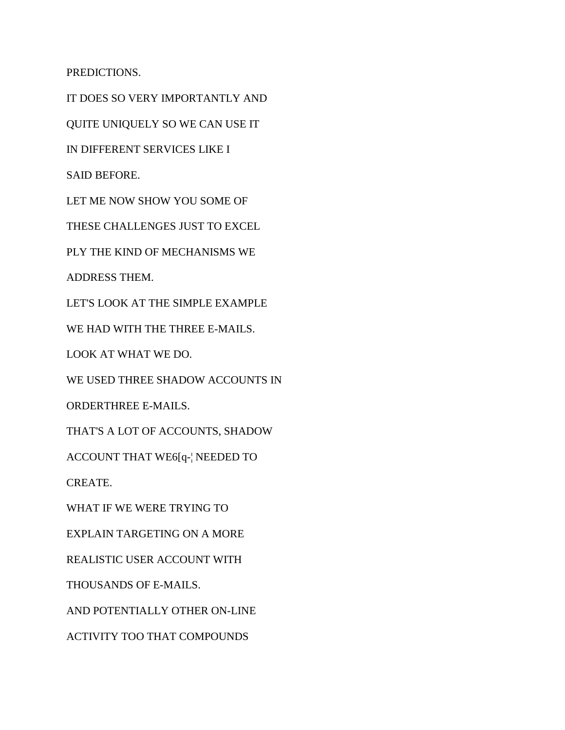PREDICTIONS.

IT DOES SO VERY IMPORTANTLY AND QUITE UNIQUELY SO WE CAN USE IT IN DIFFERENT SERVICES LIKE I SAID BEFORE. LET ME NOW SHOW YOU SOME OF THESE CHALLENGES JUST TO EXCEL PLY THE KIND OF MECHANISMS WE ADDRESS THEM. LET'S LOOK AT THE SIMPLE EXAMPLE WE HAD WITH THE THREE E-MAILS. LOOK AT WHAT WE DO. WE USED THREE SHADOW ACCOUNTS IN ORDERTHREE E-MAILS. THAT'S A LOT OF ACCOUNTS, SHADOW ACCOUNT THAT WE6[q-¦ NEEDED TO CREATE. WHAT IF WE WERE TRYING TO EXPLAIN TARGETING ON A MORE REALISTIC USER ACCOUNT WITH THOUSANDS OF E-MAILS. AND POTENTIALLY OTHER ON-LINE ACTIVITY TOO THAT COMPOUNDS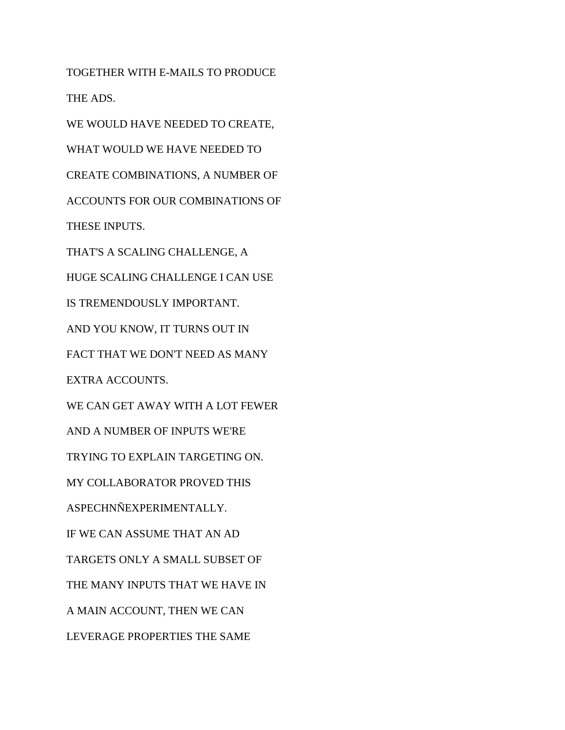TOGETHER WITH E-MAILS TO PRODUCE THE ADS. WE WOULD HAVE NEEDED TO CREATE, WHAT WOULD WE HAVE NEEDED TO CREATE COMBINATIONS, A NUMBER OF ACCOUNTS FOR OUR COMBINATIONS OF THESE INPUTS. THAT'S A SCALING CHALLENGE, A HUGE SCALING CHALLENGE I CAN USE IS TREMENDOUSLY IMPORTANT. AND YOU KNOW, IT TURNS OUT IN FACT THAT WE DON'T NEED AS MANY EXTRA ACCOUNTS. WE CAN GET AWAY WITH A LOT FEWER AND A NUMBER OF INPUTS WE'RE TRYING TO EXPLAIN TARGETING ON. MY COLLABORATOR PROVED THIS ASPECHNÑEXPERIMENTALLY. IF WE CAN ASSUME THAT AN AD TARGETS ONLY A SMALL SUBSET OF THE MANY INPUTS THAT WE HAVE IN A MAIN ACCOUNT, THEN WE CAN LEVERAGE PROPERTIES THE SAME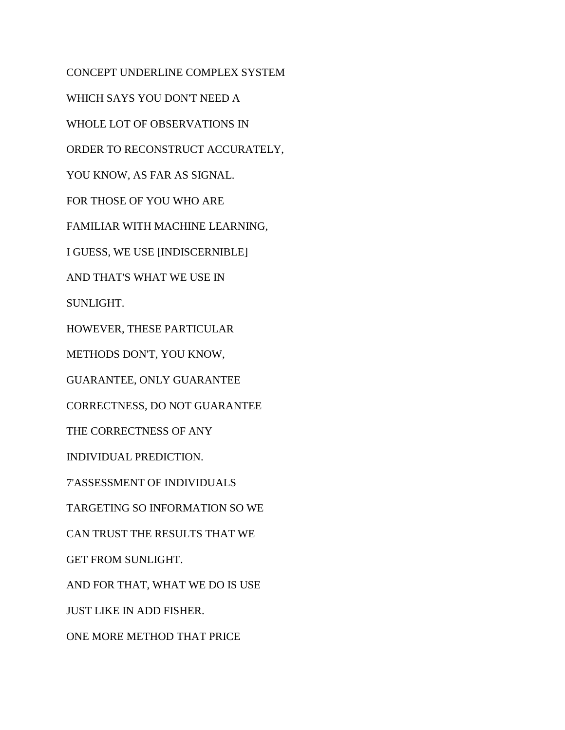CONCEPT UNDERLINE COMPLEX SYSTEM WHICH SAYS YOU DON'T NEED A WHOLE LOT OF OBSERVATIONS IN ORDER TO RECONSTRUCT ACCURATELY, YOU KNOW, AS FAR AS SIGNAL. FOR THOSE OF YOU WHO ARE FAMILIAR WITH MACHINE LEARNING, I GUESS, WE USE [INDISCERNIBLE] AND THAT'S WHAT WE USE IN SUNLIGHT. HOWEVER, THESE PARTICULAR METHODS DON'T, YOU KNOW, GUARANTEE, ONLY GUARANTEE CORRECTNESS, DO NOT GUARANTEE THE CORRECTNESS OF ANY INDIVIDUAL PREDICTION. 7'ASSESSMENT OF INDIVIDUALS TARGETING SO INFORMATION SO WE CAN TRUST THE RESULTS THAT WE GET FROM SUNLIGHT. AND FOR THAT, WHAT WE DO IS USE JUST LIKE IN ADD FISHER. ONE MORE METHOD THAT PRICE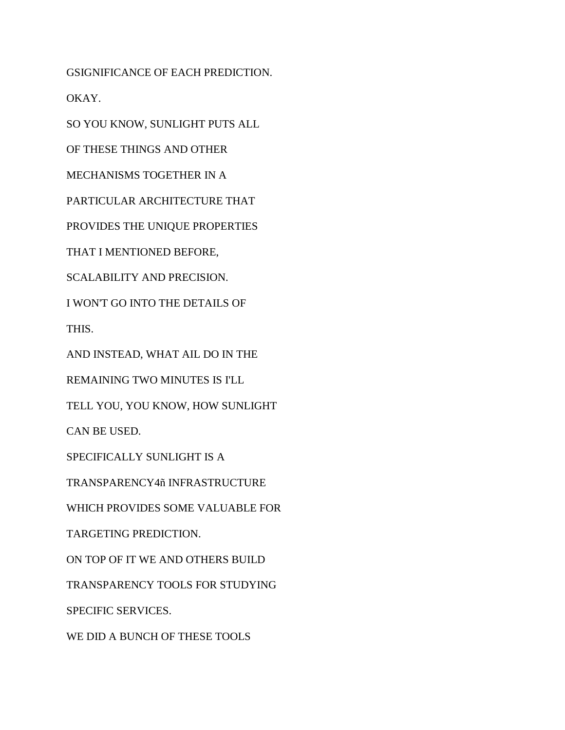GSIGNIFICANCE OF EACH PREDICTION.

OKAY.

SO YOU KNOW, SUNLIGHT PUTS ALL

OF THESE THINGS AND OTHER

MECHANISMS TOGETHER IN A

PARTICULAR ARCHITECTURE THAT

PROVIDES THE UNIQUE PROPERTIES

THAT I MENTIONED BEFORE,

SCALABILITY AND PRECISION.

I WON'T GO INTO THE DETAILS OF

THIS.

AND INSTEAD, WHAT AIL DO IN THE

REMAINING TWO MINUTES IS I'LL

TELL YOU, YOU KNOW, HOW SUNLIGHT

CAN BE USED.

SPECIFICALLY SUNLIGHT IS A

TRANSPARENCY4ñ INFRASTRUCTURE

WHICH PROVIDES SOME VALUABLE FOR

TARGETING PREDICTION.

ON TOP OF IT WE AND OTHERS BUILD

TRANSPARENCY TOOLS FOR STUDYING

SPECIFIC SERVICES.

WE DID A BUNCH OF THESE TOOLS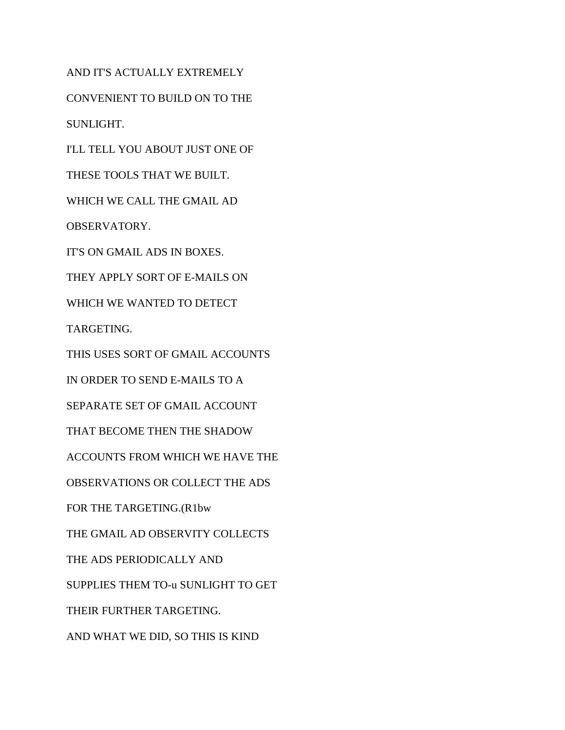AND IT'S ACTUALLY EXTREMELY CONVENIENT TO BUILD ON TO THE SUNLIGHT. I'LL TELL YOU ABOUT JUST ONE OF THESE TOOLS THAT WE BUILT. WHICH WE CALL THE GMAIL AD OBSERVATORY. IT'S ON GMAIL ADS IN BOXES. THEY APPLY SORT OF E-MAILS ON WHICH WE WANTED TO DETECT TARGETING. THIS USES SORT OF GMAIL ACCOUNTS IN ORDER TO SEND E-MAILS TO A SEPARATE SET OF GMAIL ACCOUNT THAT BECOME THEN THE SHADOW ACCOUNTS FROM WHICH WE HAVE THE OBSERVATIONS OR COLLECT THE ADS FOR THE TARGETING.(R1bw THE GMAIL AD OBSERVITY COLLECTS THE ADS PERIODICALLY AND SUPPLIES THEM TO-u SUNLIGHT TO GET THEIR FURTHER TARGETING. AND WHAT WE DID, SO THIS IS KIND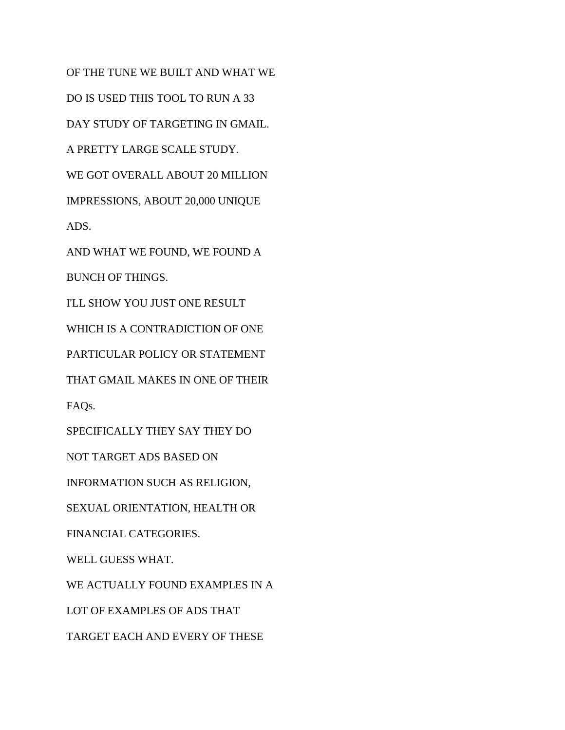OF THE TUNE WE BUILT AND WHAT WE DO IS USED THIS TOOL TO RUN A 33 DAY STUDY OF TARGETING IN GMAIL. A PRETTY LARGE SCALE STUDY. WE GOT OVERALL ABOUT 20 MILLION IMPRESSIONS, ABOUT 20,000 UNIQUE ADS. AND WHAT WE FOUND, WE FOUND A BUNCH OF THINGS. I'LL SHOW YOU JUST ONE RESULT WHICH IS A CONTRADICTION OF ONE PARTICULAR POLICY OR STATEMENT THAT GMAIL MAKES IN ONE OF THEIR FAQs. SPECIFICALLY THEY SAY THEY DO NOT TARGET ADS BASED ON INFORMATION SUCH AS RELIGION, SEXUAL ORIENTATION, HEALTH OR FINANCIAL CATEGORIES. WELL GUESS WHAT. WE ACTUALLY FOUND EXAMPLES IN A LOT OF EXAMPLES OF ADS THAT TARGET EACH AND EVERY OF THESE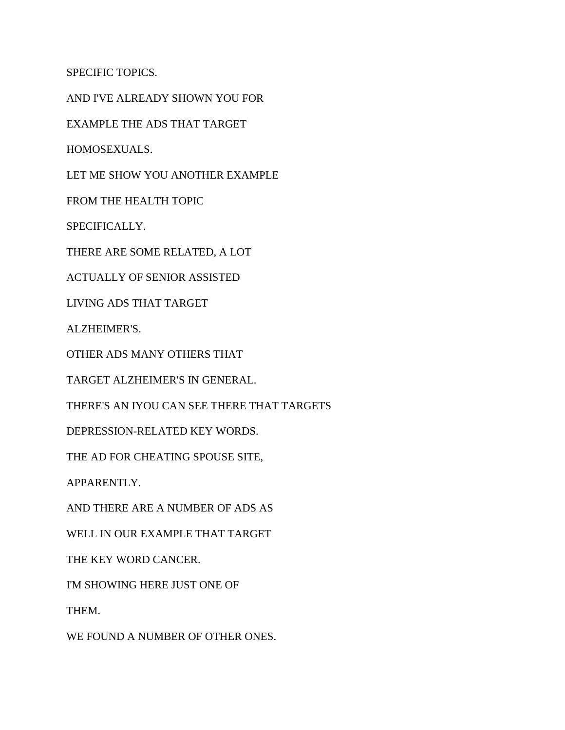SPECIFIC TOPICS.

AND I'VE ALREADY SHOWN YOU FOR

EXAMPLE THE ADS THAT TARGET

HOMOSEXUALS.

LET ME SHOW YOU ANOTHER EXAMPLE

FROM THE HEALTH TOPIC

SPECIFICALLY.

THERE ARE SOME RELATED, A LOT

ACTUALLY OF SENIOR ASSISTED

LIVING ADS THAT TARGET

ALZHEIMER'S.

OTHER ADS MANY OTHERS THAT

TARGET ALZHEIMER'S IN GENERAL.

THERE'S AN IYOU CAN SEE THERE THAT TARGETS

DEPRESSION-RELATED KEY WORDS.

THE AD FOR CHEATING SPOUSE SITE,

APPARENTLY.

AND THERE ARE A NUMBER OF ADS AS

WELL IN OUR EXAMPLE THAT TARGET

THE KEY WORD CANCER.

I'M SHOWING HERE JUST ONE OF

THEM.

WE FOUND A NUMBER OF OTHER ONES.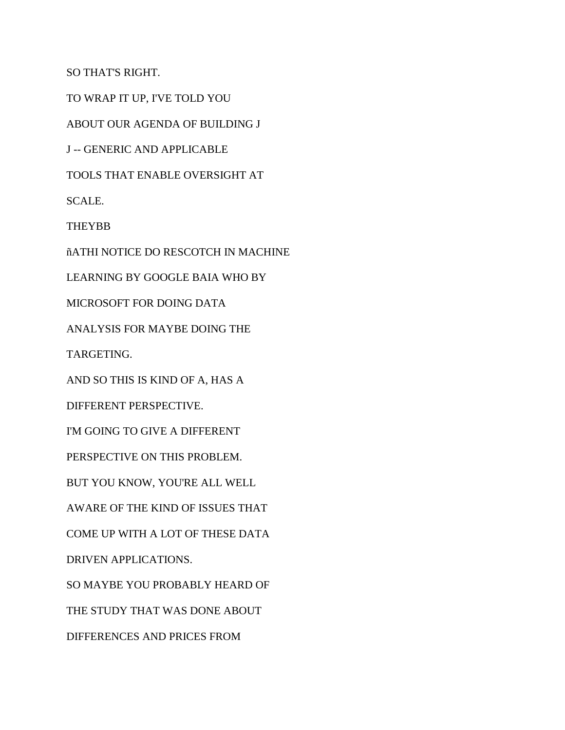SO THAT'S RIGHT.

TO WRAP IT UP, I'VE TOLD YOU

ABOUT OUR AGENDA OF BUILDING J

J -- GENERIC AND APPLICABLE

TOOLS THAT ENABLE OVERSIGHT AT

SCALE.

**THEYBB** 

ñATHI NOTICE DO RESCOTCH IN MACHINE

LEARNING BY GOOGLE BAIA WHO BY

MICROSOFT FOR DOING DATA

ANALYSIS FOR MAYBE DOING THE

TARGETING.

AND SO THIS IS KIND OF A, HAS A

DIFFERENT PERSPECTIVE.

I'M GOING TO GIVE A DIFFERENT

PERSPECTIVE ON THIS PROBLEM.

BUT YOU KNOW, YOU'RE ALL WELL

AWARE OF THE KIND OF ISSUES THAT

COME UP WITH A LOT OF THESE DATA

DRIVEN APPLICATIONS.

SO MAYBE YOU PROBABLY HEARD OF

THE STUDY THAT WAS DONE ABOUT

DIFFERENCES AND PRICES FROM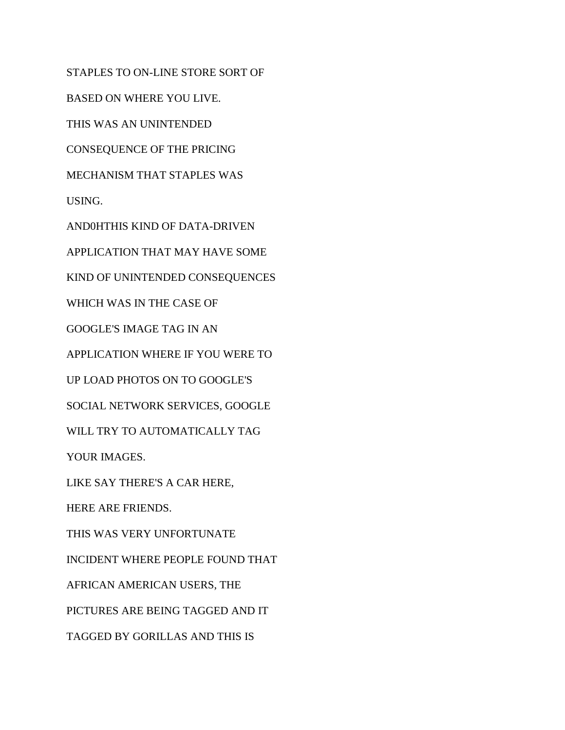STAPLES TO ON-LINE STORE SORT OF

BASED ON WHERE YOU LIVE.

THIS WAS AN UNINTENDED

CONSEQUENCE OF THE PRICING

MECHANISM THAT STAPLES WAS

USING.

AND0HTHIS KIND OF DATA-DRIVEN

APPLICATION THAT MAY HAVE SOME

KIND OF UNINTENDED CONSEQUENCES

WHICH WAS IN THE CASE OF

GOOGLE'S IMAGE TAG IN AN

APPLICATION WHERE IF YOU WERE TO

UP LOAD PHOTOS ON TO GOOGLE'S

SOCIAL NETWORK SERVICES, GOOGLE

WILL TRY TO AUTOMATICALLY TAG

YOUR IMAGES.

LIKE SAY THERE'S A CAR HERE,

HERE ARE FRIENDS.

THIS WAS VERY UNFORTUNATE

INCIDENT WHERE PEOPLE FOUND THAT

AFRICAN AMERICAN USERS, THE

PICTURES ARE BEING TAGGED AND IT

TAGGED BY GORILLAS AND THIS IS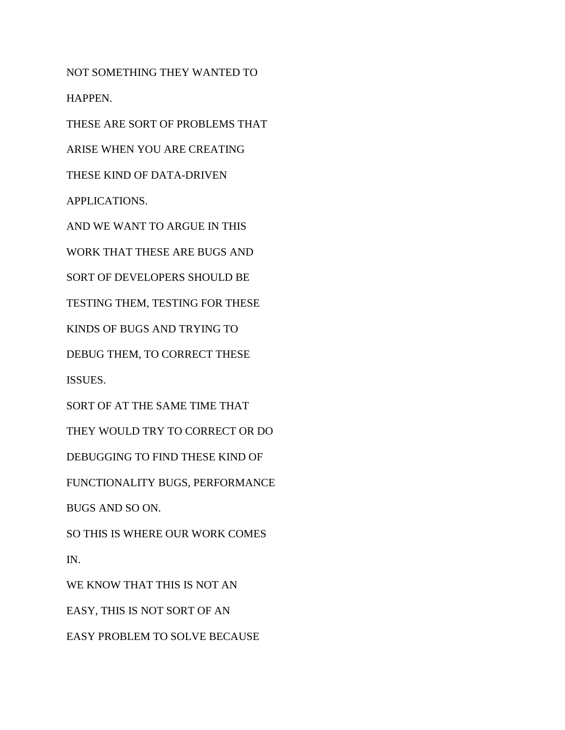NOT SOMETHING THEY WANTED TO HAPPEN.

THESE ARE SORT OF PROBLEMS THAT

ARISE WHEN YOU ARE CREATING

THESE KIND OF DATA-DRIVEN

APPLICATIONS.

AND WE WANT TO ARGUE IN THIS

WORK THAT THESE ARE BUGS AND

SORT OF DEVELOPERS SHOULD BE

TESTING THEM, TESTING FOR THESE

KINDS OF BUGS AND TRYING TO

DEBUG THEM, TO CORRECT THESE

ISSUES.

SORT OF AT THE SAME TIME THAT

THEY WOULD TRY TO CORRECT OR DO

DEBUGGING TO FIND THESE KIND OF

FUNCTIONALITY BUGS, PERFORMANCE

BUGS AND SO ON.

SO THIS IS WHERE OUR WORK COMES IN.

WE KNOW THAT THIS IS NOT AN EASY, THIS IS NOT SORT OF AN EASY PROBLEM TO SOLVE BECAUSE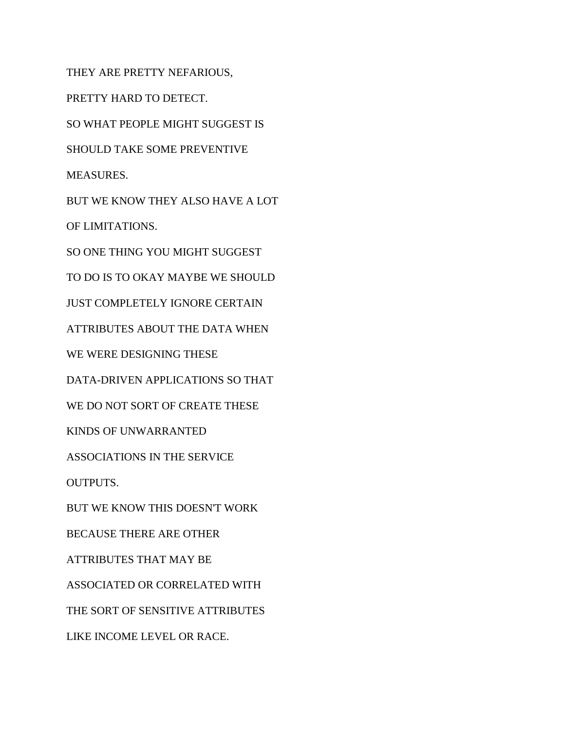THEY ARE PRETTY NEFARIOUS, PRETTY HARD TO DETECT. SO WHAT PEOPLE MIGHT SUGGEST IS SHOULD TAKE SOME PREVENTIVE MEASURES. BUT WE KNOW THEY ALSO HAVE A LOT OF LIMITATIONS. SO ONE THING YOU MIGHT SUGGEST TO DO IS TO OKAY MAYBE WE SHOULD JUST COMPLETELY IGNORE CERTAIN ATTRIBUTES ABOUT THE DATA WHEN WE WERE DESIGNING THESE DATA-DRIVEN APPLICATIONS SO THAT WE DO NOT SORT OF CREATE THESE KINDS OF UNWARRANTED ASSOCIATIONS IN THE SERVICE OUTPUTS. BUT WE KNOW THIS DOESN'T WORK BECAUSE THERE ARE OTHER ATTRIBUTES THAT MAY BE ASSOCIATED OR CORRELATED WITH THE SORT OF SENSITIVE ATTRIBUTES LIKE INCOME LEVEL OR RACE.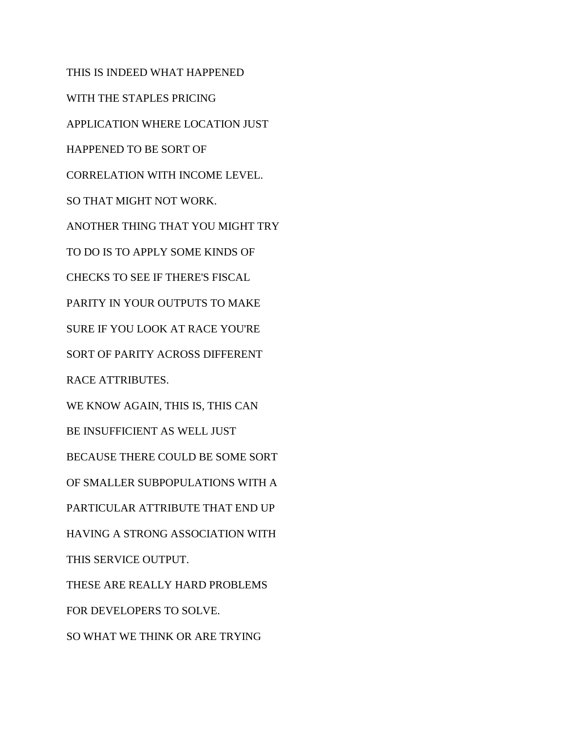THIS IS INDEED WHAT HAPPENED WITH THE STAPLES PRICING APPLICATION WHERE LOCATION JUST HAPPENED TO BE SORT OF CORRELATION WITH INCOME LEVEL. SO THAT MIGHT NOT WORK. ANOTHER THING THAT YOU MIGHT TRY TO DO IS TO APPLY SOME KINDS OF CHECKS TO SEE IF THERE'S FISCAL PARITY IN YOUR OUTPUTS TO MAKE SURE IF YOU LOOK AT RACE YOU'RE SORT OF PARITY ACROSS DIFFERENT RACE ATTRIBUTES. WE KNOW AGAIN, THIS IS, THIS CAN BE INSUFFICIENT AS WELL JUST BECAUSE THERE COULD BE SOME SORT OF SMALLER SUBPOPULATIONS WITH A PARTICULAR ATTRIBUTE THAT END UP HAVING A STRONG ASSOCIATION WITH THIS SERVICE OUTPUT. THESE ARE REALLY HARD PROBLEMS FOR DEVELOPERS TO SOLVE. SO WHAT WE THINK OR ARE TRYING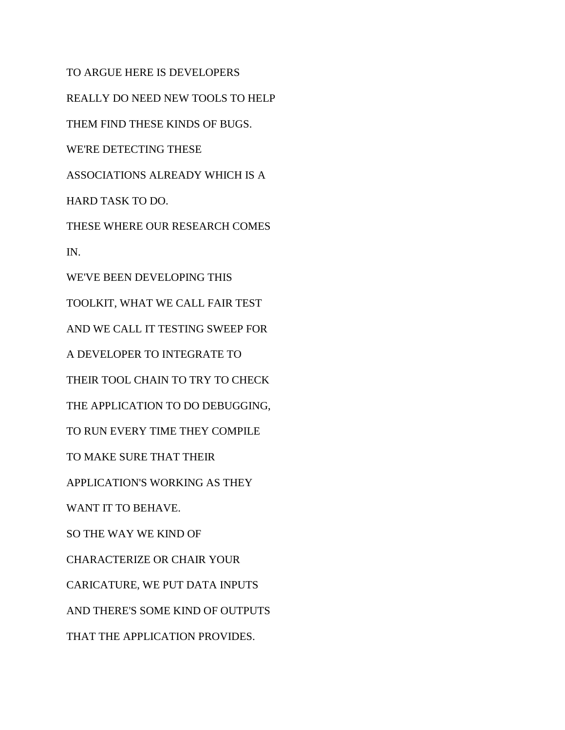TO ARGUE HERE IS DEVELOPERS REALLY DO NEED NEW TOOLS TO HELP THEM FIND THESE KINDS OF BUGS. WE'RE DETECTING THESE ASSOCIATIONS ALREADY WHICH IS A HARD TASK TO DO. THESE WHERE OUR RESEARCH COMES IN. WE'VE BEEN DEVELOPING THIS TOOLKIT, WHAT WE CALL FAIR TEST AND WE CALL IT TESTING SWEEP FOR A DEVELOPER TO INTEGRATE TO THEIR TOOL CHAIN TO TRY TO CHECK THE APPLICATION TO DO DEBUGGING, TO RUN EVERY TIME THEY COMPILE TO MAKE SURE THAT THEIR APPLICATION'S WORKING AS THEY WANT IT TO BEHAVE. SO THE WAY WE KIND OF CHARACTERIZE OR CHAIR YOUR CARICATURE, WE PUT DATA INPUTS AND THERE'S SOME KIND OF OUTPUTS THAT THE APPLICATION PROVIDES.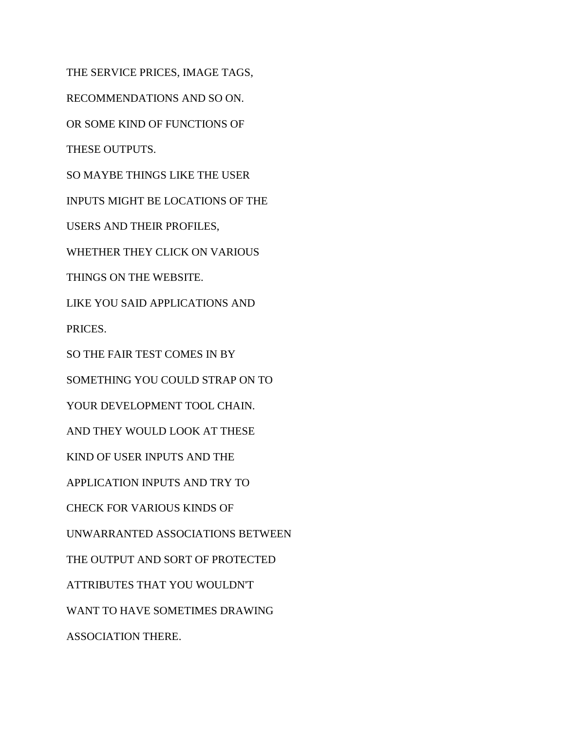THE SERVICE PRICES, IMAGE TAGS, RECOMMENDATIONS AND SO ON. OR SOME KIND OF FUNCTIONS OF THESE OUTPUTS. SO MAYBE THINGS LIKE THE USER INPUTS MIGHT BE LOCATIONS OF THE USERS AND THEIR PROFILES, WHETHER THEY CLICK ON VARIOUS THINGS ON THE WEBSITE. LIKE YOU SAID APPLICATIONS AND PRICES. SO THE FAIR TEST COMES IN BY SOMETHING YOU COULD STRAP ON TO YOUR DEVELOPMENT TOOL CHAIN. AND THEY WOULD LOOK AT THESE KIND OF USER INPUTS AND THE APPLICATION INPUTS AND TRY TO CHECK FOR VARIOUS KINDS OF UNWARRANTED ASSOCIATIONS BETWEEN THE OUTPUT AND SORT OF PROTECTED ATTRIBUTES THAT YOU WOULDN'T WANT TO HAVE SOMETIMES DRAWING ASSOCIATION THERE.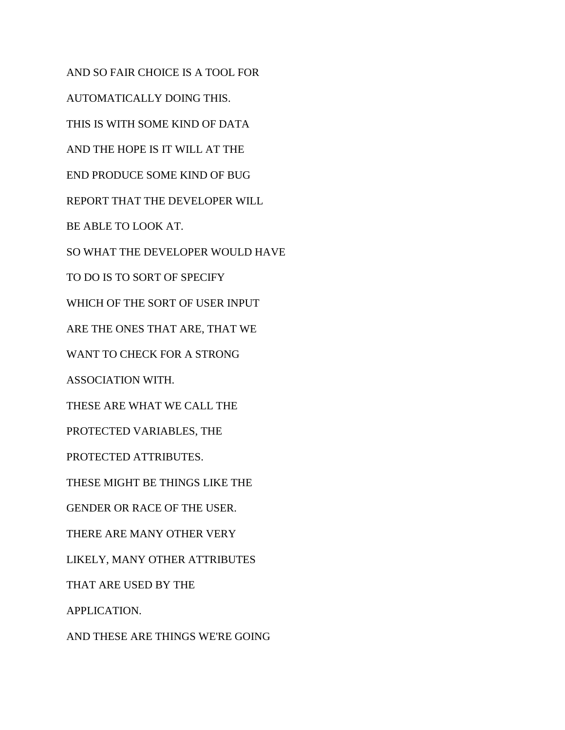AND SO FAIR CHOICE IS A TOOL FOR AUTOMATICALLY DOING THIS. THIS IS WITH SOME KIND OF DATA AND THE HOPE IS IT WILL AT THE END PRODUCE SOME KIND OF BUG REPORT THAT THE DEVELOPER WILL BE ABLE TO LOOK AT. SO WHAT THE DEVELOPER WOULD HAVE TO DO IS TO SORT OF SPECIFY WHICH OF THE SORT OF USER INPUT ARE THE ONES THAT ARE, THAT WE WANT TO CHECK FOR A STRONG ASSOCIATION WITH. THESE ARE WHAT WE CALL THE PROTECTED VARIABLES, THE PROTECTED ATTRIBUTES. THESE MIGHT BE THINGS LIKE THE GENDER OR RACE OF THE USER. THERE ARE MANY OTHER VERY LIKELY, MANY OTHER ATTRIBUTES THAT ARE USED BY THE APPLICATION. AND THESE ARE THINGS WE'RE GOING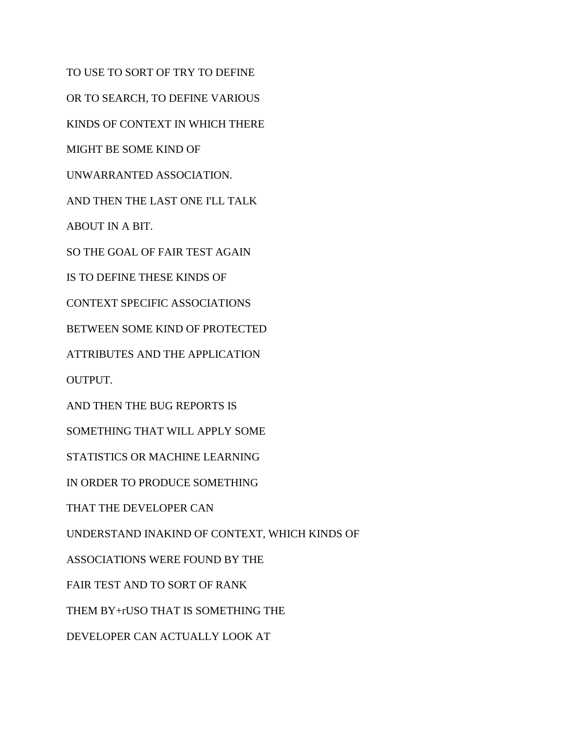TO USE TO SORT OF TRY TO DEFINE OR TO SEARCH, TO DEFINE VARIOUS KINDS OF CONTEXT IN WHICH THERE MIGHT BE SOME KIND OF UNWARRANTED ASSOCIATION. AND THEN THE LAST ONE I'LL TALK ABOUT IN A BIT. SO THE GOAL OF FAIR TEST AGAIN IS TO DEFINE THESE KINDS OF CONTEXT SPECIFIC ASSOCIATIONS BETWEEN SOME KIND OF PROTECTED ATTRIBUTES AND THE APPLICATION OUTPUT. AND THEN THE BUG REPORTS IS SOMETHING THAT WILL APPLY SOME STATISTICS OR MACHINE LEARNING IN ORDER TO PRODUCE SOMETHING THAT THE DEVELOPER CAN UNDERSTAND INAKIND OF CONTEXT, WHICH KINDS OF ASSOCIATIONS WERE FOUND BY THE FAIR TEST AND TO SORT OF RANK THEM BY+rUSO THAT IS SOMETHING THE DEVELOPER CAN ACTUALLY LOOK AT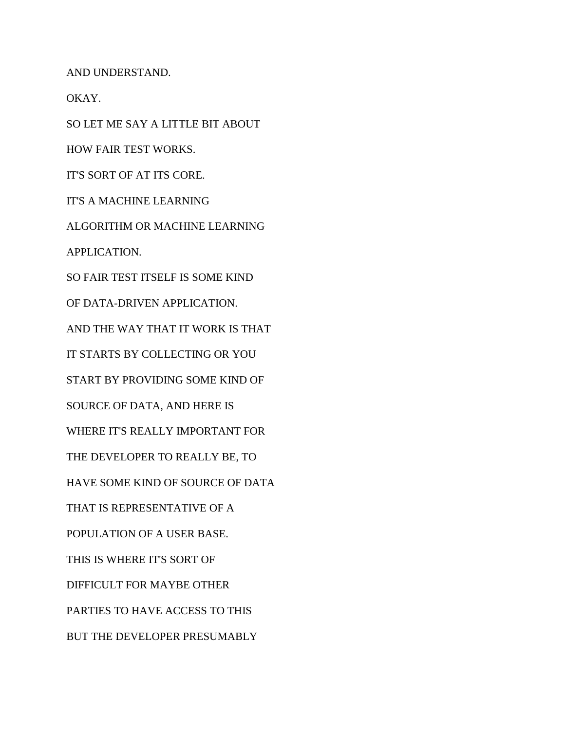AND UNDERSTAND.

OKAY.

SO LET ME SAY A LITTLE BIT ABOUT

HOW FAIR TEST WORKS.

IT'S SORT OF AT ITS CORE.

IT'S A MACHINE LEARNING

ALGORITHM OR MACHINE LEARNING

APPLICATION.

SO FAIR TEST ITSELF IS SOME KIND

OF DATA-DRIVEN APPLICATION.

AND THE WAY THAT IT WORK IS THAT

IT STARTS BY COLLECTING OR YOU

START BY PROVIDING SOME KIND OF

SOURCE OF DATA, AND HERE IS

WHERE IT'S REALLY IMPORTANT FOR

THE DEVELOPER TO REALLY BE, TO

HAVE SOME KIND OF SOURCE OF DATA

THAT IS REPRESENTATIVE OF A

POPULATION OF A USER BASE.

THIS IS WHERE IT'S SORT OF

DIFFICULT FOR MAYBE OTHER

PARTIES TO HAVE ACCESS TO THIS

BUT THE DEVELOPER PRESUMABLY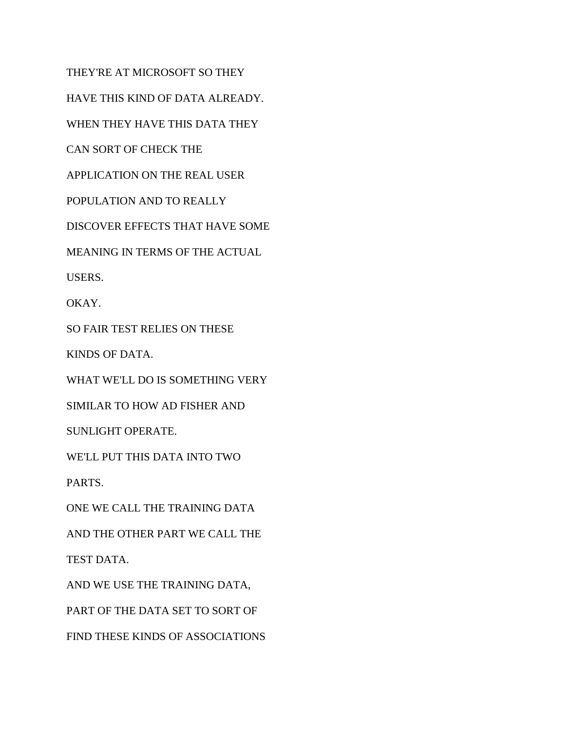THEY'RE AT MICROSOFT SO THEY HAVE THIS KIND OF DATA ALREADY. WHEN THEY HAVE THIS DATA THEY CAN SORT OF CHECK THE APPLICATION ON THE REAL USER POPULATION AND TO REALLY DISCOVER EFFECTS THAT HAVE SOME MEANING IN TERMS OF THE ACTUAL USERS. OKAY. SO FAIR TEST RELIES ON THESE KINDS OF DATA. WHAT WE'LL DO IS SOMETHING VERY SIMILAR TO HOW AD FISHER AND SUNLIGHT OPERATE. WE'LL PUT THIS DATA INTO TWO PARTS. ONE WE CALL THE TRAINING DATA AND THE OTHER PART WE CALL THE TEST DATA. AND WE USE THE TRAINING DATA, PART OF THE DATA SET TO SORT OF FIND THESE KINDS OF ASSOCIATIONS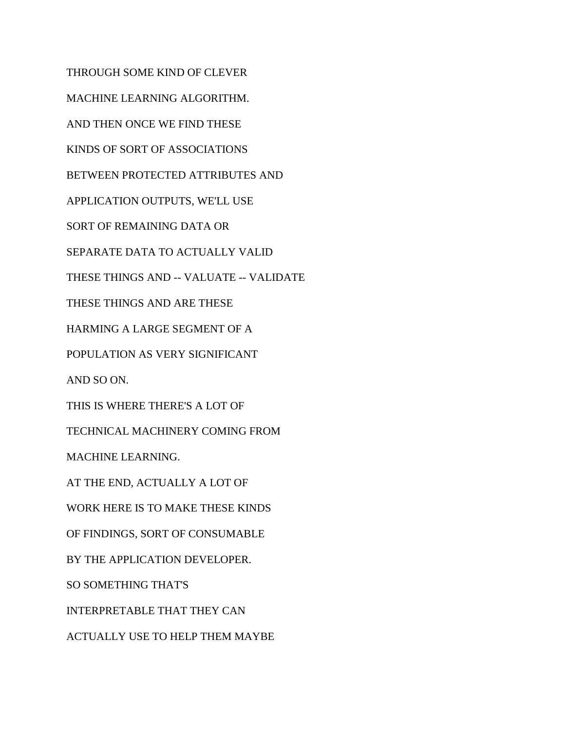THROUGH SOME KIND OF CLEVER MACHINE LEARNING ALGORITHM. AND THEN ONCE WE FIND THESE KINDS OF SORT OF ASSOCIATIONS BETWEEN PROTECTED ATTRIBUTES AND APPLICATION OUTPUTS, WE'LL USE SORT OF REMAINING DATA OR SEPARATE DATA TO ACTUALLY VALID THESE THINGS AND -- VALUATE -- VALIDATE THESE THINGS AND ARE THESE HARMING A LARGE SEGMENT OF A POPULATION AS VERY SIGNIFICANT AND SO ON. THIS IS WHERE THERE'S A LOT OF TECHNICAL MACHINERY COMING FROM MACHINE LEARNING. AT THE END, ACTUALLY A LOT OF WORK HERE IS TO MAKE THESE KINDS OF FINDINGS, SORT OF CONSUMABLE BY THE APPLICATION DEVELOPER. SO SOMETHING THAT'S INTERPRETABLE THAT THEY CAN ACTUALLY USE TO HELP THEM MAYBE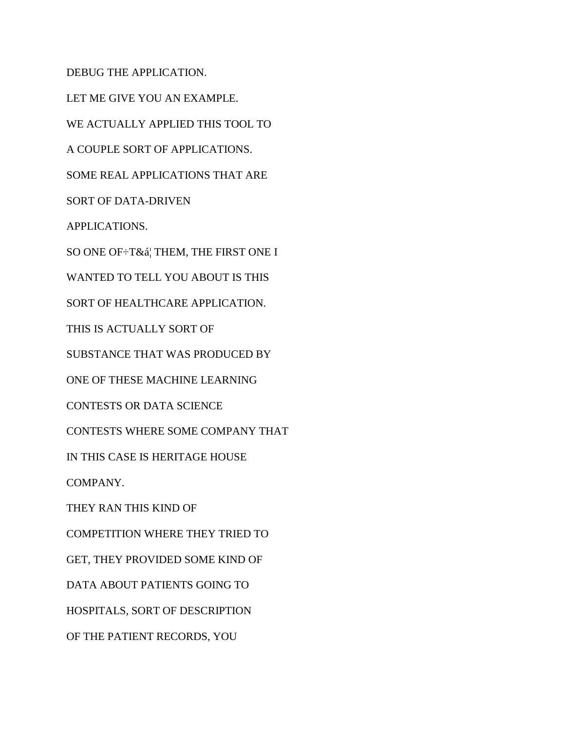DEBUG THE APPLICATION. LET ME GIVE YOU AN EXAMPLE. WE ACTUALLY APPLIED THIS TOOL TO A COUPLE SORT OF APPLICATIONS. SOME REAL APPLICATIONS THAT ARE SORT OF DATA-DRIVEN APPLICATIONS. SO ONE OF÷T&ᦠTHEM, THE FIRST ONE I WANTED TO TELL YOU ABOUT IS THIS SORT OF HEALTHCARE APPLICATION. THIS IS ACTUALLY SORT OF SUBSTANCE THAT WAS PRODUCED BY ONE OF THESE MACHINE LEARNING CONTESTS OR DATA SCIENCE CONTESTS WHERE SOME COMPANY THAT IN THIS CASE IS HERITAGE HOUSE COMPANY. THEY RAN THIS KIND OF COMPETITION WHERE THEY TRIED TO GET, THEY PROVIDED SOME KIND OF DATA ABOUT PATIENTS GOING TO HOSPITALS, SORT OF DESCRIPTION OF THE PATIENT RECORDS, YOU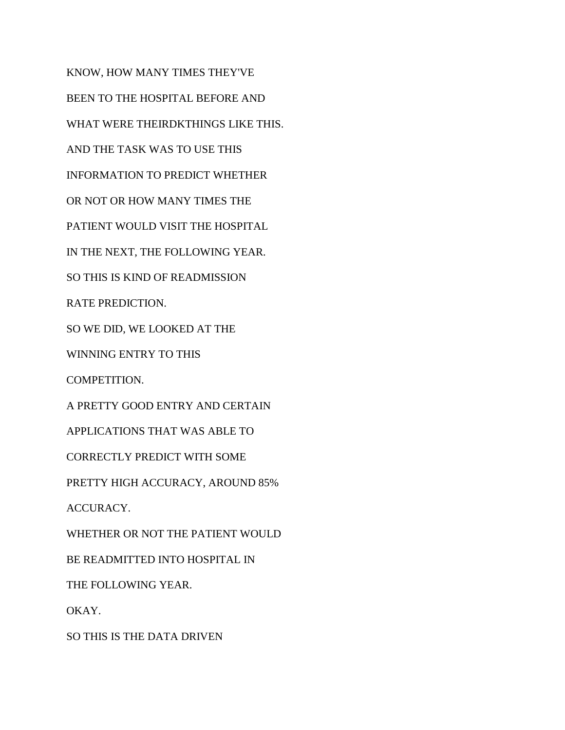KNOW, HOW MANY TIMES THEY'VE BEEN TO THE HOSPITAL BEFORE AND WHAT WERE THEIRDKTHINGS LIKE THIS. AND THE TASK WAS TO USE THIS INFORMATION TO PREDICT WHETHER OR NOT OR HOW MANY TIMES THE PATIENT WOULD VISIT THE HOSPITAL IN THE NEXT, THE FOLLOWING YEAR. SO THIS IS KIND OF READMISSION RATE PREDICTION. SO WE DID, WE LOOKED AT THE WINNING ENTRY TO THIS COMPETITION. A PRETTY GOOD ENTRY AND CERTAIN APPLICATIONS THAT WAS ABLE TO CORRECTLY PREDICT WITH SOME PRETTY HIGH ACCURACY, AROUND 85% ACCURACY. WHETHER OR NOT THE PATIENT WOULD BE READMITTED INTO HOSPITAL IN THE FOLLOWING YEAR. OKAY. SO THIS IS THE DATA DRIVEN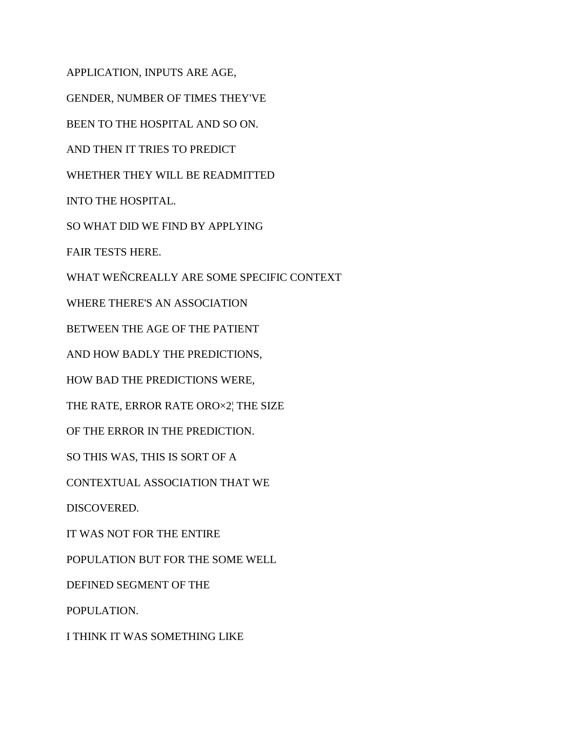APPLICATION, INPUTS ARE AGE, GENDER, NUMBER OF TIMES THEY'VE BEEN TO THE HOSPITAL AND SO ON. AND THEN IT TRIES TO PREDICT WHETHER THEY WILL BE READMITTED INTO THE HOSPITAL. SO WHAT DID WE FIND BY APPLYING FAIR TESTS HERE. WHAT WEÑCREALLY ARE SOME SPECIFIC CONTEXT WHERE THERE'S AN ASSOCIATION BETWEEN THE AGE OF THE PATIENT AND HOW BADLY THE PREDICTIONS, HOW BAD THE PREDICTIONS WERE, THE RATE, ERROR RATE ORO×2¦ THE SIZE OF THE ERROR IN THE PREDICTION. SO THIS WAS, THIS IS SORT OF A CONTEXTUAL ASSOCIATION THAT WE DISCOVERED. IT WAS NOT FOR THE ENTIRE POPULATION BUT FOR THE SOME WELL DEFINED SEGMENT OF THE POPULATION. I THINK IT WAS SOMETHING LIKE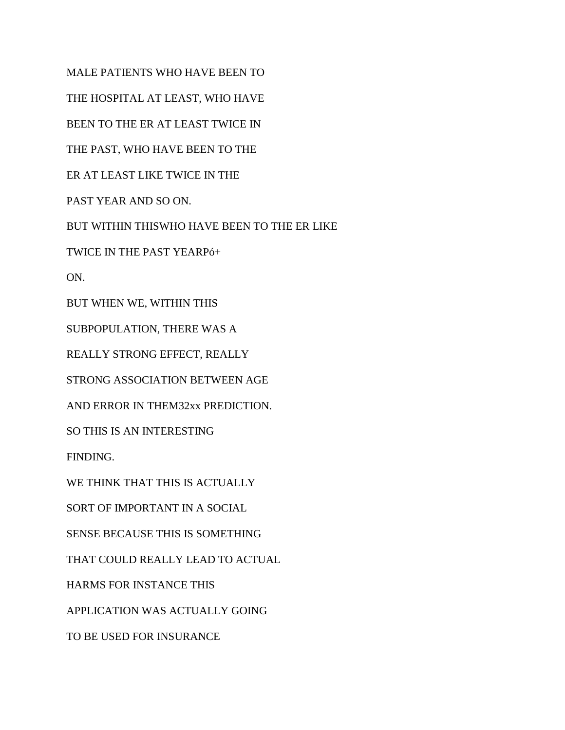MALE PATIENTS WHO HAVE BEEN TO

THE HOSPITAL AT LEAST, WHO HAVE

BEEN TO THE ER AT LEAST TWICE IN

THE PAST, WHO HAVE BEEN TO THE

ER AT LEAST LIKE TWICE IN THE

PAST YEAR AND SO ON.

BUT WITHIN THISWHO HAVE BEEN TO THE ER LIKE

TWICE IN THE PAST YEARPó+

ON.

BUT WHEN WE, WITHIN THIS

SUBPOPULATION, THERE WAS A

REALLY STRONG EFFECT, REALLY

STRONG ASSOCIATION BETWEEN AGE

AND ERROR IN THEM32xx PREDICTION.

SO THIS IS AN INTERESTING

FINDING.

WE THINK THAT THIS IS ACTUALLY

SORT OF IMPORTANT IN A SOCIAL

SENSE BECAUSE THIS IS SOMETHING

THAT COULD REALLY LEAD TO ACTUAL

HARMS FOR INSTANCE THIS

APPLICATION WAS ACTUALLY GOING

TO BE USED FOR INSURANCE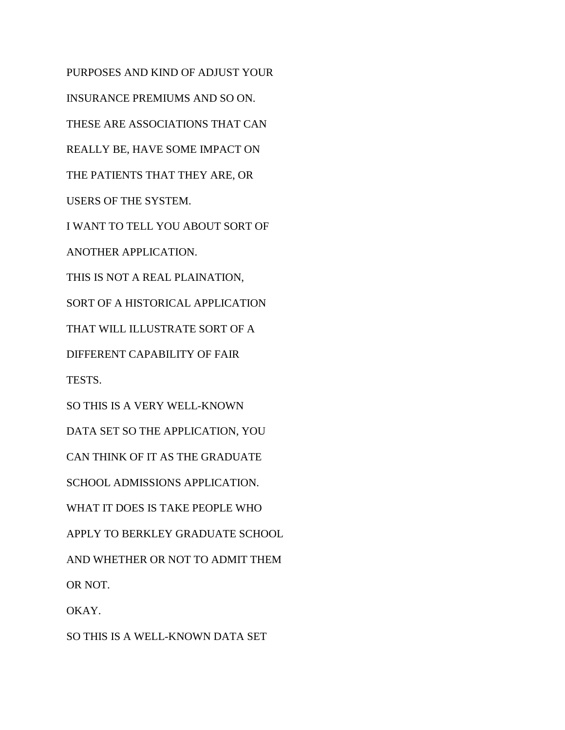PURPOSES AND KIND OF ADJUST YOUR INSURANCE PREMIUMS AND SO ON. THESE ARE ASSOCIATIONS THAT CAN REALLY BE, HAVE SOME IMPACT ON THE PATIENTS THAT THEY ARE, OR USERS OF THE SYSTEM. I WANT TO TELL YOU ABOUT SORT OF ANOTHER APPLICATION. THIS IS NOT A REAL PLAINATION, SORT OF A HISTORICAL APPLICATION THAT WILL ILLUSTRATE SORT OF A DIFFERENT CAPABILITY OF FAIR TESTS. SO THIS IS A VERY WELL-KNOWN DATA SET SO THE APPLICATION, YOU CAN THINK OF IT AS THE GRADUATE SCHOOL ADMISSIONS APPLICATION. WHAT IT DOES IS TAKE PEOPLE WHO APPLY TO BERKLEY GRADUATE SCHOOL AND WHETHER OR NOT TO ADMIT THEM OR NOT. OKAY.

SO THIS IS A WELL-KNOWN DATA SET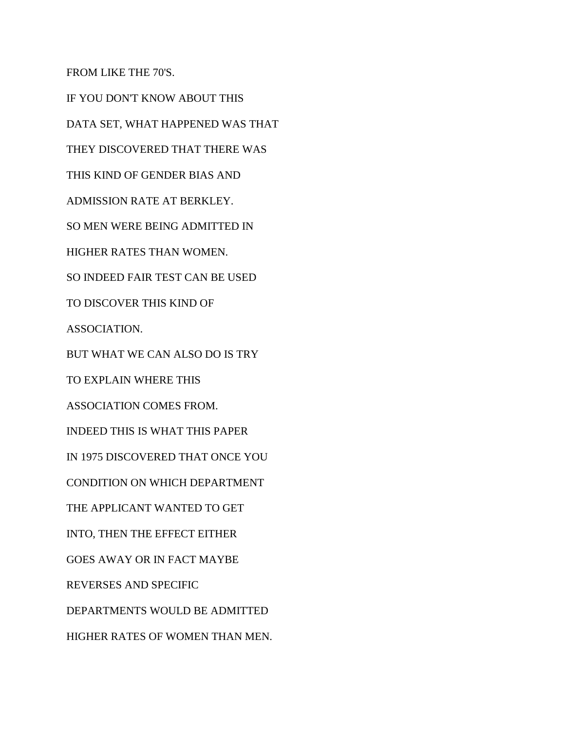FROM LIKE THE 70'S.

IF YOU DON'T KNOW ABOUT THIS DATA SET, WHAT HAPPENED WAS THAT THEY DISCOVERED THAT THERE WAS THIS KIND OF GENDER BIAS AND ADMISSION RATE AT BERKLEY. SO MEN WERE BEING ADMITTED IN HIGHER RATES THAN WOMEN. SO INDEED FAIR TEST CAN BE USED TO DISCOVER THIS KIND OF ASSOCIATION. BUT WHAT WE CAN ALSO DO IS TRY TO EXPLAIN WHERE THIS ASSOCIATION COMES FROM. INDEED THIS IS WHAT THIS PAPER IN 1975 DISCOVERED THAT ONCE YOU CONDITION ON WHICH DEPARTMENT THE APPLICANT WANTED TO GET INTO, THEN THE EFFECT EITHER GOES AWAY OR IN FACT MAYBE REVERSES AND SPECIFIC DEPARTMENTS WOULD BE ADMITTED HIGHER RATES OF WOMEN THAN MEN.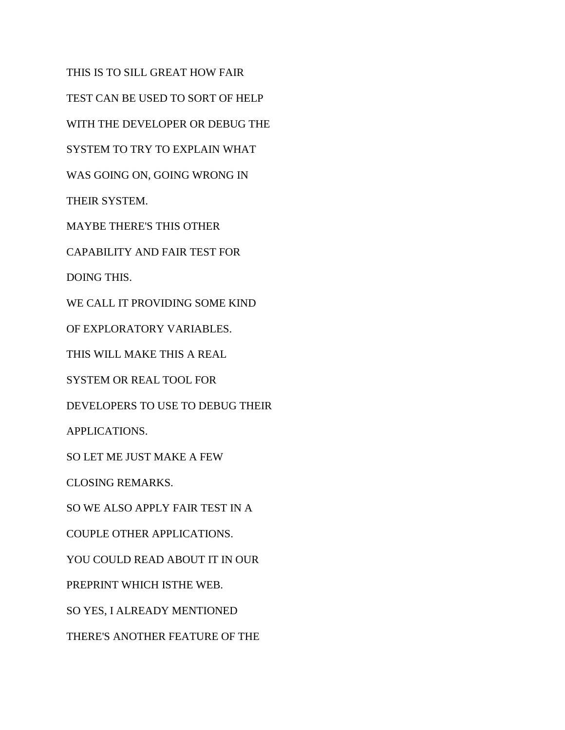THIS IS TO SILL GREAT HOW FAIR TEST CAN BE USED TO SORT OF HELP WITH THE DEVELOPER OR DEBUG THE SYSTEM TO TRY TO EXPLAIN WHAT WAS GOING ON, GOING WRONG IN THEIR SYSTEM. MAYBE THERE'S THIS OTHER CAPABILITY AND FAIR TEST FOR DOING THIS. WE CALL IT PROVIDING SOME KIND OF EXPLORATORY VARIABLES. THIS WILL MAKE THIS A REAL SYSTEM OR REAL TOOL FOR DEVELOPERS TO USE TO DEBUG THEIR APPLICATIONS. SO LET ME JUST MAKE A FEW CLOSING REMARKS. SO WE ALSO APPLY FAIR TEST IN A COUPLE OTHER APPLICATIONS. YOU COULD READ ABOUT IT IN OUR PREPRINT WHICH ISTHE WEB. SO YES, I ALREADY MENTIONED THERE'S ANOTHER FEATURE OF THE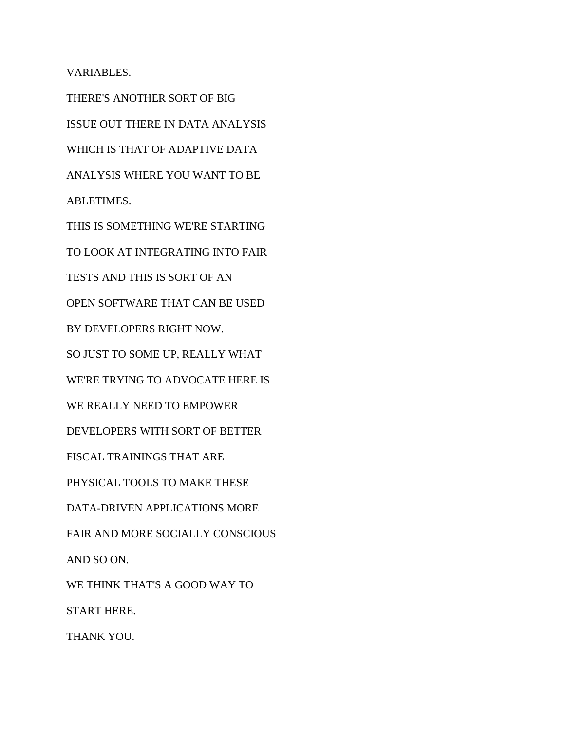VARIABLES.

THERE'S ANOTHER SORT OF BIG ISSUE OUT THERE IN DATA ANALYSIS WHICH IS THAT OF ADAPTIVE DATA ANALYSIS WHERE YOU WANT TO BE ABLETIMES. THIS IS SOMETHING WE'RE STARTING TO LOOK AT INTEGRATING INTO FAIR TESTS AND THIS IS SORT OF AN OPEN SOFTWARE THAT CAN BE USED BY DEVELOPERS RIGHT NOW. SO JUST TO SOME UP, REALLY WHAT WE'RE TRYING TO ADVOCATE HERE IS WE REALLY NEED TO EMPOWER DEVELOPERS WITH SORT OF BETTER FISCAL TRAININGS THAT ARE PHYSICAL TOOLS TO MAKE THESE DATA-DRIVEN APPLICATIONS MORE FAIR AND MORE SOCIALLY CONSCIOUS AND SO ON. WE THINK THAT'S A GOOD WAY TO START HERE. THANK YOU.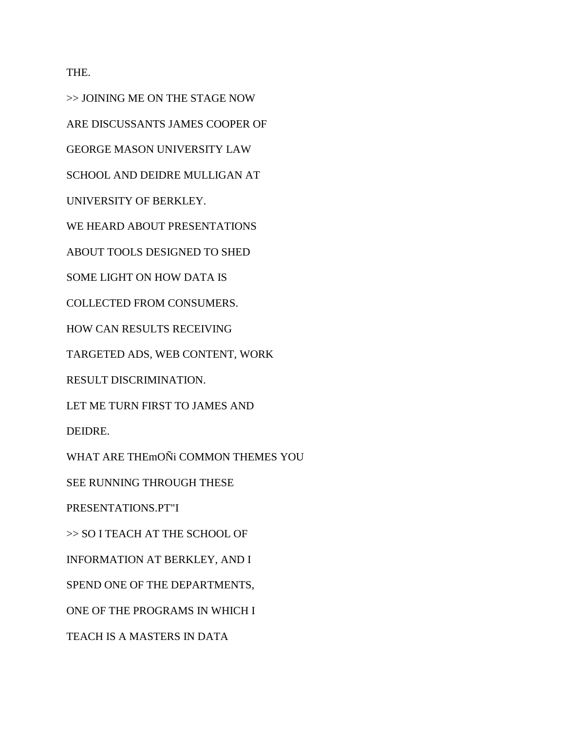THE.

>> JOINING ME ON THE STAGE NOW ARE DISCUSSANTS JAMES COOPER OF GEORGE MASON UNIVERSITY LAW SCHOOL AND DEIDRE MULLIGAN AT UNIVERSITY OF BERKLEY. WE HEARD ABOUT PRESENTATIONS ABOUT TOOLS DESIGNED TO SHED SOME LIGHT ON HOW DATA IS COLLECTED FROM CONSUMERS. HOW CAN RESULTS RECEIVING TARGETED ADS, WEB CONTENT, WORK RESULT DISCRIMINATION. LET ME TURN FIRST TO JAMES AND DEIDRE. WHAT ARE THEmOÑi COMMON THEMES YOU SEE RUNNING THROUGH THESE PRESENTATIONS.PT"I >> SO I TEACH AT THE SCHOOL OF INFORMATION AT BERKLEY, AND I SPEND ONE OF THE DEPARTMENTS, ONE OF THE PROGRAMS IN WHICH I

TEACH IS A MASTERS IN DATA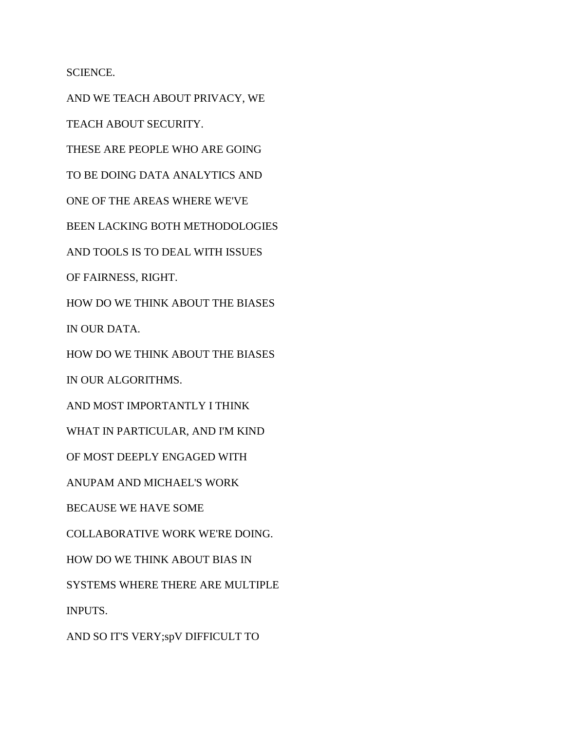SCIENCE.

AND WE TEACH ABOUT PRIVACY, WE TEACH ABOUT SECURITY. THESE ARE PEOPLE WHO ARE GOING TO BE DOING DATA ANALYTICS AND ONE OF THE AREAS WHERE WE'VE BEEN LACKING BOTH METHODOLOGIES AND TOOLS IS TO DEAL WITH ISSUES OF FAIRNESS, RIGHT. HOW DO WE THINK ABOUT THE BIASES IN OUR DATA. HOW DO WE THINK ABOUT THE BIASES IN OUR ALGORITHMS. AND MOST IMPORTANTLY I THINK WHAT IN PARTICULAR, AND I'M KIND OF MOST DEEPLY ENGAGED WITH ANUPAM AND MICHAEL'S WORK BECAUSE WE HAVE SOME COLLABORATIVE WORK WE'RE DOING. HOW DO WE THINK ABOUT BIAS IN SYSTEMS WHERE THERE ARE MULTIPLE INPUTS. AND SO IT'S VERY;spV DIFFICULT TO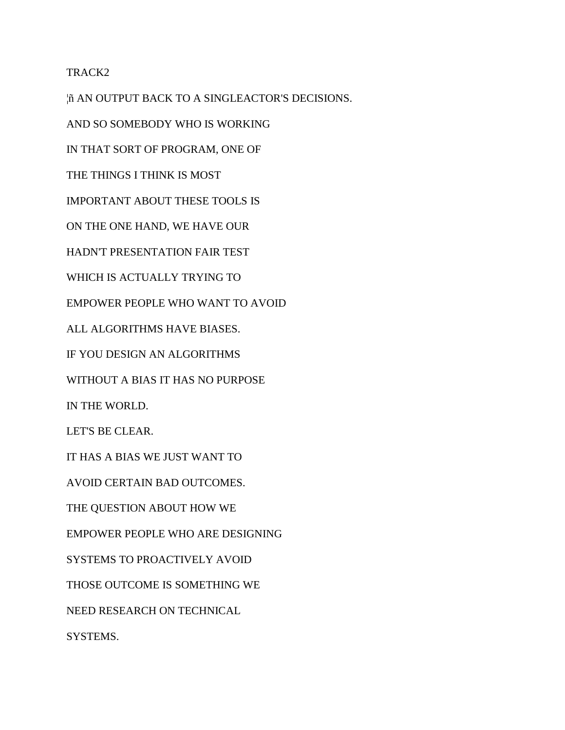## TRACK2

¦ñ AN OUTPUT BACK TO A SINGLEACTOR'S DECISIONS. AND SO SOMEBODY WHO IS WORKING IN THAT SORT OF PROGRAM, ONE OF THE THINGS I THINK IS MOST IMPORTANT ABOUT THESE TOOLS IS ON THE ONE HAND, WE HAVE OUR HADN'T PRESENTATION FAIR TEST WHICH IS ACTUALLY TRYING TO EMPOWER PEOPLE WHO WANT TO AVOID ALL ALGORITHMS HAVE BIASES. IF YOU DESIGN AN ALGORITHMS WITHOUT A BIAS IT HAS NO PURPOSE IN THE WORLD. LET'S BE CLEAR. IT HAS A BIAS WE JUST WANT TO AVOID CERTAIN BAD OUTCOMES. THE QUESTION ABOUT HOW WE EMPOWER PEOPLE WHO ARE DESIGNING SYSTEMS TO PROACTIVELY AVOID THOSE OUTCOME IS SOMETHING WE NEED RESEARCH ON TECHNICAL SYSTEMS.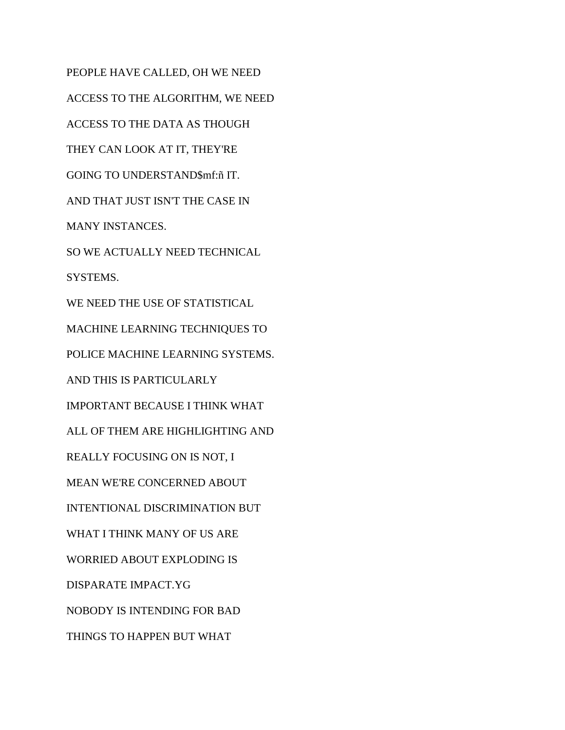PEOPLE HAVE CALLED, OH WE NEED ACCESS TO THE ALGORITHM, WE NEED ACCESS TO THE DATA AS THOUGH THEY CAN LOOK AT IT, THEY'RE GOING TO UNDERSTAND\$mf:ñ IT. AND THAT JUST ISN'T THE CASE IN MANY INSTANCES. SO WE ACTUALLY NEED TECHNICAL SYSTEMS. WE NEED THE USE OF STATISTICAL MACHINE LEARNING TECHNIQUES TO POLICE MACHINE LEARNING SYSTEMS. AND THIS IS PARTICULARLY IMPORTANT BECAUSE I THINK WHAT ALL OF THEM ARE HIGHLIGHTING AND REALLY FOCUSING ON IS NOT, I MEAN WE'RE CONCERNED ABOUT INTENTIONAL DISCRIMINATION BUT WHAT I THINK MANY OF US ARE WORRIED ABOUT EXPLODING IS DISPARATE IMPACT.YG NOBODY IS INTENDING FOR BAD THINGS TO HAPPEN BUT WHAT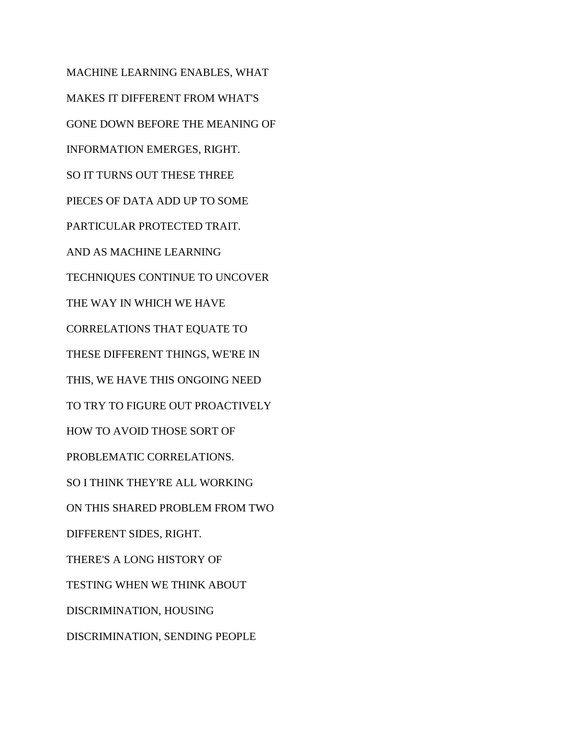MACHINE LEARNING ENABLES, WHAT MAKES IT DIFFERENT FROM WHAT'S GONE DOWN BEFORE THE MEANING OF INFORMATION EMERGES, RIGHT. SO IT TURNS OUT THESE THREE PIECES OF DATA ADD UP TO SOME PARTICULAR PROTECTED TRAIT. AND AS MACHINE LEARNING TECHNIQUES CONTINUE TO UNCOVER THE WAY IN WHICH WE HAVE CORRELATIONS THAT EQUATE TO THESE DIFFERENT THINGS, WE'RE IN THIS, WE HAVE THIS ONGOING NEED TO TRY TO FIGURE OUT PROACTIVELY HOW TO AVOID THOSE SORT OF PROBLEMATIC CORRELATIONS. SO I THINK THEY'RE ALL WORKING ON THIS SHARED PROBLEM FROM TWO DIFFERENT SIDES, RIGHT. THERE'S A LONG HISTORY OF TESTING WHEN WE THINK ABOUT DISCRIMINATION, HOUSING DISCRIMINATION, SENDING PEOPLE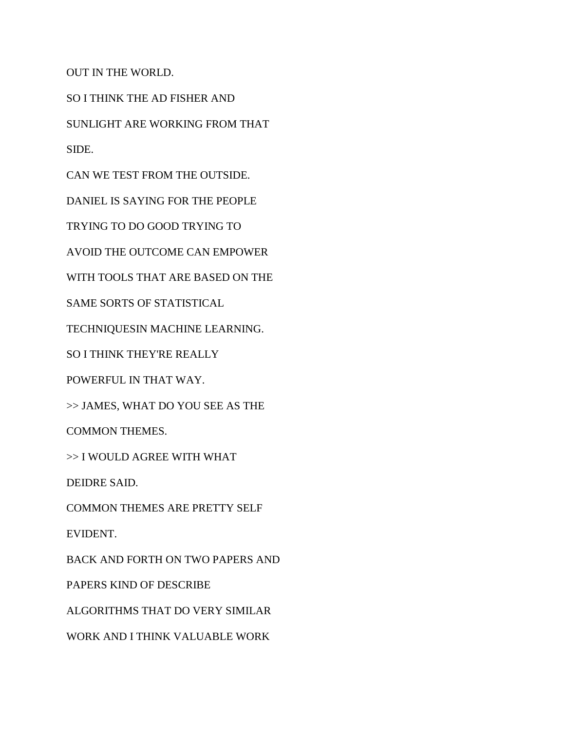OUT IN THE WORLD.

SO I THINK THE AD FISHER AND

SUNLIGHT ARE WORKING FROM THAT

SIDE.

CAN WE TEST FROM THE OUTSIDE.

DANIEL IS SAYING FOR THE PEOPLE

TRYING TO DO GOOD TRYING TO

AVOID THE OUTCOME CAN EMPOWER

WITH TOOLS THAT ARE BASED ON THE

SAME SORTS OF STATISTICAL

TECHNIQUESIN MACHINE LEARNING.

SO I THINK THEY'RE REALLY

POWERFUL IN THAT WAY.

>> JAMES, WHAT DO YOU SEE AS THE

COMMON THEMES.

>> I WOULD AGREE WITH WHAT

DEIDRE SAID.

COMMON THEMES ARE PRETTY SELF

EVIDENT.

BACK AND FORTH ON TWO PAPERS AND

PAPERS KIND OF DESCRIBE

ALGORITHMS THAT DO VERY SIMILAR

WORK AND I THINK VALUABLE WORK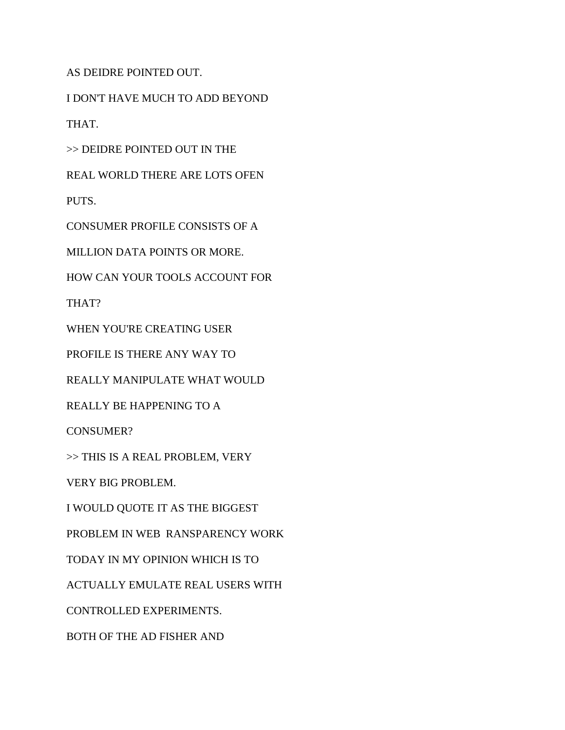AS DEIDRE POINTED OUT.

I DON'T HAVE MUCH TO ADD BEYOND

THAT.

>> DEIDRE POINTED OUT IN THE

REAL WORLD THERE ARE LOTS OFEN

PUTS.

CONSUMER PROFILE CONSISTS OF A

MILLION DATA POINTS OR MORE.

HOW CAN YOUR TOOLS ACCOUNT FOR

THAT?

WHEN YOU'RE CREATING USER

PROFILE IS THERE ANY WAY TO

REALLY MANIPULATE WHAT WOULD

REALLY BE HAPPENING TO A

CONSUMER?

>> THIS IS A REAL PROBLEM, VERY

VERY BIG PROBLEM.

I WOULD QUOTE IT AS THE BIGGEST

PROBLEM IN WEB RANSPARENCY WORK

TODAY IN MY OPINION WHICH IS TO

ACTUALLY EMULATE REAL USERS WITH

CONTROLLED EXPERIMENTS.

BOTH OF THE AD FISHER AND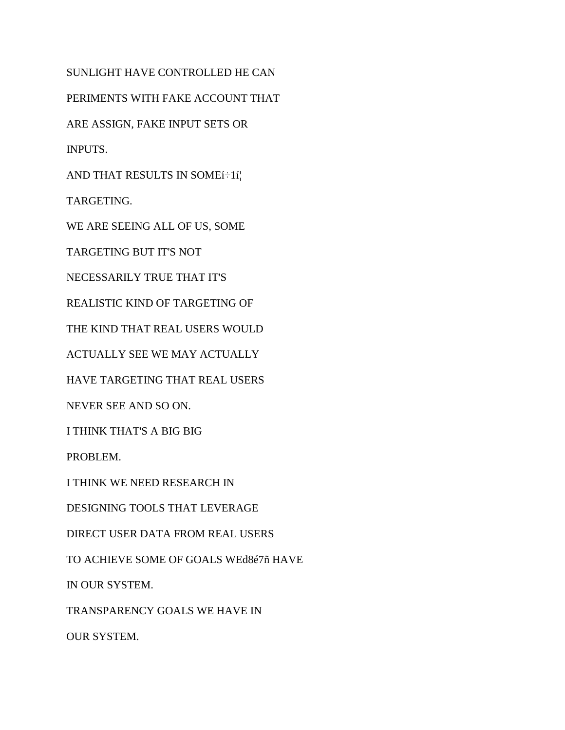SUNLIGHT HAVE CONTROLLED HE CAN PERIMENTS WITH FAKE ACCOUNT THAT ARE ASSIGN, FAKE INPUT SETS OR INPUTS. AND THAT RESULTS IN SOMEí÷1í¦ TARGETING. WE ARE SEEING ALL OF US, SOME TARGETING BUT IT'S NOT NECESSARILY TRUE THAT IT'S REALISTIC KIND OF TARGETING OF THE KIND THAT REAL USERS WOULD ACTUALLY SEE WE MAY ACTUALLY HAVE TARGETING THAT REAL USERS NEVER SEE AND SO ON. I THINK THAT'S A BIG BIG PROBLEM. I THINK WE NEED RESEARCH IN DESIGNING TOOLS THAT LEVERAGE DIRECT USER DATA FROM REAL USERS TO ACHIEVE SOME OF GOALS WEd8é7ñ HAVE

IN OUR SYSTEM.

TRANSPARENCY GOALS WE HAVE IN

OUR SYSTEM.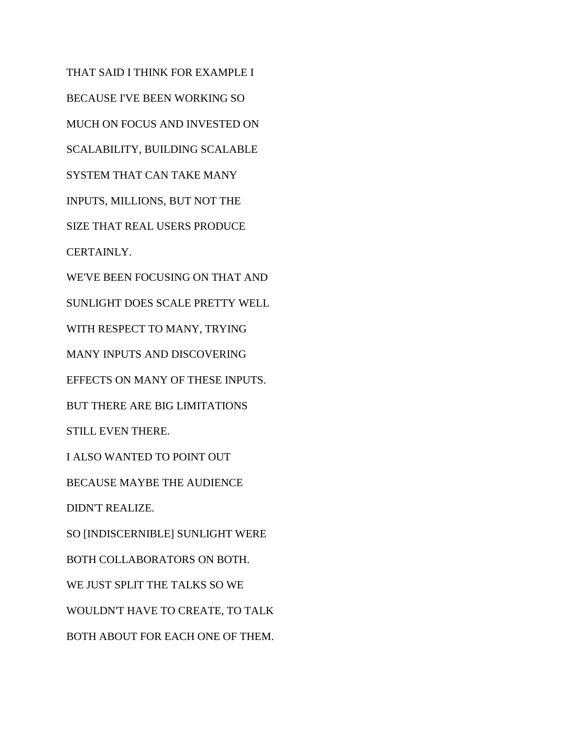THAT SAID I THINK FOR EXAMPLE I BECAUSE I'VE BEEN WORKING SO MUCH ON FOCUS AND INVESTED ON SCALABILITY, BUILDING SCALABLE SYSTEM THAT CAN TAKE MANY INPUTS, MILLIONS, BUT NOT THE SIZE THAT REAL USERS PRODUCE CERTAINLY. WE'VE BEEN FOCUSING ON THAT AND SUNLIGHT DOES SCALE PRETTY WELL WITH RESPECT TO MANY, TRYING MANY INPUTS AND DISCOVERING EFFECTS ON MANY OF THESE INPUTS. BUT THERE ARE BIG LIMITATIONS STILL EVEN THERE. I ALSO WANTED TO POINT OUT BECAUSE MAYBE THE AUDIENCE DIDN'T REALIZE. SO [INDISCERNIBLE] SUNLIGHT WERE BOTH COLLABORATORS ON BOTH. WE JUST SPLIT THE TALKS SO WE WOULDN'T HAVE TO CREATE, TO TALK BOTH ABOUT FOR EACH ONE OF THEM.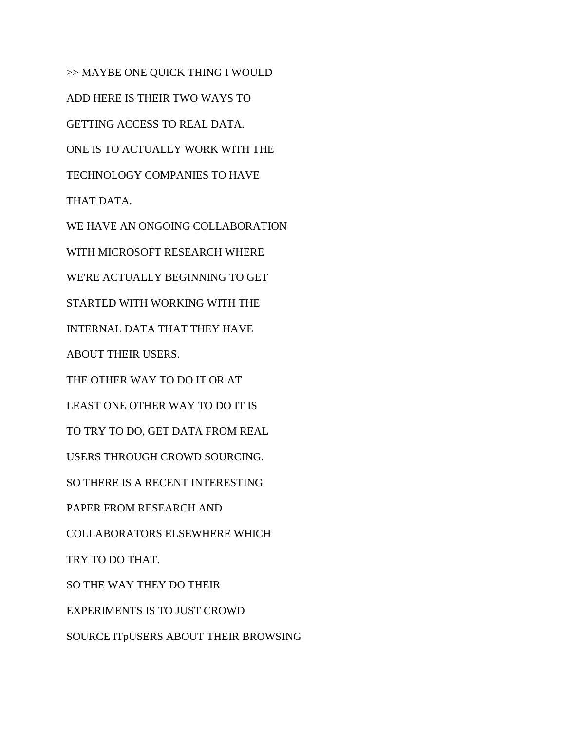>> MAYBE ONE QUICK THING I WOULD ADD HERE IS THEIR TWO WAYS TO GETTING ACCESS TO REAL DATA. ONE IS TO ACTUALLY WORK WITH THE TECHNOLOGY COMPANIES TO HAVE THAT DATA. WE HAVE AN ONGOING COLLABORATION WITH MICROSOFT RESEARCH WHERE WE'RE ACTUALLY BEGINNING TO GET STARTED WITH WORKING WITH THE INTERNAL DATA THAT THEY HAVE ABOUT THEIR USERS. THE OTHER WAY TO DO IT OR AT LEAST ONE OTHER WAY TO DO IT IS TO TRY TO DO, GET DATA FROM REAL USERS THROUGH CROWD SOURCING. SO THERE IS A RECENT INTERESTING PAPER FROM RESEARCH AND COLLABORATORS ELSEWHERE WHICH TRY TO DO THAT. SO THE WAY THEY DO THEIR

EXPERIMENTS IS TO JUST CROWD

SOURCE ITpUSERS ABOUT THEIR BROWSING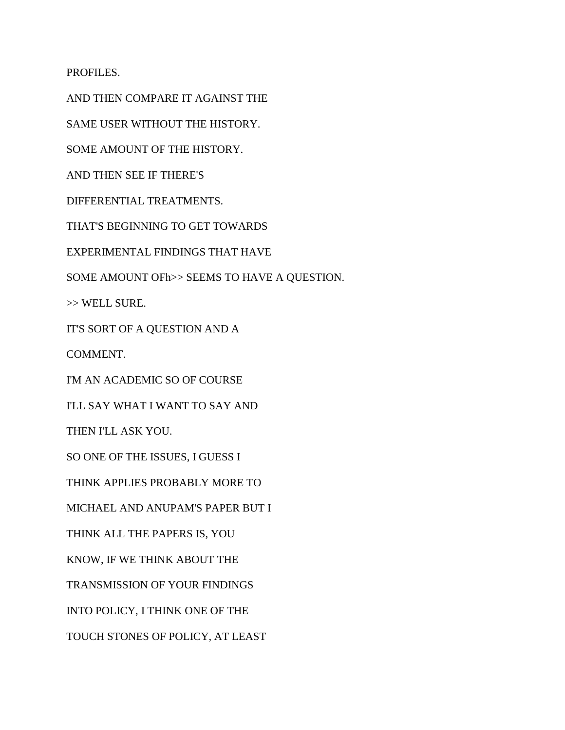PROFILES.

AND THEN COMPARE IT AGAINST THE SAME USER WITHOUT THE HISTORY. SOME AMOUNT OF THE HISTORY. AND THEN SEE IF THERE'S DIFFERENTIAL TREATMENTS. THAT'S BEGINNING TO GET TOWARDS EXPERIMENTAL FINDINGS THAT HAVE SOME AMOUNT OFh>> SEEMS TO HAVE A QUESTION. >> WELL SURE. IT'S SORT OF A QUESTION AND A COMMENT. I'M AN ACADEMIC SO OF COURSE I'LL SAY WHAT I WANT TO SAY AND THEN I'LL ASK YOU. SO ONE OF THE ISSUES, I GUESS I THINK APPLIES PROBABLY MORE TO MICHAEL AND ANUPAM'S PAPER BUT I THINK ALL THE PAPERS IS, YOU KNOW, IF WE THINK ABOUT THE TRANSMISSION OF YOUR FINDINGS INTO POLICY, I THINK ONE OF THE TOUCH STONES OF POLICY, AT LEAST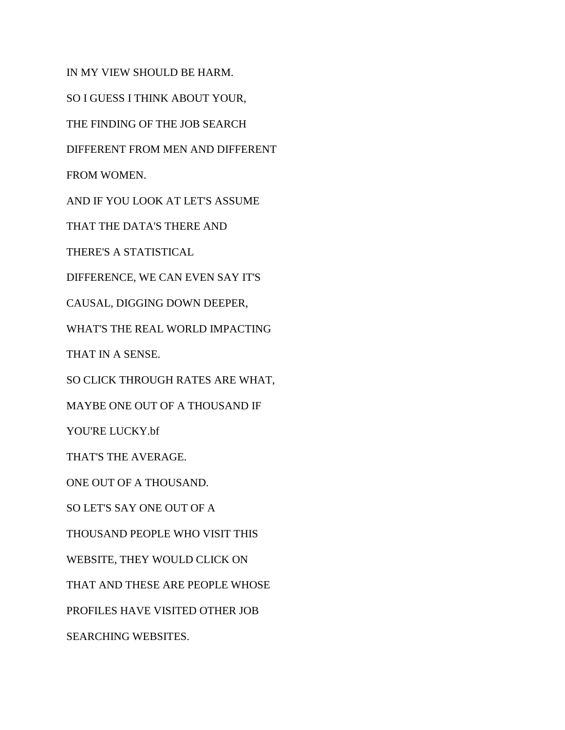IN MY VIEW SHOULD BE HARM. SO I GUESS I THINK ABOUT YOUR, THE FINDING OF THE JOB SEARCH DIFFERENT FROM MEN AND DIFFERENT FROM WOMEN. AND IF YOU LOOK AT LET'S ASSUME THAT THE DATA'S THERE AND THERE'S A STATISTICAL DIFFERENCE, WE CAN EVEN SAY IT'S CAUSAL, DIGGING DOWN DEEPER, WHAT'S THE REAL WORLD IMPACTING THAT IN A SENSE. SO CLICK THROUGH RATES ARE WHAT, MAYBE ONE OUT OF A THOUSAND IF YOU'RE LUCKY.bf THAT'S THE AVERAGE. ONE OUT OF A THOUSAND. SO LET'S SAY ONE OUT OF A THOUSAND PEOPLE WHO VISIT THIS WEBSITE, THEY WOULD CLICK ON THAT AND THESE ARE PEOPLE WHOSE PROFILES HAVE VISITED OTHER JOB SEARCHING WEBSITES.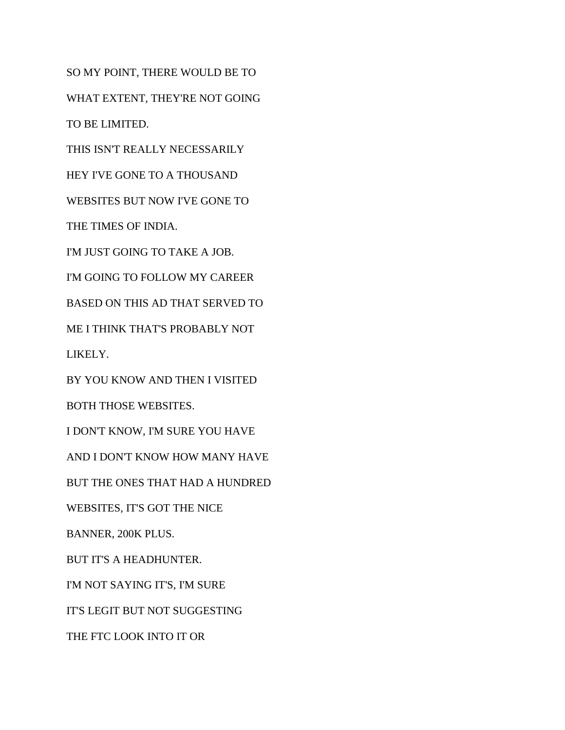SO MY POINT, THERE WOULD BE TO WHAT EXTENT, THEY'RE NOT GOING TO BE LIMITED. THIS ISN'T REALLY NECESSARILY HEY I'VE GONE TO A THOUSAND WEBSITES BUT NOW I'VE GONE TO THE TIMES OF INDIA. I'M JUST GOING TO TAKE A JOB. I'M GOING TO FOLLOW MY CAREER BASED ON THIS AD THAT SERVED TO ME I THINK THAT'S PROBABLY NOT LIKELY. BY YOU KNOW AND THEN I VISITED BOTH THOSE WEBSITES. I DON'T KNOW, I'M SURE YOU HAVE AND I DON'T KNOW HOW MANY HAVE BUT THE ONES THAT HAD A HUNDRED WEBSITES, IT'S GOT THE NICE BANNER, 200K PLUS. BUT IT'S A HEADHUNTER. I'M NOT SAYING IT'S, I'M SURE IT'S LEGIT BUT NOT SUGGESTING THE FTC LOOK INTO IT OR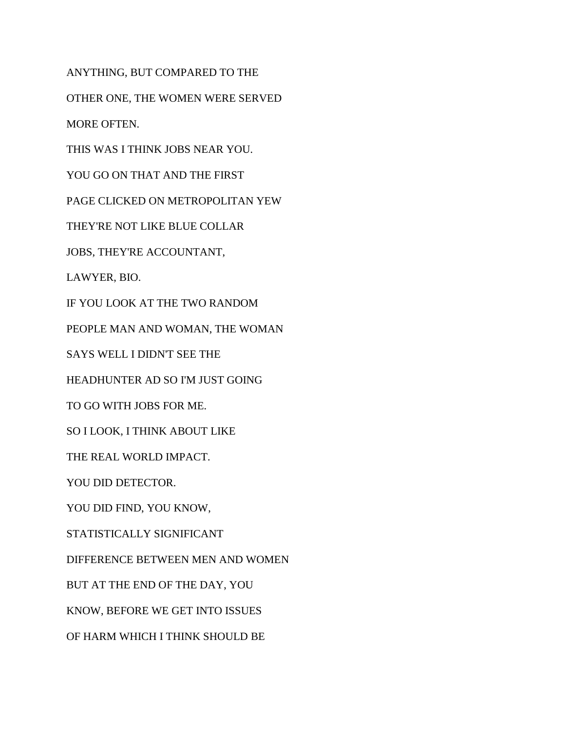ANYTHING, BUT COMPARED TO THE

OTHER ONE, THE WOMEN WERE SERVED

MORE OFTEN.

THIS WAS I THINK JOBS NEAR YOU.

YOU GO ON THAT AND THE FIRST

PAGE CLICKED ON METROPOLITAN YEW

THEY'RE NOT LIKE BLUE COLLAR

JOBS, THEY'RE ACCOUNTANT,

LAWYER, BIO.

IF YOU LOOK AT THE TWO RANDOM

PEOPLE MAN AND WOMAN, THE WOMAN

SAYS WELL I DIDN'T SEE THE

HEADHUNTER AD SO I'M JUST GOING

TO GO WITH JOBS FOR ME.

SO I LOOK, I THINK ABOUT LIKE

THE REAL WORLD IMPACT.

YOU DID DETECTOR.

YOU DID FIND, YOU KNOW,

STATISTICALLY SIGNIFICANT

DIFFERENCE BETWEEN MEN AND WOMEN

BUT AT THE END OF THE DAY, YOU

KNOW, BEFORE WE GET INTO ISSUES

OF HARM WHICH I THINK SHOULD BE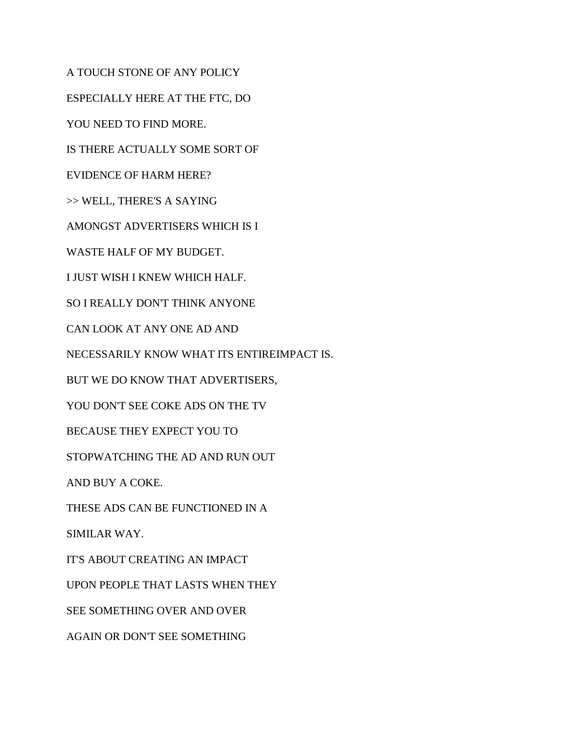A TOUCH STONE OF ANY POLICY ESPECIALLY HERE AT THE FTC, DO YOU NEED TO FIND MORE. IS THERE ACTUALLY SOME SORT OF EVIDENCE OF HARM HERE? >> WELL, THERE'S A SAYING AMONGST ADVERTISERS WHICH IS I WASTE HALF OF MY BUDGET. I JUST WISH I KNEW WHICH HALF. SO I REALLY DON'T THINK ANYONE CAN LOOK AT ANY ONE AD AND NECESSARILY KNOW WHAT ITS ENTIREIMPACT IS. BUT WE DO KNOW THAT ADVERTISERS, YOU DON'T SEE COKE ADS ON THE TV BECAUSE THEY EXPECT YOU TO STOPWATCHING THE AD AND RUN OUT AND BUY A COKE. THESE ADS CAN BE FUNCTIONED IN A SIMILAR WAY. IT'S ABOUT CREATING AN IMPACT UPON PEOPLE THAT LASTS WHEN THEY SEE SOMETHING OVER AND OVER AGAIN OR DON'T SEE SOMETHING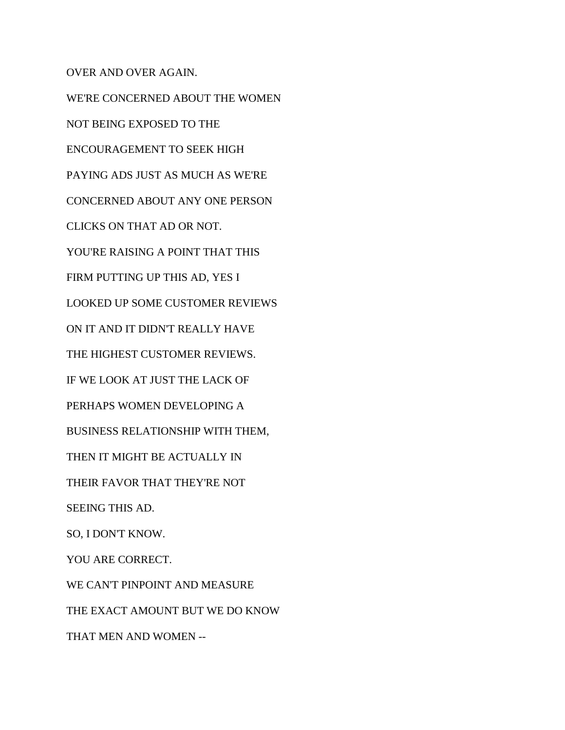OVER AND OVER AGAIN. WE'RE CONCERNED ABOUT THE WOMEN NOT BEING EXPOSED TO THE ENCOURAGEMENT TO SEEK HIGH PAYING ADS JUST AS MUCH AS WE'RE CONCERNED ABOUT ANY ONE PERSON CLICKS ON THAT AD OR NOT. YOU'RE RAISING A POINT THAT THIS FIRM PUTTING UP THIS AD, YES I LOOKED UP SOME CUSTOMER REVIEWS ON IT AND IT DIDN'T REALLY HAVE THE HIGHEST CUSTOMER REVIEWS. IF WE LOOK AT JUST THE LACK OF PERHAPS WOMEN DEVELOPING A BUSINESS RELATIONSHIP WITH THEM, THEN IT MIGHT BE ACTUALLY IN THEIR FAVOR THAT THEY'RE NOT SEEING THIS AD. SO, I DON'T KNOW. YOU ARE CORRECT. WE CAN'T PINPOINT AND MEASURE THE EXACT AMOUNT BUT WE DO KNOW THAT MEN AND WOMEN --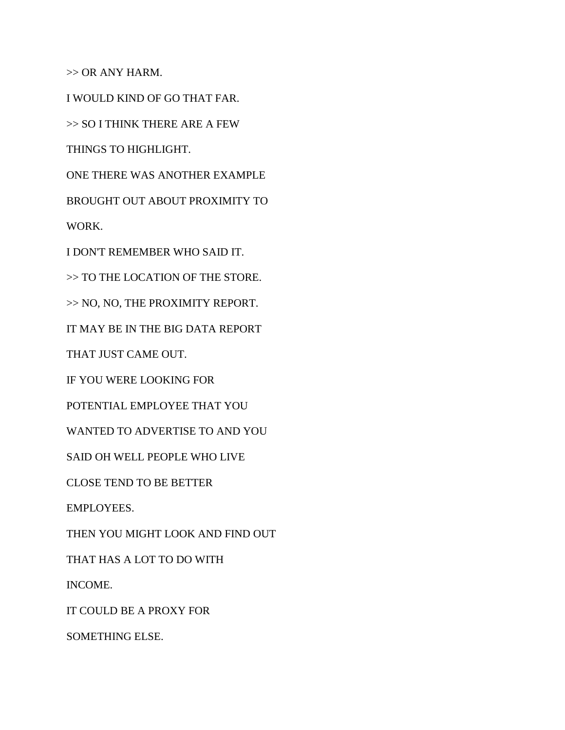$\gg$  OR ANY HARM.

I WOULD KIND OF GO THAT FAR.

>> SO I THINK THERE ARE A FEW

THINGS TO HIGHLIGHT.

ONE THERE WAS ANOTHER EXAMPLE

BROUGHT OUT ABOUT PROXIMITY TO

WORK.

I DON'T REMEMBER WHO SAID IT.

>> TO THE LOCATION OF THE STORE.

>> NO, NO, THE PROXIMITY REPORT.

IT MAY BE IN THE BIG DATA REPORT

THAT JUST CAME OUT.

IF YOU WERE LOOKING FOR

POTENTIAL EMPLOYEE THAT YOU

WANTED TO ADVERTISE TO AND YOU

SAID OH WELL PEOPLE WHO LIVE

CLOSE TEND TO BE BETTER

EMPLOYEES.

THEN YOU MIGHT LOOK AND FIND OUT

THAT HAS A LOT TO DO WITH

INCOME.

IT COULD BE A PROXY FOR

SOMETHING ELSE.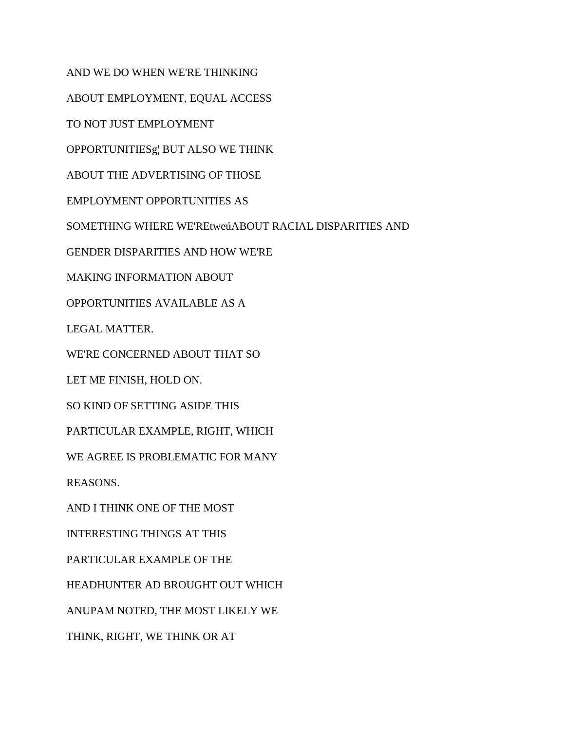AND WE DO WHEN WE'RE THINKING

ABOUT EMPLOYMENT, EQUAL ACCESS

TO NOT JUST EMPLOYMENT

OPPORTUNITIESg¦ BUT ALSO WE THINK

ABOUT THE ADVERTISING OF THOSE

EMPLOYMENT OPPORTUNITIES AS

SOMETHING WHERE WE'REtweúABOUT RACIAL DISPARITIES AND

GENDER DISPARITIES AND HOW WE'RE

MAKING INFORMATION ABOUT

OPPORTUNITIES AVAILABLE AS A

LEGAL MATTER.

WE'RE CONCERNED ABOUT THAT SO

LET ME FINISH, HOLD ON.

SO KIND OF SETTING ASIDE THIS

PARTICULAR EXAMPLE, RIGHT, WHICH

WE AGREE IS PROBLEMATIC FOR MANY

REASONS.

AND I THINK ONE OF THE MOST

INTERESTING THINGS AT THIS

PARTICULAR EXAMPLE OF THE

HEADHUNTER AD BROUGHT OUT WHICH

ANUPAM NOTED, THE MOST LIKELY WE

THINK, RIGHT, WE THINK OR AT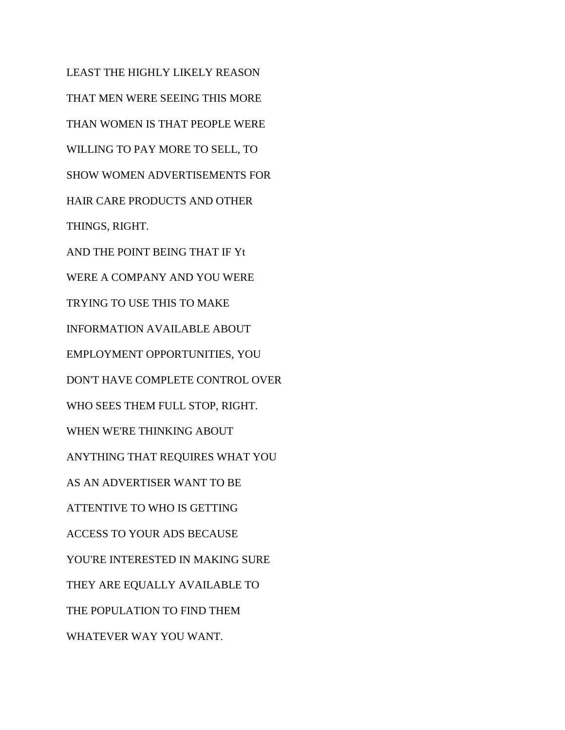LEAST THE HIGHLY LIKELY REASON THAT MEN WERE SEEING THIS MORE THAN WOMEN IS THAT PEOPLE WERE WILLING TO PAY MORE TO SELL, TO SHOW WOMEN ADVERTISEMENTS FOR HAIR CARE PRODUCTS AND OTHER THINGS, RIGHT. AND THE POINT BEING THAT IF Yt WERE A COMPANY AND YOU WERE TRYING TO USE THIS TO MAKE INFORMATION AVAILABLE ABOUT EMPLOYMENT OPPORTUNITIES, YOU DON'T HAVE COMPLETE CONTROL OVER WHO SEES THEM FULL STOP, RIGHT. WHEN WE'RE THINKING ABOUT ANYTHING THAT REQUIRES WHAT YOU AS AN ADVERTISER WANT TO BE ATTENTIVE TO WHO IS GETTING ACCESS TO YOUR ADS BECAUSE YOU'RE INTERESTED IN MAKING SURE THEY ARE EQUALLY AVAILABLE TO THE POPULATION TO FIND THEM WHATEVER WAY YOU WANT.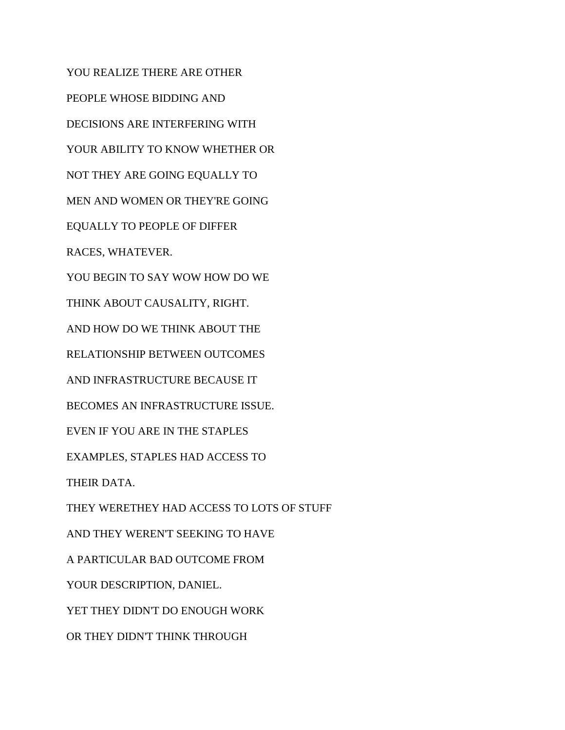YOU REALIZE THERE ARE OTHER PEOPLE WHOSE BIDDING AND DECISIONS ARE INTERFERING WITH YOUR ABILITY TO KNOW WHETHER OR NOT THEY ARE GOING EQUALLY TO MEN AND WOMEN OR THEY'RE GOING EQUALLY TO PEOPLE OF DIFFER RACES, WHATEVER. YOU BEGIN TO SAY WOW HOW DO WE THINK ABOUT CAUSALITY, RIGHT. AND HOW DO WE THINK ABOUT THE RELATIONSHIP BETWEEN OUTCOMES AND INFRASTRUCTURE BECAUSE IT BECOMES AN INFRASTRUCTURE ISSUE. EVEN IF YOU ARE IN THE STAPLES EXAMPLES, STAPLES HAD ACCESS TO THEIR DATA. THEY WERETHEY HAD ACCESS TO LOTS OF STUFF AND THEY WEREN'T SEEKING TO HAVE A PARTICULAR BAD OUTCOME FROM YOUR DESCRIPTION, DANIEL. YET THEY DIDN'T DO ENOUGH WORK OR THEY DIDN'T THINK THROUGH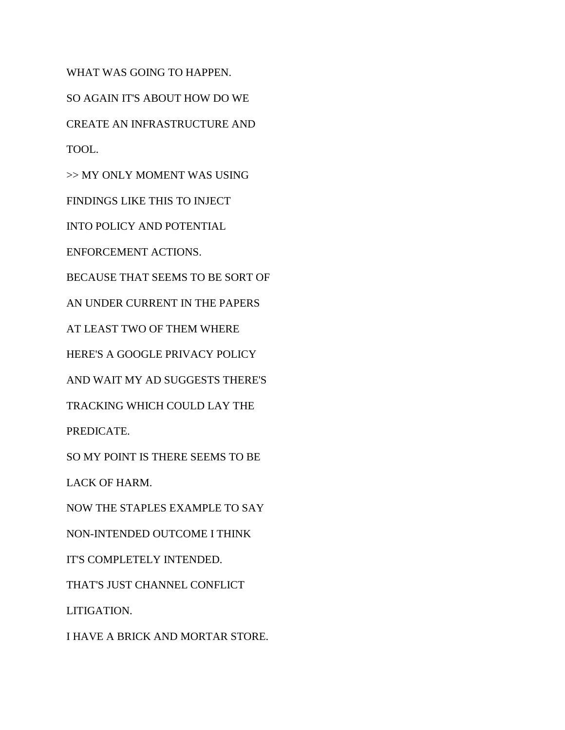WHAT WAS GOING TO HAPPEN. SO AGAIN IT'S ABOUT HOW DO WE CREATE AN INFRASTRUCTURE AND TOOL. >> MY ONLY MOMENT WAS USING FINDINGS LIKE THIS TO INJECT INTO POLICY AND POTENTIAL ENFORCEMENT ACTIONS. BECAUSE THAT SEEMS TO BE SORT OF AN UNDER CURRENT IN THE PAPERS AT LEAST TWO OF THEM WHERE HERE'S A GOOGLE PRIVACY POLICY AND WAIT MY AD SUGGESTS THERE'S TRACKING WHICH COULD LAY THE PREDICATE. SO MY POINT IS THERE SEEMS TO BE LACK OF HARM. NOW THE STAPLES EXAMPLE TO SAY NON-INTENDED OUTCOME I THINK IT'S COMPLETELY INTENDED. THAT'S JUST CHANNEL CONFLICT LITIGATION. I HAVE A BRICK AND MORTAR STORE.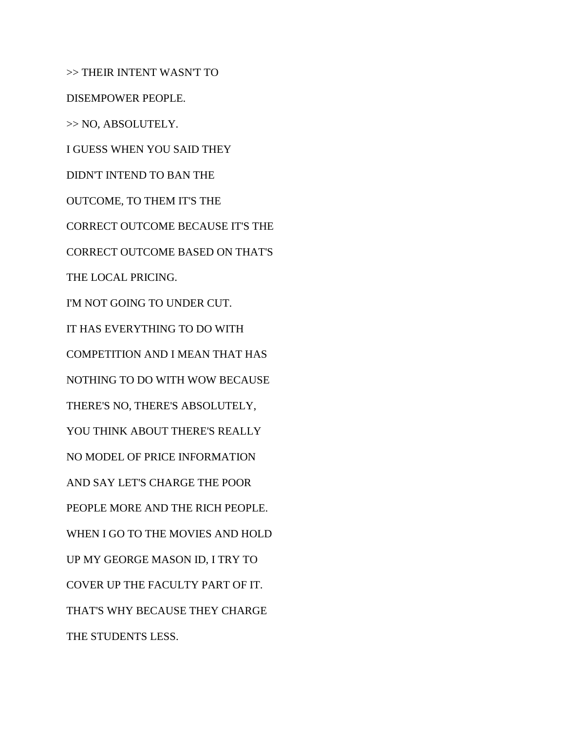>> THEIR INTENT WASN'T TO DISEMPOWER PEOPLE. >> NO, ABSOLUTELY. I GUESS WHEN YOU SAID THEY DIDN'T INTEND TO BAN THE OUTCOME, TO THEM IT'S THE CORRECT OUTCOME BECAUSE IT'S THE CORRECT OUTCOME BASED ON THAT'S THE LOCAL PRICING. I'M NOT GOING TO UNDER CUT. IT HAS EVERYTHING TO DO WITH COMPETITION AND I MEAN THAT HAS NOTHING TO DO WITH WOW BECAUSE THERE'S NO, THERE'S ABSOLUTELY, YOU THINK ABOUT THERE'S REALLY NO MODEL OF PRICE INFORMATION AND SAY LET'S CHARGE THE POOR PEOPLE MORE AND THE RICH PEOPLE. WHEN I GO TO THE MOVIES AND HOLD UP MY GEORGE MASON ID, I TRY TO COVER UP THE FACULTY PART OF IT. THAT'S WHY BECAUSE THEY CHARGE THE STUDENTS LESS.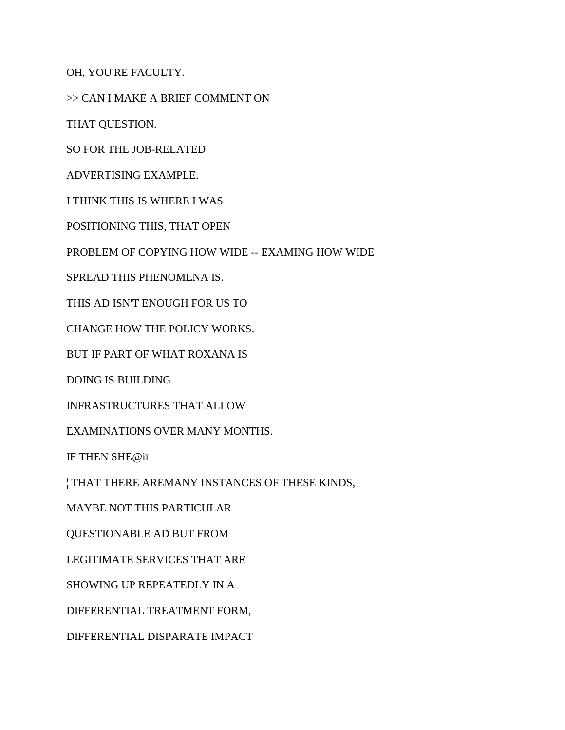OH, YOU'RE FACULTY.

>> CAN I MAKE A BRIEF COMMENT ON

THAT QUESTION.

SO FOR THE JOB-RELATED

ADVERTISING EXAMPLE.

I THINK THIS IS WHERE I WAS

POSITIONING THIS, THAT OPEN

PROBLEM OF COPYING HOW WIDE -- EXAMING HOW WIDE

SPREAD THIS PHENOMENA IS.

THIS AD ISN'T ENOUGH FOR US TO

CHANGE HOW THE POLICY WORKS.

BUT IF PART OF WHAT ROXANA IS

DOING IS BUILDING

INFRASTRUCTURES THAT ALLOW

EXAMINATIONS OVER MANY MONTHS.

IF THEN SHE@iï

¦ THAT THERE AREMANY INSTANCES OF THESE KINDS,

MAYBE NOT THIS PARTICULAR

QUESTIONABLE AD BUT FROM

LEGITIMATE SERVICES THAT ARE

SHOWING UP REPEATEDLY IN A

DIFFERENTIAL TREATMENT FORM,

DIFFERENTIAL DISPARATE IMPACT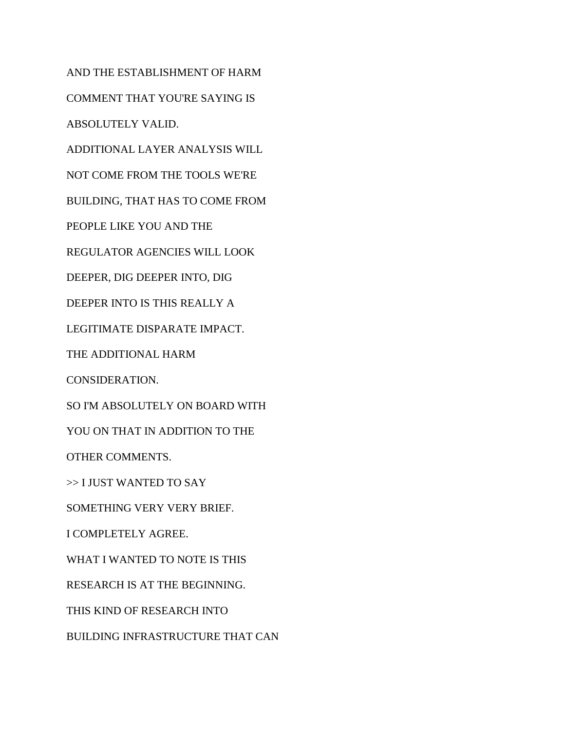AND THE ESTABLISHMENT OF HARM COMMENT THAT YOU'RE SAYING IS ABSOLUTELY VALID. ADDITIONAL LAYER ANALYSIS WILL NOT COME FROM THE TOOLS WE'RE BUILDING, THAT HAS TO COME FROM PEOPLE LIKE YOU AND THE REGULATOR AGENCIES WILL LOOK DEEPER, DIG DEEPER INTO, DIG DEEPER INTO IS THIS REALLY A LEGITIMATE DISPARATE IMPACT. THE ADDITIONAL HARM CONSIDERATION. SO I'M ABSOLUTELY ON BOARD WITH YOU ON THAT IN ADDITION TO THE OTHER COMMENTS. >> I JUST WANTED TO SAY SOMETHING VERY VERY BRIEF. I COMPLETELY AGREE. WHAT I WANTED TO NOTE IS THIS RESEARCH IS AT THE BEGINNING. THIS KIND OF RESEARCH INTO BUILDING INFRASTRUCTURE THAT CAN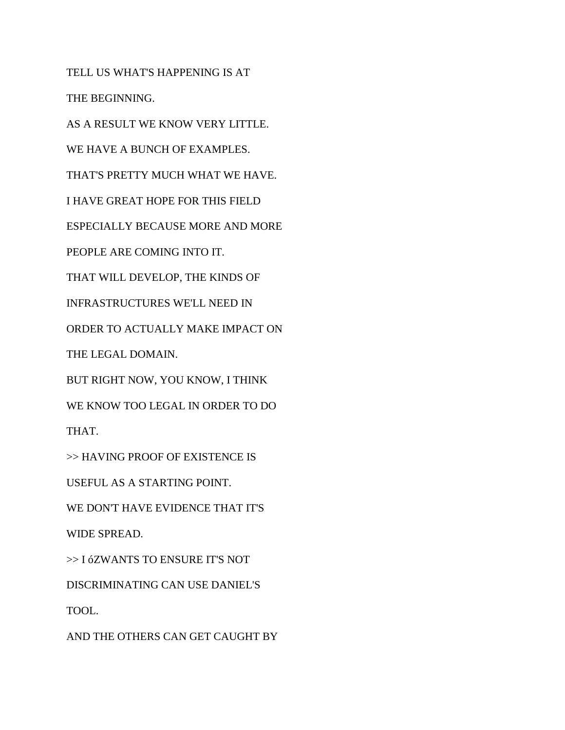TELL US WHAT'S HAPPENING IS AT THE BEGINNING. AS A RESULT WE KNOW VERY LITTLE. WE HAVE A BUNCH OF EXAMPLES. THAT'S PRETTY MUCH WHAT WE HAVE. I HAVE GREAT HOPE FOR THIS FIELD ESPECIALLY BECAUSE MORE AND MORE PEOPLE ARE COMING INTO IT. THAT WILL DEVELOP, THE KINDS OF INFRASTRUCTURES WE'LL NEED IN ORDER TO ACTUALLY MAKE IMPACT ON THE LEGAL DOMAIN. BUT RIGHT NOW, YOU KNOW, I THINK WE KNOW TOO LEGAL IN ORDER TO DO THAT. >> HAVING PROOF OF EXISTENCE IS USEFUL AS A STARTING POINT. WE DON'T HAVE EVIDENCE THAT IT'S WIDE SPREAD. >> I óZWANTS TO ENSURE IT'S NOT DISCRIMINATING CAN USE DANIEL'S

TOOL.

AND THE OTHERS CAN GET CAUGHT BY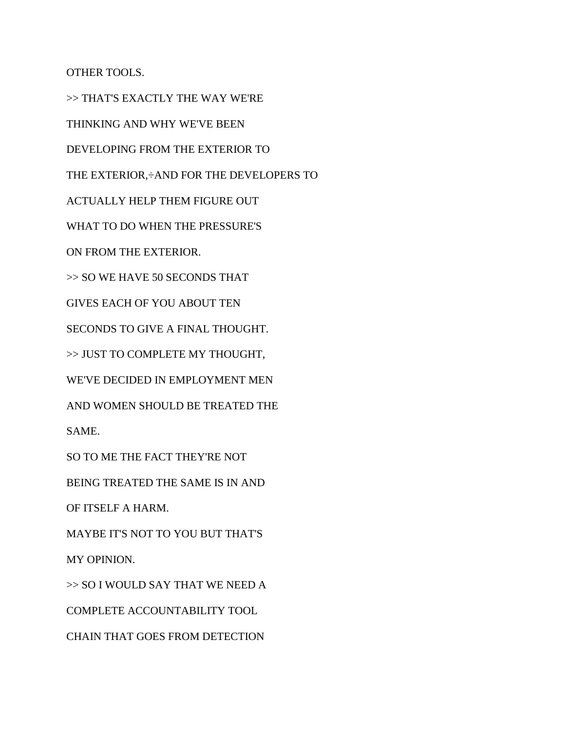OTHER TOOLS.

>> THAT'S EXACTLY THE WAY WE'RE THINKING AND WHY WE'VE BEEN DEVELOPING FROM THE EXTERIOR TO THE EXTERIOR,÷AND FOR THE DEVELOPERS TO ACTUALLY HELP THEM FIGURE OUT WHAT TO DO WHEN THE PRESSURE'S ON FROM THE EXTERIOR. >> SO WE HAVE 50 SECONDS THAT GIVES EACH OF YOU ABOUT TEN SECONDS TO GIVE A FINAL THOUGHT. >> JUST TO COMPLETE MY THOUGHT, WE'VE DECIDED IN EMPLOYMENT MEN AND WOMEN SHOULD BE TREATED THE SAME. SO TO ME THE FACT THEY'RE NOT BEING TREATED THE SAME IS IN AND OF ITSELF A HARM. MAYBE IT'S NOT TO YOU BUT THAT'S MY OPINION. >> SO I WOULD SAY THAT WE NEED A COMPLETE ACCOUNTABILITY TOOL CHAIN THAT GOES FROM DETECTION